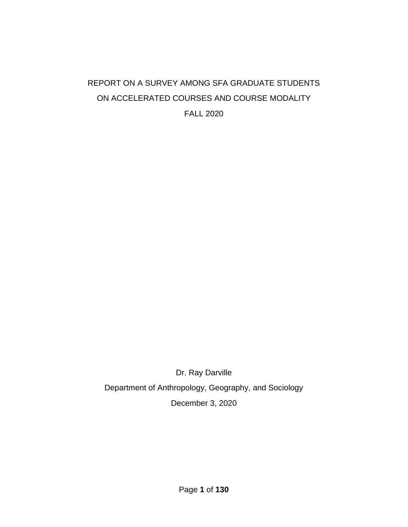## REPORT ON A SURVEY AMONG SFA GRADUATE STUDENTS ON ACCELERATED COURSES AND COURSE MODALITY FALL 2020

Dr. Ray Darville Department of Anthropology, Geography, and Sociology December 3, 2020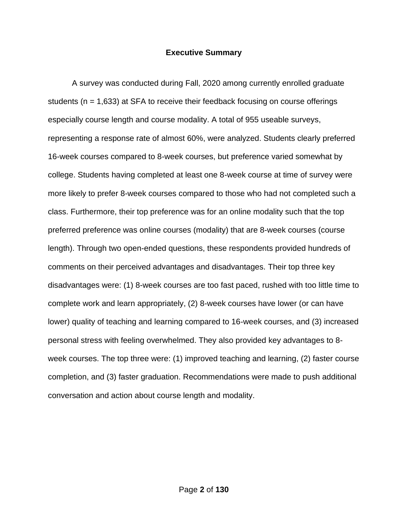#### **Executive Summary**

A survey was conducted during Fall, 2020 among currently enrolled graduate students ( $n = 1,633$ ) at SFA to receive their feedback focusing on course offerings especially course length and course modality. A total of 955 useable surveys, representing a response rate of almost 60%, were analyzed. Students clearly preferred 16-week courses compared to 8-week courses, but preference varied somewhat by college. Students having completed at least one 8-week course at time of survey were more likely to prefer 8-week courses compared to those who had not completed such a class. Furthermore, their top preference was for an online modality such that the top preferred preference was online courses (modality) that are 8-week courses (course length). Through two open-ended questions, these respondents provided hundreds of comments on their perceived advantages and disadvantages. Their top three key disadvantages were: (1) 8-week courses are too fast paced, rushed with too little time to complete work and learn appropriately, (2) 8-week courses have lower (or can have lower) quality of teaching and learning compared to 16-week courses, and (3) increased personal stress with feeling overwhelmed. They also provided key advantages to 8 week courses. The top three were: (1) improved teaching and learning, (2) faster course completion, and (3) faster graduation. Recommendations were made to push additional conversation and action about course length and modality.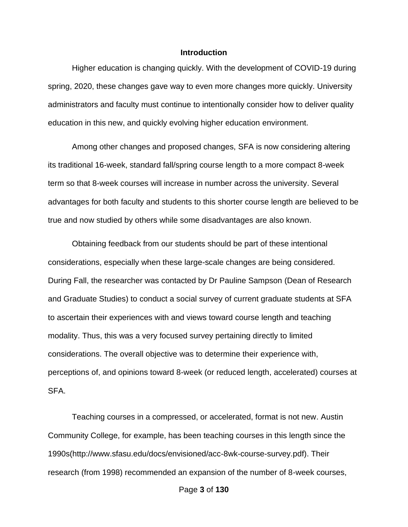#### **Introduction**

Higher education is changing quickly. With the development of COVID-19 during spring, 2020, these changes gave way to even more changes more quickly. University administrators and faculty must continue to intentionally consider how to deliver quality education in this new, and quickly evolving higher education environment.

Among other changes and proposed changes, SFA is now considering altering its traditional 16-week, standard fall/spring course length to a more compact 8-week term so that 8-week courses will increase in number across the university. Several advantages for both faculty and students to this shorter course length are believed to be true and now studied by others while some disadvantages are also known.

Obtaining feedback from our students should be part of these intentional considerations, especially when these large-scale changes are being considered. During Fall, the researcher was contacted by Dr Pauline Sampson (Dean of Research and Graduate Studies) to conduct a social survey of current graduate students at SFA to ascertain their experiences with and views toward course length and teaching modality. Thus, this was a very focused survey pertaining directly to limited considerations. The overall objective was to determine their experience with, perceptions of, and opinions toward 8-week (or reduced length, accelerated) courses at SFA.

Teaching courses in a compressed, or accelerated, format is not new. Austin Community College, for example, has been teaching courses in this length since the 1990s(http://www.sfasu.edu/docs/envisioned/acc-8wk-course-survey.pdf). Their research (from 1998) recommended an expansion of the number of 8-week courses,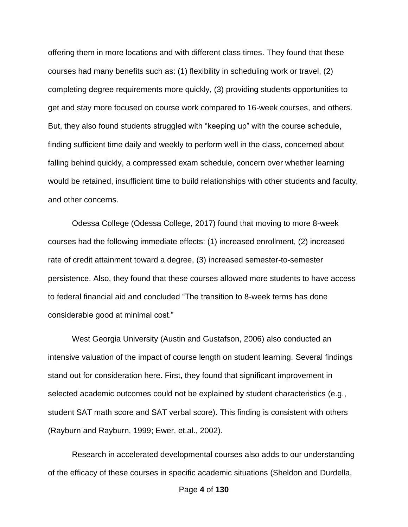offering them in more locations and with different class times. They found that these courses had many benefits such as: (1) flexibility in scheduling work or travel, (2) completing degree requirements more quickly, (3) providing students opportunities to get and stay more focused on course work compared to 16-week courses, and others. But, they also found students struggled with "keeping up" with the course schedule, finding sufficient time daily and weekly to perform well in the class, concerned about falling behind quickly, a compressed exam schedule, concern over whether learning would be retained, insufficient time to build relationships with other students and faculty, and other concerns.

Odessa College (Odessa College, 2017) found that moving to more 8-week courses had the following immediate effects: (1) increased enrollment, (2) increased rate of credit attainment toward a degree, (3) increased semester-to-semester persistence. Also, they found that these courses allowed more students to have access to federal financial aid and concluded "The transition to 8-week terms has done considerable good at minimal cost."

West Georgia University (Austin and Gustafson, 2006) also conducted an intensive valuation of the impact of course length on student learning. Several findings stand out for consideration here. First, they found that significant improvement in selected academic outcomes could not be explained by student characteristics (e.g., student SAT math score and SAT verbal score). This finding is consistent with others (Rayburn and Rayburn, 1999; Ewer, et.al., 2002).

Research in accelerated developmental courses also adds to our understanding of the efficacy of these courses in specific academic situations (Sheldon and Durdella,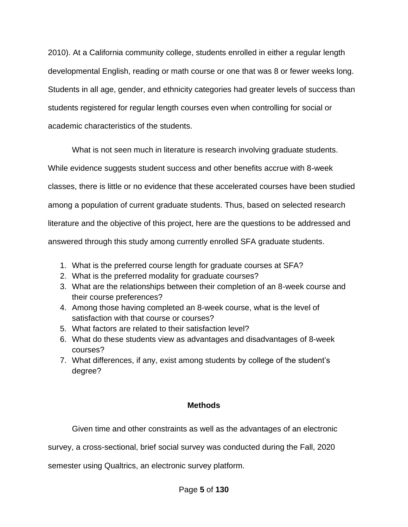2010). At a California community college, students enrolled in either a regular length developmental English, reading or math course or one that was 8 or fewer weeks long. Students in all age, gender, and ethnicity categories had greater levels of success than students registered for regular length courses even when controlling for social or academic characteristics of the students.

What is not seen much in literature is research involving graduate students. While evidence suggests student success and other benefits accrue with 8-week classes, there is little or no evidence that these accelerated courses have been studied among a population of current graduate students. Thus, based on selected research literature and the objective of this project, here are the questions to be addressed and answered through this study among currently enrolled SFA graduate students.

- 1. What is the preferred course length for graduate courses at SFA?
- 2. What is the preferred modality for graduate courses?
- 3. What are the relationships between their completion of an 8-week course and their course preferences?
- 4. Among those having completed an 8-week course, what is the level of satisfaction with that course or courses?
- 5. What factors are related to their satisfaction level?
- 6. What do these students view as advantages and disadvantages of 8-week courses?
- 7. What differences, if any, exist among students by college of the student's degree?

## **Methods**

Given time and other constraints as well as the advantages of an electronic

survey, a cross-sectional, brief social survey was conducted during the Fall, 2020

semester using Qualtrics, an electronic survey platform.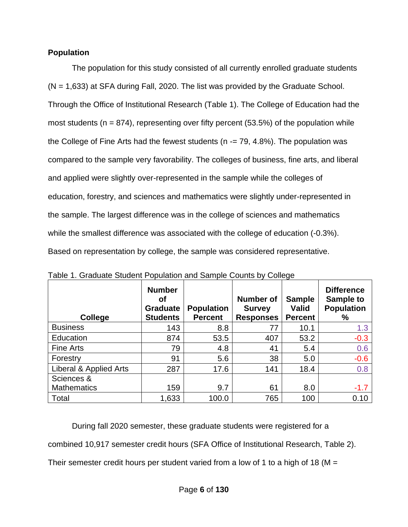## **Population**

The population for this study consisted of all currently enrolled graduate students (N = 1,633) at SFA during Fall, 2020. The list was provided by the Graduate School. Through the Office of Institutional Research (Table 1). The College of Education had the most students ( $n = 874$ ), representing over fifty percent (53.5%) of the population while the College of Fine Arts had the fewest students ( $n = 79, 4.8\%$ ). The population was compared to the sample very favorability. The colleges of business, fine arts, and liberal and applied were slightly over-represented in the sample while the colleges of education, forestry, and sciences and mathematics were slightly under-represented in the sample. The largest difference was in the college of sciences and mathematics while the smallest difference was associated with the college of education (-0.3%). Based on representation by college, the sample was considered representative.

| <b>College</b>         | <b>Number</b><br>Οf<br><b>Graduate</b><br><b>Students</b> | <b>Population</b><br><b>Percent</b> | <b>Number of</b><br><b>Survey</b><br><b>Responses</b> | <b>Sample</b><br><b>Valid</b><br><b>Percent</b> | <b>Difference</b><br>Sample to<br><b>Population</b><br>% |
|------------------------|-----------------------------------------------------------|-------------------------------------|-------------------------------------------------------|-------------------------------------------------|----------------------------------------------------------|
| <b>Business</b>        | 143                                                       | 8.8                                 | 77                                                    | 10.1                                            | 1.3                                                      |
| Education              | 874                                                       | 53.5                                | 407                                                   | 53.2                                            | $-0.3$                                                   |
| Fine Arts              | 79                                                        | 4.8                                 | 41                                                    | 5.4                                             | 0.6                                                      |
| Forestry               | 91                                                        | 5.6                                 | 38                                                    | 5.0                                             | $-0.6$                                                   |
| Liberal & Applied Arts | 287                                                       | 17.6                                | 141                                                   | 18.4                                            | 0.8                                                      |
| Sciences &             |                                                           |                                     |                                                       |                                                 |                                                          |
| <b>Mathematics</b>     | 159                                                       | 9.7                                 | 61                                                    | 8.0                                             | $-1.7$                                                   |
| Total                  | 1,633                                                     | 100.0                               | 765                                                   | 100                                             | 0.10                                                     |

Table 1. Graduate Student Population and Sample Counts by College

During fall 2020 semester, these graduate students were registered for a combined 10,917 semester credit hours (SFA Office of Institutional Research, Table 2). Their semester credit hours per student varied from a low of 1 to a high of 18 ( $M =$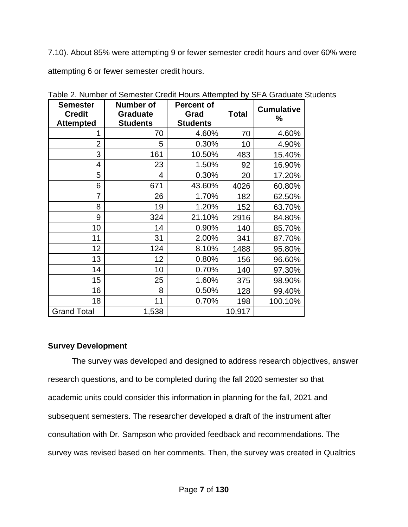7.10). About 85% were attempting 9 or fewer semester credit hours and over 60% were attempting 6 or fewer semester credit hours.

| <b>Semester</b><br><b>Credit</b><br><b>Attempted</b> | <b>Number of</b><br><b>Graduate</b><br><b>Students</b> | <b>Percent of</b><br>Grad<br><b>Students</b> | Total  | <b>Cumulative</b><br>% |
|------------------------------------------------------|--------------------------------------------------------|----------------------------------------------|--------|------------------------|
| 1                                                    | 70                                                     | 4.60%                                        | 70     | 4.60%                  |
| 2                                                    | 5                                                      | 0.30%                                        | 10     | 4.90%                  |
| 3                                                    | 161                                                    | 10.50%                                       | 483    | 15.40%                 |
| 4                                                    | 23                                                     | 1.50%                                        | 92     | 16.90%                 |
| 5                                                    | 4                                                      | 0.30%                                        | 20     | 17.20%                 |
| 6                                                    | 671                                                    | 43.60%                                       | 4026   | 60.80%                 |
| 7                                                    | 26                                                     | 1.70%                                        | 182    | 62.50%                 |
| 8                                                    | 19                                                     | 1.20%                                        | 152    | 63.70%                 |
| 9                                                    | 324                                                    | 21.10%                                       | 2916   | 84.80%                 |
| 10                                                   | 14                                                     | 0.90%                                        | 140    | 85.70%                 |
| 11                                                   | 31                                                     | 2.00%                                        | 341    | 87.70%                 |
| 12                                                   | 124                                                    | 8.10%                                        | 1488   | 95.80%                 |
| 13                                                   | 12                                                     | 0.80%                                        | 156    | 96.60%                 |
| 14                                                   | 10                                                     | 0.70%                                        | 140    | 97.30%                 |
| 15                                                   | 25                                                     | 1.60%                                        | 375    | 98.90%                 |
| 16                                                   | 8                                                      | 0.50%                                        | 128    | 99.40%                 |
| 18                                                   | 11                                                     | 0.70%                                        | 198    | 100.10%                |
| <b>Grand Total</b>                                   | 1,538                                                  |                                              | 10,917 |                        |

Table 2. Number of Semester Credit Hours Attempted by SFA Graduate Students

## **Survey Development**

The survey was developed and designed to address research objectives, answer research questions, and to be completed during the fall 2020 semester so that academic units could consider this information in planning for the fall, 2021 and subsequent semesters. The researcher developed a draft of the instrument after consultation with Dr. Sampson who provided feedback and recommendations. The survey was revised based on her comments. Then, the survey was created in Qualtrics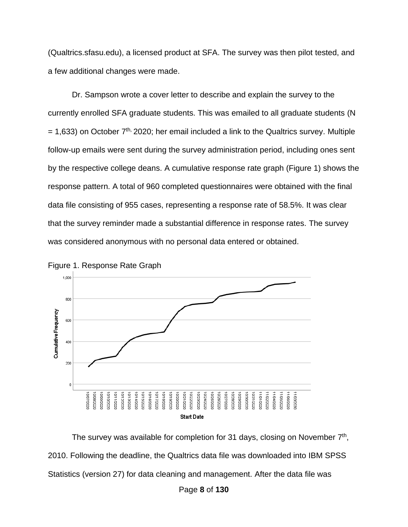(Qualtrics.sfasu.edu), a licensed product at SFA. The survey was then pilot tested, and a few additional changes were made.

Dr. Sampson wrote a cover letter to describe and explain the survey to the currently enrolled SFA graduate students. This was emailed to all graduate students (N  $= 1,633$ ) on October  $7<sup>th</sup>$ , 2020; her email included a link to the Qualtrics survey. Multiple follow-up emails were sent during the survey administration period, including ones sent by the respective college deans. A cumulative response rate graph (Figure 1) shows the response pattern. A total of 960 completed questionnaires were obtained with the final data file consisting of 955 cases, representing a response rate of 58.5%. It was clear that the survey reminder made a substantial difference in response rates. The survey was considered anonymous with no personal data entered or obtained.





The survey was available for completion for 31 days, closing on November  $7<sup>th</sup>$ , 2010. Following the deadline, the Qualtrics data file was downloaded into IBM SPSS Statistics (version 27) for data cleaning and management. After the data file was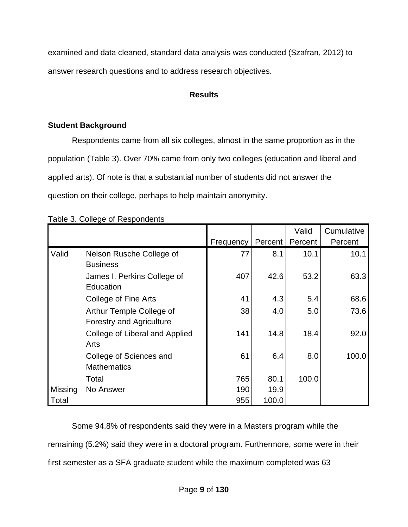examined and data cleaned, standard data analysis was conducted (Szafran, 2012) to answer research questions and to address research objectives.

## **Results**

## **Student Background**

Respondents came from all six colleges, almost in the same proportion as in the population (Table 3). Over 70% came from only two colleges (education and liberal and applied arts). Of note is that a substantial number of students did not answer the question on their college, perhaps to help maintain anonymity.

|  | Table 3. College of Respondents |
|--|---------------------------------|
|  |                                 |
|  |                                 |

|         |                                                             |           |         | Valid   | Cumulative |
|---------|-------------------------------------------------------------|-----------|---------|---------|------------|
|         |                                                             | Frequency | Percent | Percent | Percent    |
| Valid   | Nelson Rusche College of<br><b>Business</b>                 | 77        | 8.1     | 10.1    | 10.1       |
|         | James I. Perkins College of<br>Education                    | 407       | 42.6    | 53.2    | 63.3       |
|         | College of Fine Arts                                        | 41        | 4.3     | 5.4     | 68.6       |
|         | Arthur Temple College of<br><b>Forestry and Agriculture</b> | 38        | 4.0     | 5.0     | 73.6       |
|         | College of Liberal and Applied<br>Arts                      | 141       | 14.8    | 18.4    | 92.0       |
|         | College of Sciences and<br><b>Mathematics</b>               | 61        | 6.4     | 8.0     | 100.0      |
|         | Total                                                       | 765       | 80.1    | 100.0   |            |
| Missing | No Answer                                                   | 190       | 19.9    |         |            |
| Total   |                                                             | 955       | 100.0   |         |            |

Some 94.8% of respondents said they were in a Masters program while the remaining (5.2%) said they were in a doctoral program. Furthermore, some were in their first semester as a SFA graduate student while the maximum completed was 63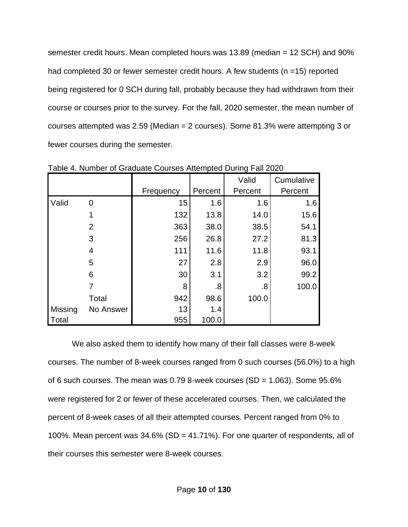semester credit hours. Mean completed hours was 13.89 (median = 12 SCH) and 90% had completed 30 or fewer semester credit hours. A few students (n =15) reported being registered for 0 SCH during fall, probably because they had withdrawn from their course or courses prior to the survey. For the fall, 2020 semester, the mean number of courses attempted was 2.59 (Median = 2 courses). Some 81.3% were attempting 3 or fewer courses during the semester.

|         |                |           |         | Valid   | Cumulative |
|---------|----------------|-----------|---------|---------|------------|
|         |                | Frequency | Percent | Percent | Percent    |
| Valid   | 0              | 15        | 1.6     | 1.6     | 1.6        |
|         |                | 132       | 13.8    | 14.0    | 15.6       |
|         | $\overline{2}$ | 363       | 38.0    | 38.5    | 54.1       |
|         | 3              | 256       | 26.8    | 27.2    | 81.3       |
|         | 4              | 111       | 11.6    | 11.8    | 93.1       |
|         | 5              | 27        | 2.8     | 2.9     | 96.0       |
|         | 6              | 30        | 3.1     | 3.2     | 99.2       |
|         |                | 8         | .8      | .8      | 100.0      |
|         | Total          | 942       | 98.6    | 100.0   |            |
| Missing | No Answer      | 13        | 1.4     |         |            |
| Total   |                | 955       | 100.0   |         |            |

Table 4. Number of Graduate Courses Attempted During Fall 2020

We also asked them to identify how many of their fall classes were 8-week courses. The number of 8-week courses ranged from 0 such courses (56.0%) to a high of 6 such courses. The mean was  $0.79$  8-week courses (SD = 1.063). Some  $95.6\%$ were registered for 2 or fewer of these accelerated courses. Then, we calculated the percent of 8-week cases of all their attempted courses. Percent ranged from 0% to 100%. Mean percent was 34.6% (SD = 41.71%). For one quarter of respondents, all of their courses this semester were 8-week courses.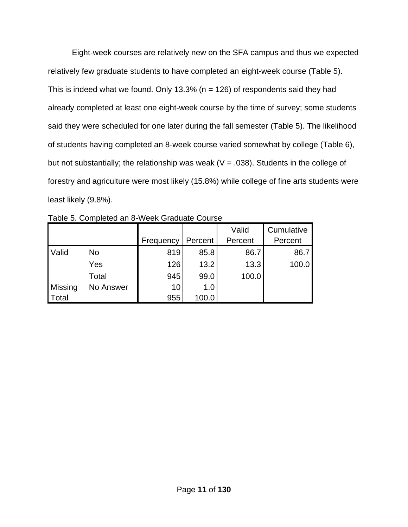Eight-week courses are relatively new on the SFA campus and thus we expected relatively few graduate students to have completed an eight-week course (Table 5). This is indeed what we found. Only 13.3% ( $n = 126$ ) of respondents said they had already completed at least one eight-week course by the time of survey; some students said they were scheduled for one later during the fall semester (Table 5). The likelihood of students having completed an 8-week course varied somewhat by college (Table 6), but not substantially; the relationship was weak ( $V = .038$ ). Students in the college of forestry and agriculture were most likely (15.8%) while college of fine arts students were least likely (9.8%).

|         |           |           |         | Valid   | Cumulative |
|---------|-----------|-----------|---------|---------|------------|
|         |           | Frequency | Percent | Percent | Percent    |
| Valid   | No        | 819       | 85.8    | 86.7    | 86.7       |
|         | Yes       | 126       | 13.2    | 13.3    | 100.0      |
|         | Total     | 945       | 99.0    | 100.0   |            |
| Missing | No Answer | 10        | 1.0     |         |            |
| Total   |           | 955       | 100.0   |         |            |

Table 5. Completed an 8-Week Graduate Course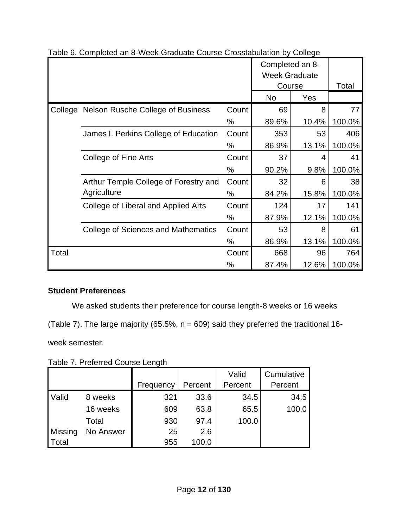|       |                                            |       | Completed an 8-<br><b>Week Graduate</b> |       |        |
|-------|--------------------------------------------|-------|-----------------------------------------|-------|--------|
|       |                                            |       | Course                                  |       | Total  |
|       |                                            |       | <b>No</b><br>Yes                        |       |        |
|       | College Nelson Rusche College of Business  | Count | 69                                      | 8     | 77     |
|       |                                            | $\%$  | 89.6%                                   | 10.4% | 100.0% |
|       | James I. Perkins College of Education      | Count | 353                                     | 53    | 406    |
|       |                                            | %     | 86.9%                                   | 13.1% | 100.0% |
|       | College of Fine Arts                       | Count | 37                                      | 4     | 41     |
|       |                                            | %     | 90.2%                                   | 9.8%  | 100.0% |
|       | Arthur Temple College of Forestry and      | Count | 32                                      | 6     | 38     |
|       | Agriculture                                | %     | 84.2%                                   | 15.8% | 100.0% |
|       | College of Liberal and Applied Arts        | Count | 124                                     | 17    | 141    |
|       |                                            | $\%$  | 87.9%                                   | 12.1% | 100.0% |
|       | <b>College of Sciences and Mathematics</b> | Count | 53                                      | 8     | 61     |
|       |                                            | %     | 86.9%                                   | 13.1% | 100.0% |
| Total |                                            | Count | 668                                     | 96    | 764    |
|       |                                            | ℅     | 87.4%                                   | 12.6% | 100.0% |

Table 6. Completed an 8-Week Graduate Course Crosstabulation by College

## **Student Preferences**

We asked students their preference for course length-8 weeks or 16 weeks

(Table 7). The large majority (65.5%,  $n = 609$ ) said they preferred the traditional 16-

week semester.

Table 7. Preferred Course Length

|                |           |           |         | Valid   | Cumulative |
|----------------|-----------|-----------|---------|---------|------------|
|                |           | Frequency | Percent | Percent | Percent    |
| <b>Valid</b>   | 8 weeks   | 321       | 33.6    | 34.5    | 34.5       |
|                | 16 weeks  | 609       | 63.8    | 65.5    | 100.0      |
|                | Total     | 930       | 97.4    | 100.0   |            |
| <b>Missing</b> | No Answer | 25        | 2.6     |         |            |
| Total          |           | 955       | 100.0   |         |            |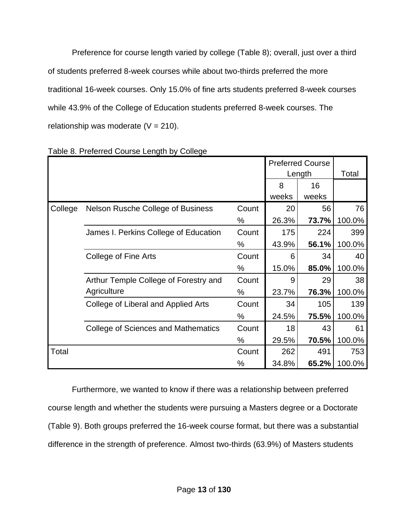Preference for course length varied by college (Table 8); overall, just over a third of students preferred 8-week courses while about two-thirds preferred the more traditional 16-week courses. Only 15.0% of fine arts students preferred 8-week courses while 43.9% of the College of Education students preferred 8-week courses. The relationship was moderate  $(V = 210)$ .

|         |                                          |       |        | <b>Preferred Course</b> |        |
|---------|------------------------------------------|-------|--------|-------------------------|--------|
|         |                                          |       | Length |                         | Total  |
|         |                                          |       | 8      | 16                      |        |
|         |                                          |       | weeks  | weeks                   |        |
| College | <b>Nelson Rusche College of Business</b> | Count | 20     | 56                      | 76     |
|         |                                          | ℅     | 26.3%  | 73.7%                   | 100.0% |
|         | James I. Perkins College of Education    | Count | 175    | 224                     | 399    |
|         |                                          | %     | 43.9%  | 56.1%                   | 100.0% |
|         | College of Fine Arts                     | Count | 6      | 34                      | 40     |
|         |                                          | %     | 15.0%  | 85.0%                   | 100.0% |
|         | Arthur Temple College of Forestry and    | Count | 9      | 29                      | 38     |
|         | Agriculture                              | %     | 23.7%  | 76.3%                   | 100.0% |
|         | College of Liberal and Applied Arts      | Count | 34     | 105                     | 139    |
|         |                                          | %     | 24.5%  | 75.5%                   | 100.0% |
|         | College of Sciences and Mathematics      | Count | 18     | 43                      | 61     |
|         |                                          | %     | 29.5%  | 70.5%                   | 100.0% |
| Total   |                                          | Count | 262    | 491                     | 753    |
|         |                                          | %     | 34.8%  | 65.2%                   | 100.0% |

Table 8. Preferred Course Length by College

Furthermore, we wanted to know if there was a relationship between preferred course length and whether the students were pursuing a Masters degree or a Doctorate (Table 9). Both groups preferred the 16-week course format, but there was a substantial difference in the strength of preference. Almost two-thirds (63.9%) of Masters students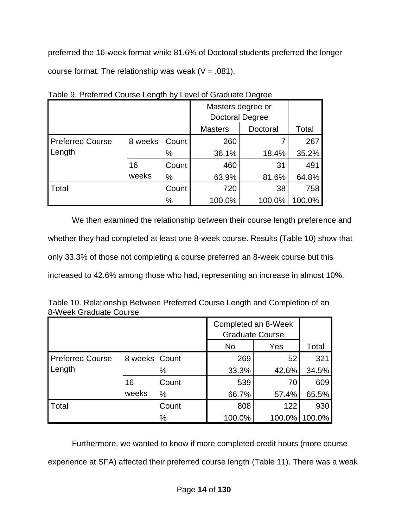preferred the 16-week format while 81.6% of Doctoral students preferred the longer course format. The relationship was weak ( $V = .081$ ).

|                         |         |       | Masters degree or<br><b>Doctoral Degree</b> |          |        |
|-------------------------|---------|-------|---------------------------------------------|----------|--------|
|                         |         |       | <b>Masters</b>                              | Doctoral | Total  |
| <b>Preferred Course</b> | 8 weeks | Count | 260                                         | 7        | 267    |
| Length                  |         | %     | 36.1%                                       | 18.4%    | 35.2%  |
|                         | 16      | Count | 460                                         | 31       | 491    |
|                         | weeks   | %     | 63.9%                                       | 81.6%    | 64.8%  |
| Total                   |         | Count | 720                                         | 38       | 758    |
|                         |         | %     | 100.0%                                      | 100.0%   | 100.0% |

Table 9. Preferred Course Length by Level of Graduate Degree

We then examined the relationship between their course length preference and whether they had completed at least one 8-week course. Results (Table 10) show that only 33.3% of those not completing a course preferred an 8-week course but this increased to 42.6% among those who had, representing an increase in almost 10%.

| Table 10. Relationship Between Preferred Course Length and Completion of an |  |
|-----------------------------------------------------------------------------|--|
| 8-Week Graduate Course                                                      |  |
|                                                                             |  |

|                         |               |       | Completed an 8-Week<br><b>Graduate Course</b> |        |        |
|-------------------------|---------------|-------|-----------------------------------------------|--------|--------|
|                         |               |       | <b>No</b>                                     | Yes    | Total  |
| <b>Preferred Course</b> | 8 weeks Count |       | 269                                           | 52     | 321    |
| Length                  |               | %     | 33.3%                                         | 42.6%  | 34.5%  |
|                         | 16            | Count | 539                                           | 70     | 609    |
|                         | weeks         | $\%$  | 66.7%                                         | 57.4%  | 65.5%  |
| Total                   |               | Count | 808                                           | 122    | 930    |
|                         |               | $\%$  | 100.0%                                        | 100.0% | 100.0% |

Furthermore, we wanted to know if more completed credit hours (more course experience at SFA) affected their preferred course length (Table 11). There was a weak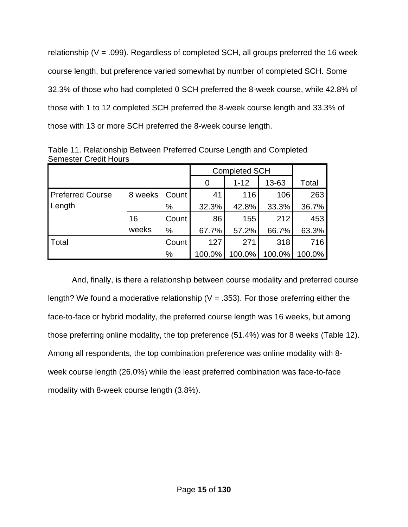relationship ( $V = .099$ ). Regardless of completed SCH, all groups preferred the 16 week course length, but preference varied somewhat by number of completed SCH. Some 32.3% of those who had completed 0 SCH preferred the 8-week course, while 42.8% of those with 1 to 12 completed SCH preferred the 8-week course length and 33.3% of those with 13 or more SCH preferred the 8-week course length.

|                         |         |       | <b>Completed SCH</b> |          |        |        |
|-------------------------|---------|-------|----------------------|----------|--------|--------|
|                         |         |       | 0                    | $1 - 12$ | 13-63  | Total  |
| <b>Preferred Course</b> | 8 weeks | Count | 41                   | 116      | 106    | 263    |
| Length                  |         | %     | 32.3%                | 42.8%    | 33.3%  | 36.7%  |
|                         | 16      | Count | 86                   | 155      | 212    | 453    |
|                         | weeks   | $\%$  | 67.7%                | 57.2%    | 66.7%  | 63.3%  |
| Total                   |         | Count | 127                  | 271      | 318    | 716    |
|                         |         | %     | 100.0%               | 100.0%   | 100.0% | 100.0% |

Table 11. Relationship Between Preferred Course Length and Completed Semester Credit Hours

And, finally, is there a relationship between course modality and preferred course length? We found a moderative relationship ( $V = .353$ ). For those preferring either the face-to-face or hybrid modality, the preferred course length was 16 weeks, but among those preferring online modality, the top preference (51.4%) was for 8 weeks (Table 12). Among all respondents, the top combination preference was online modality with 8 week course length (26.0%) while the least preferred combination was face-to-face modality with 8-week course length (3.8%).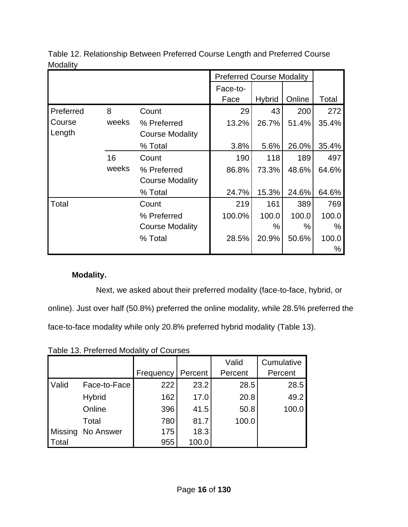|           |       |                        | <b>Preferred Course Modality</b> |        |        |       |
|-----------|-------|------------------------|----------------------------------|--------|--------|-------|
|           |       |                        | Face-to-                         |        |        |       |
|           |       |                        | Face                             | Hybrid | Online | Total |
| Preferred | 8     | Count                  | 29                               | 43     | 200    | 272   |
| Course    | weeks | % Preferred            | 13.2%                            | 26.7%  | 51.4%  | 35.4% |
| Length    |       | <b>Course Modality</b> |                                  |        |        |       |
|           |       | % Total                | 3.8%                             | 5.6%   | 26.0%  | 35.4% |
|           | 16    | Count                  | 190                              | 118    | 189    | 497   |
|           | weeks | % Preferred            | 86.8%                            | 73.3%  | 48.6%  | 64.6% |
|           |       | <b>Course Modality</b> |                                  |        |        |       |
|           |       | % Total                | 24.7%                            | 15.3%  | 24.6%  | 64.6% |
| Total     |       | Count                  | 219                              | 161    | 389    | 769   |
|           |       | % Preferred            | 100.0%                           | 100.0  | 100.0  | 100.0 |
|           |       | <b>Course Modality</b> |                                  | %      | %      | %     |
|           |       | % Total                | 28.5%                            | 20.9%  | 50.6%  | 100.0 |
|           |       |                        |                                  |        |        | ℅     |

Table 12. Relationship Between Preferred Course Length and Preferred Course Modality

## **Modality.**

Next, we asked about their preferred modality (face-to-face, hybrid, or online). Just over half (50.8%) preferred the online modality, while 28.5% preferred the face-to-face modality while only 20.8% preferred hybrid modality (Table 13).

Table 13. Preferred Modality of Courses

|         |               |           |         | Valid   | Cumulative |
|---------|---------------|-----------|---------|---------|------------|
|         |               | Frequency | Percent | Percent | Percent    |
| Valid   | Face-to-Face  | 222       | 23.2    | 28.5    | 28.5       |
|         | <b>Hybrid</b> | 162       | 17.0    | 20.8    | 49.2       |
|         | Online        | 396       | 41.5    | 50.8    | 100.0      |
|         | Total         | 780       | 81.7    | 100.0   |            |
| Missing | No Answer     | 175       | 18.3    |         |            |
| Total   |               | 955       | 100.0   |         |            |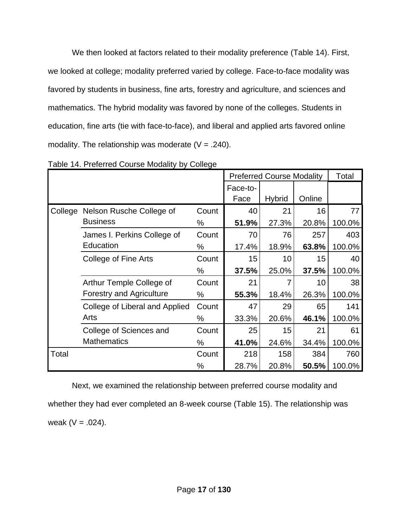We then looked at factors related to their modality preference (Table 14). First, we looked at college; modality preferred varied by college. Face-to-face modality was favored by students in business, fine arts, forestry and agriculture, and sciences and mathematics. The hybrid modality was favored by none of the colleges. Students in education, fine arts (tie with face-to-face), and liberal and applied arts favored online modality. The relationship was moderate  $(V = .240)$ .

|         |                                 |          |       | <b>Preferred Course Modality</b> |        |        |  |
|---------|---------------------------------|----------|-------|----------------------------------|--------|--------|--|
|         |                                 | Face-to- |       |                                  |        |        |  |
|         |                                 |          | Face  | <b>Hybrid</b>                    | Online |        |  |
| College | Nelson Rusche College of        | Count    | 40    | 21                               | 16     | 77     |  |
|         | <b>Business</b>                 | %        | 51.9% | 27.3%                            | 20.8%  | 100.0% |  |
|         | James I. Perkins College of     | Count    | 70    | 76                               | 257    | 403    |  |
|         | Education                       | %        | 17.4% | 18.9%                            | 63.8%  | 100.0% |  |
|         | College of Fine Arts            | Count    | 15    | 10                               | 15     | 40     |  |
|         |                                 | %        | 37.5% | 25.0%                            | 37.5%  | 100.0% |  |
|         | Arthur Temple College of        | Count    | 21    |                                  | 10     | 38     |  |
|         | <b>Forestry and Agriculture</b> | %        | 55.3% | 18.4%                            | 26.3%  | 100.0% |  |
|         | College of Liberal and Applied  | Count    | 47    | 29                               | 65     | 141    |  |
|         | Arts                            | %        | 33.3% | 20.6%                            | 46.1%  | 100.0% |  |
|         | College of Sciences and         | Count    | 25    | 15                               | 21     | 61     |  |
|         | <b>Mathematics</b>              | %        | 41.0% | 24.6%                            | 34.4%  | 100.0% |  |
| Total   |                                 | Count    | 218   | 158                              | 384    | 760    |  |
|         |                                 | %        | 28.7% | 20.8%                            | 50.5%  | 100.0% |  |

Table 14. Preferred Course Modality by College

Next, we examined the relationship between preferred course modality and whether they had ever completed an 8-week course (Table 15). The relationship was weak ( $V = .024$ ).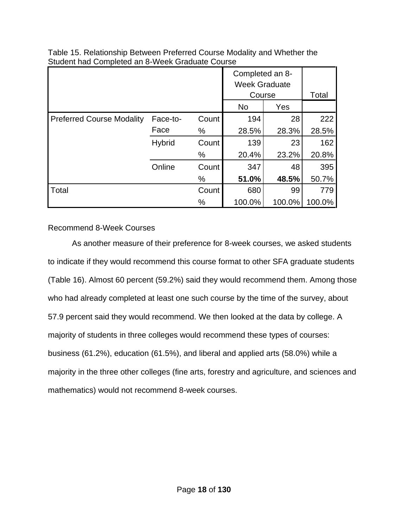|                                  |               |       | Completed an 8-<br><b>Week Graduate</b><br>Course |        |        |
|----------------------------------|---------------|-------|---------------------------------------------------|--------|--------|
|                                  |               |       |                                                   |        | Total  |
|                                  |               |       | <b>No</b>                                         | Yes    |        |
| <b>Preferred Course Modality</b> | Face-to-      | Count | 194                                               | 28     | 222    |
|                                  | Face          | %     | 28.5%                                             | 28.3%  | 28.5%  |
|                                  | <b>Hybrid</b> | Count | 139                                               | 23     | 162    |
|                                  |               | %     | 20.4%                                             | 23.2%  | 20.8%  |
|                                  | Online        | Count | 347                                               | 48     | 395    |
|                                  |               | %     | 51.0%                                             | 48.5%  | 50.7%  |
| <b>Total</b>                     |               | Count | 680                                               | 99     | 779    |
|                                  |               | %     | 100.0%                                            | 100.0% | 100.0% |

Table 15. Relationship Between Preferred Course Modality and Whether the Student had Completed an 8-Week Graduate Course

Recommend 8-Week Courses

As another measure of their preference for 8-week courses, we asked students to indicate if they would recommend this course format to other SFA graduate students (Table 16). Almost 60 percent (59.2%) said they would recommend them. Among those who had already completed at least one such course by the time of the survey, about 57.9 percent said they would recommend. We then looked at the data by college. A majority of students in three colleges would recommend these types of courses: business (61.2%), education (61.5%), and liberal and applied arts (58.0%) while a majority in the three other colleges (fine arts, forestry and agriculture, and sciences and mathematics) would not recommend 8-week courses.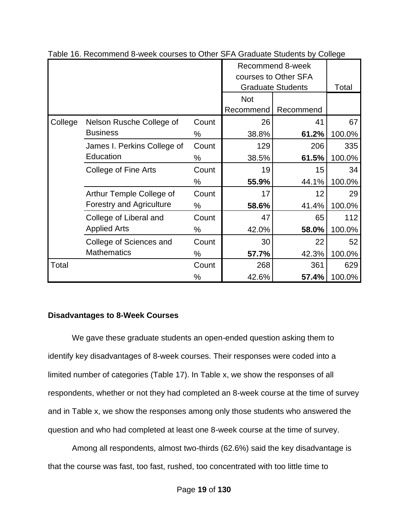|         |                                          |       | Recommend 8-week<br>courses to Other SFA |                          |        |
|---------|------------------------------------------|-------|------------------------------------------|--------------------------|--------|
|         |                                          |       |                                          | <b>Graduate Students</b> | Total  |
|         |                                          |       | <b>Not</b>                               |                          |        |
|         |                                          |       | Recommend                                | Recommend                |        |
| College | Nelson Rusche College of                 | Count | 26                                       | 41                       | 67     |
|         | <b>Business</b>                          | %     | 38.8%                                    | 61.2%                    | 100.0% |
|         | James I. Perkins College of<br>Education | Count | 129                                      | 206                      | 335    |
|         |                                          | $\%$  | 38.5%                                    | 61.5%                    | 100.0% |
|         | College of Fine Arts                     | Count | 19                                       | 15                       | 34     |
|         |                                          | %     | 55.9%                                    | 44.1%                    | 100.0% |
|         | Arthur Temple College of                 | Count | 17                                       | 12                       | 29     |
|         | <b>Forestry and Agriculture</b>          | %     | 58.6%                                    | 41.4%                    | 100.0% |
|         | College of Liberal and                   | Count | 47                                       | 65                       | 112    |
|         | <b>Applied Arts</b>                      | %     | 42.0%                                    | 58.0%                    | 100.0% |
|         | College of Sciences and                  | Count | 30                                       | 22                       | 52     |
|         | <b>Mathematics</b>                       | %     | 57.7%                                    | 42.3%                    | 100.0% |
| Total   |                                          | Count | 268                                      | 361                      | 629    |
|         |                                          | %     | 42.6%                                    | 57.4%                    | 100.0% |

Table 16. Recommend 8-week courses to Other SFA Graduate Students by College

## **Disadvantages to 8-Week Courses**

We gave these graduate students an open-ended question asking them to identify key disadvantages of 8-week courses. Their responses were coded into a limited number of categories (Table 17). In Table x, we show the responses of all respondents, whether or not they had completed an 8-week course at the time of survey and in Table x, we show the responses among only those students who answered the question and who had completed at least one 8-week course at the time of survey.

Among all respondents, almost two-thirds (62.6%) said the key disadvantage is that the course was fast, too fast, rushed, too concentrated with too little time to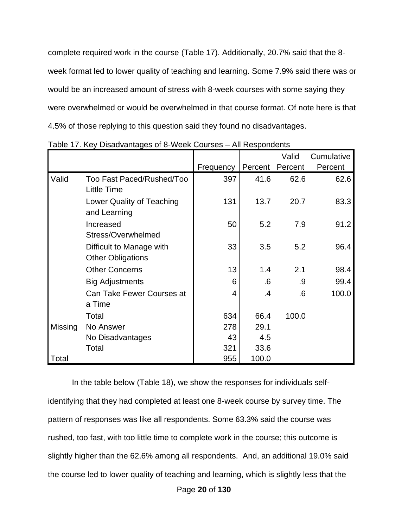complete required work in the course (Table 17). Additionally, 20.7% said that the 8 week format led to lower quality of teaching and learning. Some 7.9% said there was or would be an increased amount of stress with 8-week courses with some saying they were overwhelmed or would be overwhelmed in that course format. Of note here is that 4.5% of those replying to this question said they found no disadvantages.

|         |                           |           |         | Valid   | Cumulative |
|---------|---------------------------|-----------|---------|---------|------------|
|         |                           | Frequency | Percent | Percent | Percent    |
| Valid   | Too Fast Paced/Rushed/Too | 397       | 41.6    | 62.6    | 62.6       |
|         | <b>Little Time</b>        |           |         |         |            |
|         | Lower Quality of Teaching | 131       | 13.7    | 20.7    | 83.3       |
|         | and Learning              |           |         |         |            |
|         | Increased                 | 50        | 5.2     | 7.9     | 91.2       |
|         | Stress/Overwhelmed        |           |         |         |            |
|         | Difficult to Manage with  | 33        | 3.5     | 5.2     | 96.4       |
|         | <b>Other Obligations</b>  |           |         |         |            |
|         | <b>Other Concerns</b>     | 13        | 1.4     | 2.1     | 98.4       |
|         | <b>Big Adjustments</b>    | 6         | .6      | .9      | 99.4       |
|         | Can Take Fewer Courses at | 4         | .4      | .6      | 100.0      |
|         | a Time                    |           |         |         |            |
|         | Total                     | 634       | 66.4    | 100.0   |            |
| Missing | No Answer                 | 278       | 29.1    |         |            |
|         | No Disadvantages          | 43        | 4.5     |         |            |
|         | Total                     | 321       | 33.6    |         |            |
| Total   |                           | 955       | 100.0   |         |            |

|  |  | Table 17. Key Disadvantages of 8-Week Courses - All Respondents |  |
|--|--|-----------------------------------------------------------------|--|
|--|--|-----------------------------------------------------------------|--|

In the table below (Table 18), we show the responses for individuals selfidentifying that they had completed at least one 8-week course by survey time. The pattern of responses was like all respondents. Some 63.3% said the course was rushed, too fast, with too little time to complete work in the course; this outcome is slightly higher than the 62.6% among all respondents. And, an additional 19.0% said the course led to lower quality of teaching and learning, which is slightly less that the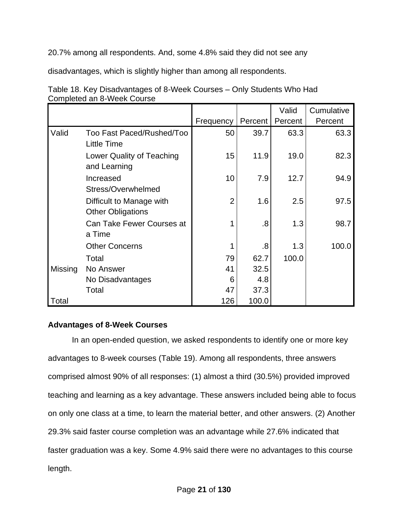20.7% among all respondents. And, some 4.8% said they did not see any

disadvantages, which is slightly higher than among all respondents.

|         |                                                      |                |         | Valid   | Cumulative |
|---------|------------------------------------------------------|----------------|---------|---------|------------|
|         |                                                      | Frequency      | Percent | Percent | Percent    |
| Valid   | Too Fast Paced/Rushed/Too<br><b>Little Time</b>      | 50             | 39.7    | 63.3    | 63.3       |
|         | Lower Quality of Teaching<br>and Learning            | 15             | 11.9    | 19.0    | 82.3       |
|         | Increased<br>Stress/Overwhelmed                      | 10             | 7.9     | 12.7    | 94.9       |
|         | Difficult to Manage with<br><b>Other Obligations</b> | $\overline{2}$ | 1.6     | 2.5     | 97.5       |
|         | Can Take Fewer Courses at<br>a Time                  |                | .8      | 1.3     | 98.7       |
|         | <b>Other Concerns</b>                                |                | .8      | 1.3     | 100.0      |
|         | Total                                                | 79             | 62.7    | 100.0   |            |
| Missing | No Answer                                            | 41             | 32.5    |         |            |
|         | No Disadvantages                                     | 6              | 4.8     |         |            |
|         | Total                                                | 47             | 37.3    |         |            |
| Total   |                                                      | 126            | 100.0   |         |            |

Table 18. Key Disadvantages of 8-Week Courses – Only Students Who Had Completed an 8-Week Course

## **Advantages of 8-Week Courses**

In an open-ended question, we asked respondents to identify one or more key advantages to 8-week courses (Table 19). Among all respondents, three answers comprised almost 90% of all responses: (1) almost a third (30.5%) provided improved teaching and learning as a key advantage. These answers included being able to focus on only one class at a time, to learn the material better, and other answers. (2) Another 29.3% said faster course completion was an advantage while 27.6% indicated that faster graduation was a key. Some 4.9% said there were no advantages to this course length.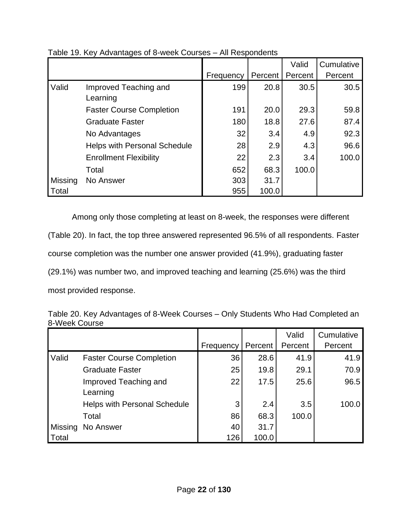|         |                                     |           |         | Valid   | Cumulative |
|---------|-------------------------------------|-----------|---------|---------|------------|
|         |                                     | Frequency | Percent | Percent | Percent    |
| Valid   | Improved Teaching and<br>Learning   | 199       | 20.8    | 30.5    | 30.5       |
|         | <b>Faster Course Completion</b>     | 191       | 20.0    | 29.3    | 59.8       |
|         | <b>Graduate Faster</b>              | 180       | 18.8    | 27.6    | 87.4       |
|         | No Advantages                       | 32        | 3.4     | 4.9     | 92.3       |
|         | <b>Helps with Personal Schedule</b> | 28        | 2.9     | 4.3     | 96.6       |
|         | <b>Enrollment Flexibility</b>       | 22        | 2.3     | 3.4     | 100.0      |
|         | Total                               | 652       | 68.3    | 100.0   |            |
| Missing | No Answer                           | 303       | 31.7    |         |            |
| Total   |                                     | 955       | 100.0   |         |            |

Table 19. Key Advantages of 8-week Courses – All Respondents

Among only those completing at least on 8-week, the responses were different (Table 20). In fact, the top three answered represented 96.5% of all respondents. Faster course completion was the number one answer provided (41.9%), graduating faster (29.1%) was number two, and improved teaching and learning (25.6%) was the third

most provided response.

| Table 20. Key Advantages of 8-Week Courses - Only Students Who Had Completed an |  |
|---------------------------------------------------------------------------------|--|
| 8-Week Course                                                                   |  |

|         |                                     |           |         | Valid   | Cumulative |
|---------|-------------------------------------|-----------|---------|---------|------------|
|         |                                     | Frequency | Percent | Percent | Percent    |
| Valid   | <b>Faster Course Completion</b>     | 36        | 28.6    | 41.9    | 41.9       |
|         | <b>Graduate Faster</b>              | 25        | 19.8    | 29.1    | 70.9       |
|         | Improved Teaching and               | 22        | 17.5    | 25.6    | 96.5       |
|         | Learning                            |           |         |         |            |
|         | <b>Helps with Personal Schedule</b> | 3         | 2.4     | 3.5     | 100.0      |
|         | Total                               | 86        | 68.3    | 100.0   |            |
| Missing | No Answer                           | 40        | 31.7    |         |            |
| Total   |                                     | 126       | 100.0   |         |            |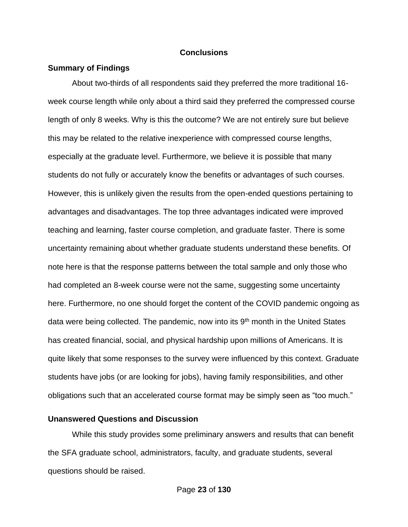#### **Conclusions**

#### **Summary of Findings**

About two-thirds of all respondents said they preferred the more traditional 16 week course length while only about a third said they preferred the compressed course length of only 8 weeks. Why is this the outcome? We are not entirely sure but believe this may be related to the relative inexperience with compressed course lengths, especially at the graduate level. Furthermore, we believe it is possible that many students do not fully or accurately know the benefits or advantages of such courses. However, this is unlikely given the results from the open-ended questions pertaining to advantages and disadvantages. The top three advantages indicated were improved teaching and learning, faster course completion, and graduate faster. There is some uncertainty remaining about whether graduate students understand these benefits. Of note here is that the response patterns between the total sample and only those who had completed an 8-week course were not the same, suggesting some uncertainty here. Furthermore, no one should forget the content of the COVID pandemic ongoing as data were being collected. The pandemic, now into its  $9<sup>th</sup>$  month in the United States has created financial, social, and physical hardship upon millions of Americans. It is quite likely that some responses to the survey were influenced by this context. Graduate students have jobs (or are looking for jobs), having family responsibilities, and other obligations such that an accelerated course format may be simply seen as "too much."

#### **Unanswered Questions and Discussion**

While this study provides some preliminary answers and results that can benefit the SFA graduate school, administrators, faculty, and graduate students, several questions should be raised.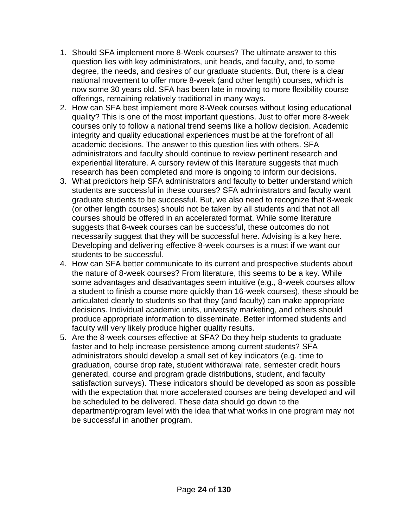- 1. Should SFA implement more 8-Week courses? The ultimate answer to this question lies with key administrators, unit heads, and faculty, and, to some degree, the needs, and desires of our graduate students. But, there is a clear national movement to offer more 8-week (and other length) courses, which is now some 30 years old. SFA has been late in moving to more flexibility course offerings, remaining relatively traditional in many ways.
- 2. How can SFA best implement more 8-Week courses without losing educational quality? This is one of the most important questions. Just to offer more 8-week courses only to follow a national trend seems like a hollow decision. Academic integrity and quality educational experiences must be at the forefront of all academic decisions. The answer to this question lies with others. SFA administrators and faculty should continue to review pertinent research and experiential literature. A cursory review of this literature suggests that much research has been completed and more is ongoing to inform our decisions.
- 3. What predictors help SFA administrators and faculty to better understand which students are successful in these courses? SFA administrators and faculty want graduate students to be successful. But, we also need to recognize that 8-week (or other length courses) should not be taken by all students and that not all courses should be offered in an accelerated format. While some literature suggests that 8-week courses can be successful, these outcomes do not necessarily suggest that they will be successful here. Advising is a key here. Developing and delivering effective 8-week courses is a must if we want our students to be successful.
- 4. How can SFA better communicate to its current and prospective students about the nature of 8-week courses? From literature, this seems to be a key. While some advantages and disadvantages seem intuitive (e.g., 8-week courses allow a student to finish a course more quickly than 16-week courses), these should be articulated clearly to students so that they (and faculty) can make appropriate decisions. Individual academic units, university marketing, and others should produce appropriate information to disseminate. Better informed students and faculty will very likely produce higher quality results.
- 5. Are the 8-week courses effective at SFA? Do they help students to graduate faster and to help increase persistence among current students? SFA administrators should develop a small set of key indicators (e.g. time to graduation, course drop rate, student withdrawal rate, semester credit hours generated, course and program grade distributions, student, and faculty satisfaction surveys). These indicators should be developed as soon as possible with the expectation that more accelerated courses are being developed and will be scheduled to be delivered. These data should go down to the department/program level with the idea that what works in one program may not be successful in another program.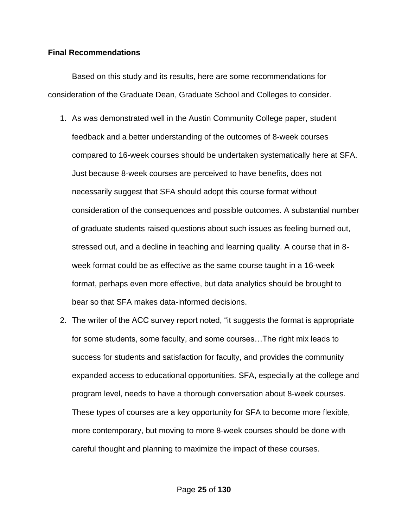#### **Final Recommendations**

Based on this study and its results, here are some recommendations for consideration of the Graduate Dean, Graduate School and Colleges to consider.

- 1. As was demonstrated well in the Austin Community College paper, student feedback and a better understanding of the outcomes of 8-week courses compared to 16-week courses should be undertaken systematically here at SFA. Just because 8-week courses are perceived to have benefits, does not necessarily suggest that SFA should adopt this course format without consideration of the consequences and possible outcomes. A substantial number of graduate students raised questions about such issues as feeling burned out, stressed out, and a decline in teaching and learning quality. A course that in 8 week format could be as effective as the same course taught in a 16-week format, perhaps even more effective, but data analytics should be brought to bear so that SFA makes data-informed decisions.
- 2. The writer of the ACC survey report noted, "it suggests the format is appropriate for some students, some faculty, and some courses…The right mix leads to success for students and satisfaction for faculty, and provides the community expanded access to educational opportunities. SFA, especially at the college and program level, needs to have a thorough conversation about 8-week courses. These types of courses are a key opportunity for SFA to become more flexible, more contemporary, but moving to more 8-week courses should be done with careful thought and planning to maximize the impact of these courses.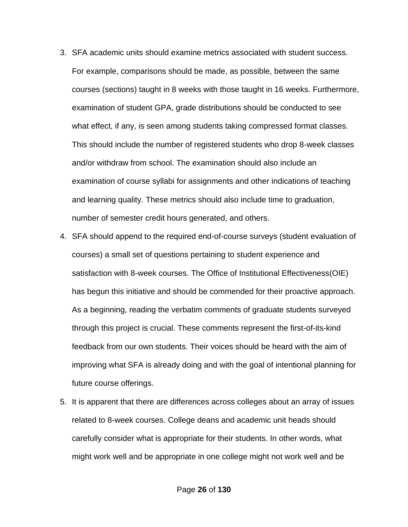- 3. SFA academic units should examine metrics associated with student success. For example, comparisons should be made, as possible, between the same courses (sections) taught in 8 weeks with those taught in 16 weeks. Furthermore, examination of student GPA, grade distributions should be conducted to see what effect, if any, is seen among students taking compressed format classes. This should include the number of registered students who drop 8-week classes and/or withdraw from school. The examination should also include an examination of course syllabi for assignments and other indications of teaching and learning quality. These metrics should also include time to graduation, number of semester credit hours generated, and others.
- 4. SFA should append to the required end-of-course surveys (student evaluation of courses) a small set of questions pertaining to student experience and satisfaction with 8-week courses. The Office of Institutional Effectiveness(OIE) has begun this initiative and should be commended for their proactive approach. As a beginning, reading the verbatim comments of graduate students surveyed through this project is crucial. These comments represent the first-of-its-kind feedback from our own students. Their voices should be heard with the aim of improving what SFA is already doing and with the goal of intentional planning for future course offerings.
- 5. It is apparent that there are differences across colleges about an array of issues related to 8-week courses. College deans and academic unit heads should carefully consider what is appropriate for their students. In other words, what might work well and be appropriate in one college might not work well and be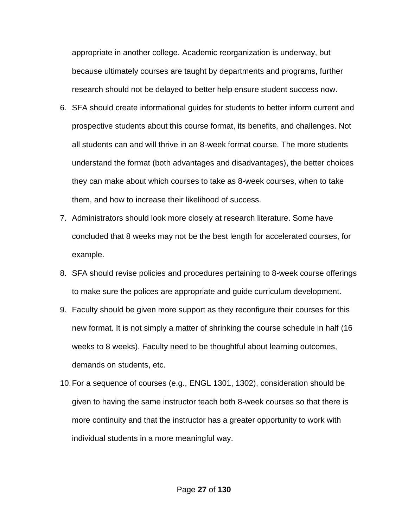appropriate in another college. Academic reorganization is underway, but because ultimately courses are taught by departments and programs, further research should not be delayed to better help ensure student success now.

- 6. SFA should create informational guides for students to better inform current and prospective students about this course format, its benefits, and challenges. Not all students can and will thrive in an 8-week format course. The more students understand the format (both advantages and disadvantages), the better choices they can make about which courses to take as 8-week courses, when to take them, and how to increase their likelihood of success.
- 7. Administrators should look more closely at research literature. Some have concluded that 8 weeks may not be the best length for accelerated courses, for example.
- 8. SFA should revise policies and procedures pertaining to 8-week course offerings to make sure the polices are appropriate and guide curriculum development.
- 9. Faculty should be given more support as they reconfigure their courses for this new format. It is not simply a matter of shrinking the course schedule in half (16 weeks to 8 weeks). Faculty need to be thoughtful about learning outcomes, demands on students, etc.
- 10.For a sequence of courses (e.g., ENGL 1301, 1302), consideration should be given to having the same instructor teach both 8-week courses so that there is more continuity and that the instructor has a greater opportunity to work with individual students in a more meaningful way.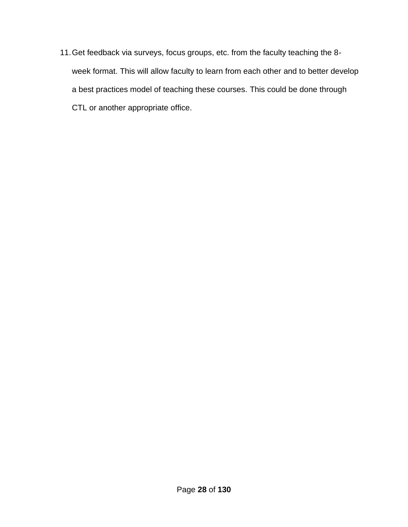11.Get feedback via surveys, focus groups, etc. from the faculty teaching the 8 week format. This will allow faculty to learn from each other and to better develop a best practices model of teaching these courses. This could be done through CTL or another appropriate office.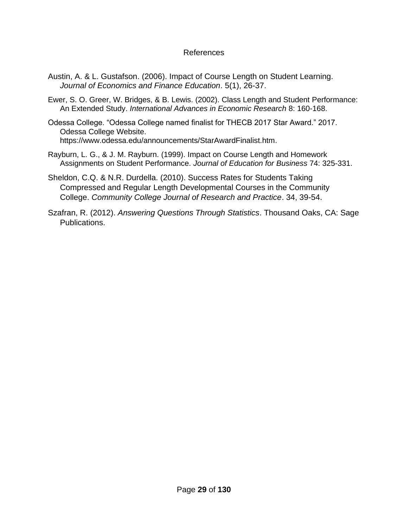#### References

- Austin, A. & L. Gustafson. (2006). Impact of Course Length on Student Learning. *Journal of Economics and Finance Education*. 5(1), 26-37.
- Ewer, S. O. Greer, W. Bridges, & B. Lewis. (2002). Class Length and Student Performance: An Extended Study. *International Advances in Economic Research* 8: 160-168.
- Odessa College. "Odessa College named finalist for THECB 2017 Star Award." 2017. Odessa College Website. https://www.odessa.edu/announcements/StarAwardFinalist.htm.
- Rayburn, L. G., & J. M. Rayburn. (1999). Impact on Course Length and Homework Assignments on Student Performance. *Journal of Education for Business* 74: 325-331.
- Sheldon, C.Q. & N.R. Durdella. (2010). Success Rates for Students Taking Compressed and Regular Length Developmental Courses in the Community College. *Community College Journal of Research and Practice*. 34, 39-54.
- Szafran, R. (2012). *Answering Questions Through Statistics*. Thousand Oaks, CA: Sage Publications.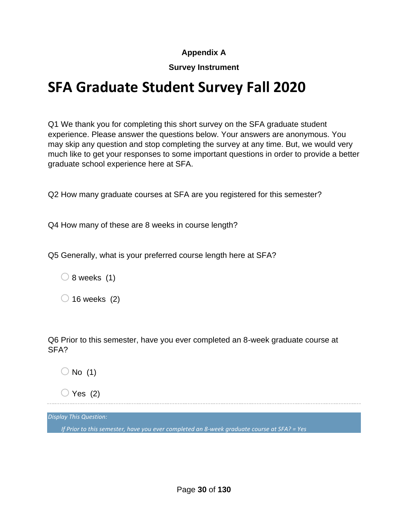## **Appendix A**

## **Survey Instrument**

# **SFA Graduate Student Survey Fall 2020**

Q1 We thank you for completing this short survey on the SFA graduate student experience. Please answer the questions below. Your answers are anonymous. You may skip any question and stop completing the survey at any time. But, we would very much like to get your responses to some important questions in order to provide a better graduate school experience here at SFA.

Q2 How many graduate courses at SFA are you registered for this semester?

Q4 How many of these are 8 weeks in course length?

Q5 Generally, what is your preferred course length here at SFA?

 $\bigcirc$  8 weeks (1)

 $\bigcirc$  16 weeks (2)

Q6 Prior to this semester, have you ever completed an 8-week graduate course at SFA?

 $\bigcirc$  No (1)

 $\bigcirc$  Yes (2)

*Display This Question:*

*If Prior to this semester, have you ever completed an 8-week graduate course at SFA? = Yes*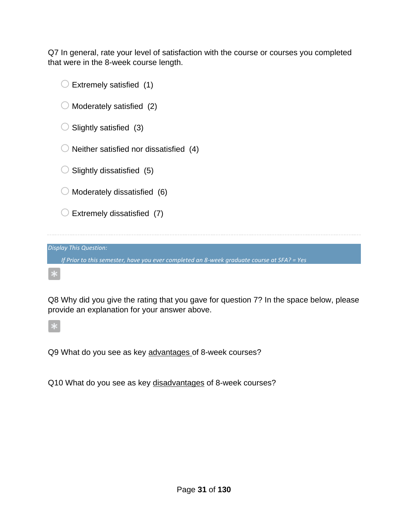Q7 In general, rate your level of satisfaction with the course or courses you completed that were in the 8-week course length.

| Extremely satisfied (1)                                                                    |
|--------------------------------------------------------------------------------------------|
| Moderately satisfied (2)                                                                   |
| Slightly satisfied (3)                                                                     |
| Neither satisfied nor dissatisfied (4)                                                     |
| Slightly dissatisfied (5)                                                                  |
| Moderately dissatisfied (6)                                                                |
| Extremely dissatisfied (7)                                                                 |
|                                                                                            |
| <b>Display This Question:</b>                                                              |
| If Prior to this semester, have you ever completed an 8-week graduate course at SFA? = Yes |
|                                                                                            |

Q8 Why did you give the rating that you gave for question 7? In the space below, please provide an explanation for your answer above.

Q9 What do you see as key advantages of 8-week courses?

Q10 What do you see as key disadvantages of 8-week courses?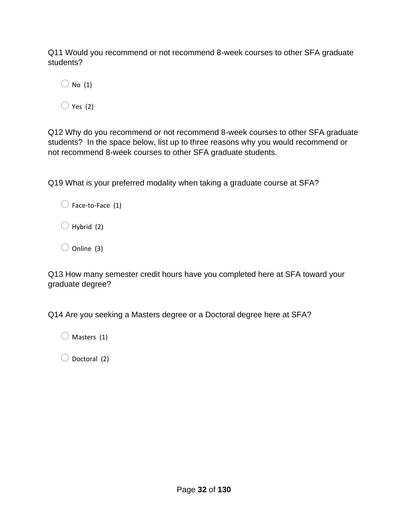Q11 Would you recommend or not recommend 8-week courses to other SFA graduate students?

 $\bigcirc$  No (1)

 $\bigcirc$  Yes (2)

Q12 Why do you recommend or not recommend 8-week courses to other SFA graduate students? In the space below, list up to three reasons why you would recommend or not recommend 8-week courses to other SFA graduate students.

Q19 What is your preferred modality when taking a graduate course at SFA?

 $\bigcirc$  Hybrid (2)

 $\bigcirc$  Online (3)

Q13 How many semester credit hours have you completed here at SFA toward your graduate degree?

Q14 Are you seeking a Masters degree or a Doctoral degree here at SFA?

 $\bigcirc$  Masters (1)

 $\bigcirc$  Doctoral (2)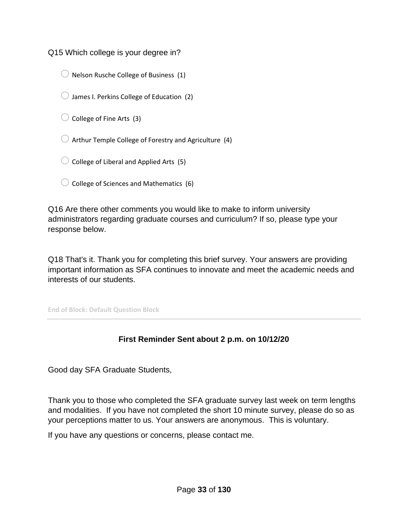Q15 Which college is your degree in?

- $\bigcirc$  Nelson Rusche College of Business (1)
- $\bigcirc$  James I. Perkins College of Education (2)
- $\bigcirc$  College of Fine Arts (3)
- $\bigcirc$  Arthur Temple College of Forestry and Agriculture (4)
- $\bigcirc$  College of Liberal and Applied Arts (5)
- $\bigcirc$  College of Sciences and Mathematics (6)

Q16 Are there other comments you would like to make to inform university administrators regarding graduate courses and curriculum? If so, please type your response below.

Q18 That's it. Thank you for completing this brief survey. Your answers are providing important information as SFA continues to innovate and meet the academic needs and interests of our students.

**End of Block: Default Question Block**

## **First Reminder Sent about 2 p.m. on 10/12/20**

Good day SFA Graduate Students,

Thank you to those who completed the SFA graduate survey last week on term lengths and modalities. If you have not completed the short 10 minute survey, please do so as your perceptions matter to us. Your answers are anonymous. This is voluntary.

If you have any questions or concerns, please contact me.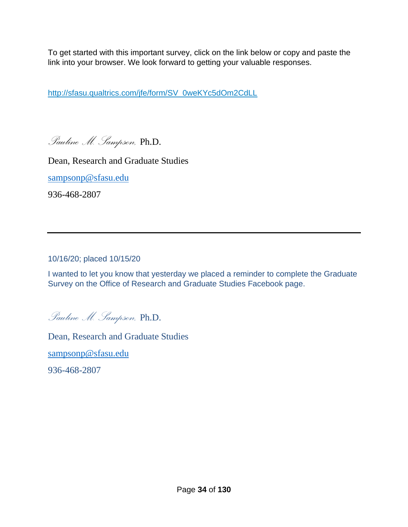To get started with this important survey, click on the link below or copy and paste the link into your browser. We look forward to getting your valuable responses.

[http://sfasu.qualtrics.com/jfe/form/SV\\_0weKYc5dOm2CdLL](http://sfasu.qualtrics.com/jfe/form/SV_0weKYc5dOm2CdLL)

*Pauline M. Sampson,* Ph.D.

Dean, Research and Graduate Studies

[sampsonp@sfasu.edu](mailto:sampsonp@sfasu.edu)

936-468-2807

10/16/20; placed 10/15/20

I wanted to let you know that yesterday we placed a reminder to complete the Graduate Survey on the Office of Research and Graduate Studies Facebook page.

*Pauline M. Sampson,* Ph.D.

Dean, Research and Graduate Studies

[sampsonp@sfasu.edu](mailto:sampsonp@sfasu.edu)

936-468-2807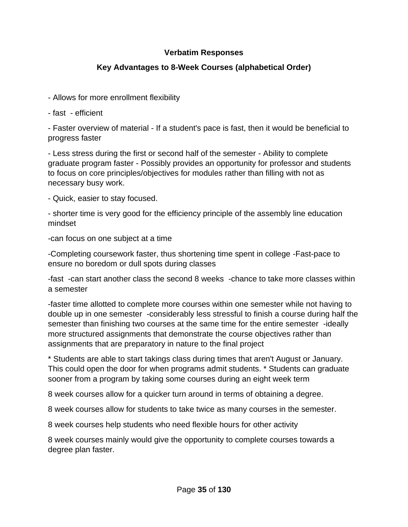## **Verbatim Responses**

## **Key Advantages to 8-Week Courses (alphabetical Order)**

- Allows for more enrollment flexibility
- fast efficient

- Faster overview of material - If a student's pace is fast, then it would be beneficial to progress faster

- Less stress during the first or second half of the semester - Ability to complete graduate program faster - Possibly provides an opportunity for professor and students to focus on core principles/objectives for modules rather than filling with not as necessary busy work.

- Quick, easier to stay focused.

- shorter time is very good for the efficiency principle of the assembly line education mindset

-can focus on one subject at a time

-Completing coursework faster, thus shortening time spent in college -Fast-pace to ensure no boredom or dull spots during classes

-fast -can start another class the second 8 weeks -chance to take more classes within a semester

-faster time allotted to complete more courses within one semester while not having to double up in one semester -considerably less stressful to finish a course during half the semester than finishing two courses at the same time for the entire semester -ideally more structured assignments that demonstrate the course objectives rather than assignments that are preparatory in nature to the final project

\* Students are able to start takings class during times that aren't August or January. This could open the door for when programs admit students. \* Students can graduate sooner from a program by taking some courses during an eight week term

8 week courses allow for a quicker turn around in terms of obtaining a degree.

8 week courses allow for students to take twice as many courses in the semester.

8 week courses help students who need flexible hours for other activity

8 week courses mainly would give the opportunity to complete courses towards a degree plan faster.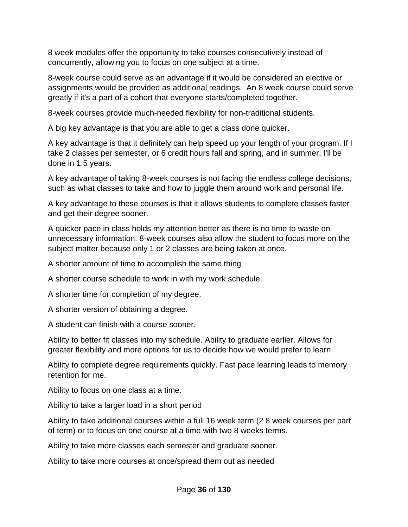8 week modules offer the opportunity to take courses consecutively instead of concurrently, allowing you to focus on one subject at a time.

8-week course could serve as an advantage if it would be considered an elective or assignments would be provided as additional readings. An 8 week course could serve greatly if it's a part of a cohort that everyone starts/completed together.

8-week courses provide much-needed flexibility for non-traditional students.

A big key advantage is that you are able to get a class done quicker.

A key advantage is that it definitely can help speed up your length of your program. If I take 2 classes per semester, or 6 credit hours fall and spring, and in summer, I'll be done in 1.5 years.

A key advantage of taking 8-week courses is not facing the endless college decisions, such as what classes to take and how to juggle them around work and personal life.

A key advantage to these courses is that it allows students to complete classes faster and get their degree sooner.

A quicker pace in class holds my attention better as there is no time to waste on unnecessary information. 8-week courses also allow the student to focus more on the subject matter because only 1 or 2 classes are being taken at once.

A shorter amount of time to accomplish the same thing

A shorter course schedule to work in with my work schedule.

A shorter time for completion of my degree.

A shorter version of obtaining a degree.

A student can finish with a course sooner.

Ability to better fit classes into my schedule. Ability to graduate earlier. Allows for greater flexibility and more options for us to decide how we would prefer to learn

Ability to complete degree requirements quickly. Fast pace learning leads to memory retention for me.

Ability to focus on one class at a time.

Ability to take a larger load in a short period

Ability to take additional courses within a full 16 week term (2 8 week courses per part of term) or to focus on one course at a time with two 8 weeks terms.

Ability to take more classes each semester and graduate sooner.

Ability to take more courses at once/spread them out as needed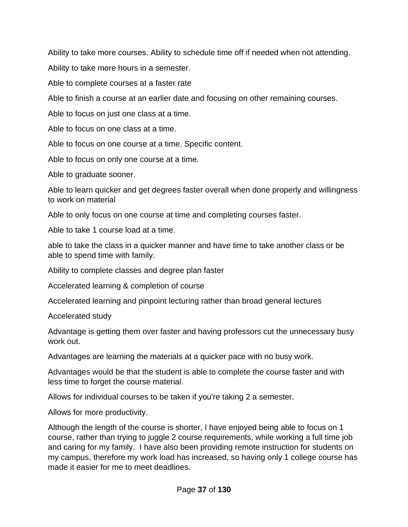Ability to take more courses. Ability to schedule time off if needed when not attending.

Ability to take more hours in a semester.

Able to complete courses at a faster rate

Able to finish a course at an earlier date and focusing on other remaining courses.

Able to focus on just one class at a time.

Able to focus on one class at a time.

Able to focus on one course at a time. Specific content.

Able to focus on only one course at a time.

Able to graduate sooner.

Able to learn quicker and get degrees faster overall when done properly and willingness to work on material

Able to only focus on one course at time and completing courses faster.

Able to take 1 course load at a time.

able to take the class in a quicker manner and have time to take another class or be able to spend time with family.

Ability to complete classes and degree plan faster

Accelerated learning & completion of course

Accelerated learning and pinpoint lecturing rather than broad general lectures

Accelerated study

Advantage is getting them over faster and having professors cut the unnecessary busy work out.

Advantages are learning the materials at a quicker pace with no busy work.

Advantages would be that the student is able to complete the course faster and with less time to forget the course material.

Allows for individual courses to be taken if you're taking 2 a semester.

Allows for more productivity.

Although the length of the course is shorter, I have enjoyed being able to focus on 1 course, rather than trying to juggle 2 course requirements, while working a full time job and caring for my family. I have also been providing remote instruction for students on my campus, therefore my work load has increased, so having only 1 college course has made it easier for me to meet deadlines.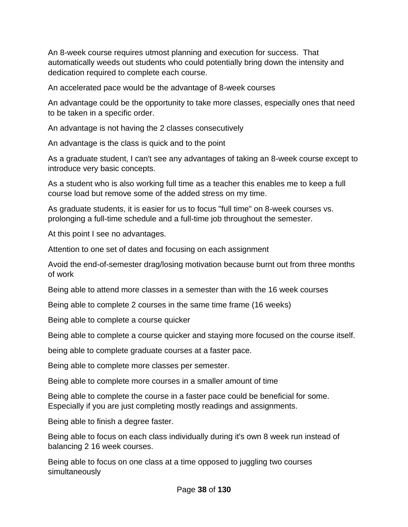An 8-week course requires utmost planning and execution for success. That automatically weeds out students who could potentially bring down the intensity and dedication required to complete each course.

An accelerated pace would be the advantage of 8-week courses

An advantage could be the opportunity to take more classes, especially ones that need to be taken in a specific order.

An advantage is not having the 2 classes consecutively

An advantage is the class is quick and to the point

As a graduate student, I can't see any advantages of taking an 8-week course except to introduce very basic concepts.

As a student who is also working full time as a teacher this enables me to keep a full course load but remove some of the added stress on my time.

As graduate students, it is easier for us to focus "full time" on 8-week courses vs. prolonging a full-time schedule and a full-time job throughout the semester.

At this point I see no advantages.

Attention to one set of dates and focusing on each assignment

Avoid the end-of-semester drag/losing motivation because burnt out from three months of work

Being able to attend more classes in a semester than with the 16 week courses

Being able to complete 2 courses in the same time frame (16 weeks)

Being able to complete a course quicker

Being able to complete a course quicker and staying more focused on the course itself.

being able to complete graduate courses at a faster pace.

Being able to complete more classes per semester.

Being able to complete more courses in a smaller amount of time

Being able to complete the course in a faster pace could be beneficial for some. Especially if you are just completing mostly readings and assignments.

Being able to finish a degree faster.

Being able to focus on each class individually during it's own 8 week run instead of balancing 2 16 week courses.

Being able to focus on one class at a time opposed to juggling two courses simultaneously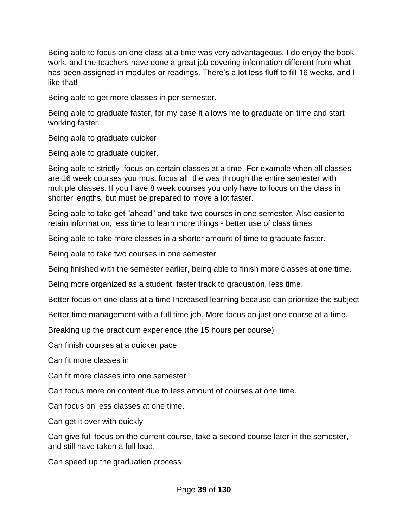Being able to focus on one class at a time was very advantageous. I do enjoy the book work, and the teachers have done a great job covering information different from what has been assigned in modules or readings. There's a lot less fluff to fill 16 weeks, and I like that!

Being able to get more classes in per semester.

Being able to graduate faster, for my case it allows me to graduate on time and start working faster.

Being able to graduate quicker

Being able to graduate quicker.

Being able to strictly focus on certain classes at a time. For example when all classes are 16 week courses you must focus all the was through the entire semester with multiple classes. If you have 8 week courses you only have to focus on the class in shorter lengths, but must be prepared to move a lot faster.

Being able to take get "ahead" and take two courses in one semester. Also easier to retain information, less time to learn more things - better use of class times

Being able to take more classes in a shorter amount of time to graduate faster.

Being able to take two courses in one semester

Being finished with the semester earlier, being able to finish more classes at one time.

Being more organized as a student, faster track to graduation, less time.

Better focus on one class at a time Increased learning because can prioritize the subject

Better time management with a full time job. More focus on just one course at a time.

Breaking up the practicum experience (the 15 hours per course)

Can finish courses at a quicker pace

Can fit more classes in

Can fit more classes into one semester

Can focus more on content due to less amount of courses at one time.

Can focus on less classes at one time.

Can get it over with quickly

Can give full focus on the current course, take a second course later in the semester, and still have taken a full load.

Can speed up the graduation process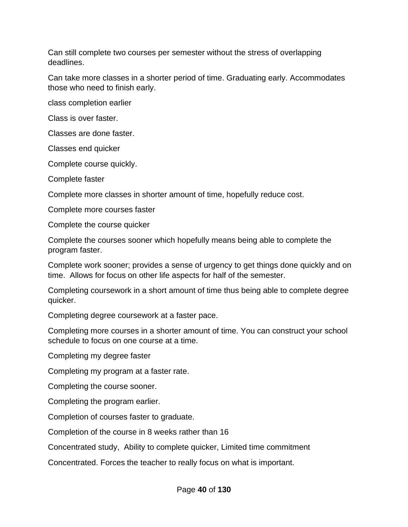Can still complete two courses per semester without the stress of overlapping deadlines.

Can take more classes in a shorter period of time. Graduating early. Accommodates those who need to finish early.

class completion earlier

Class is over faster.

Classes are done faster.

Classes end quicker

Complete course quickly.

Complete faster

Complete more classes in shorter amount of time, hopefully reduce cost.

Complete more courses faster

Complete the course quicker

Complete the courses sooner which hopefully means being able to complete the program faster.

Complete work sooner; provides a sense of urgency to get things done quickly and on time. Allows for focus on other life aspects for half of the semester.

Completing coursework in a short amount of time thus being able to complete degree quicker.

Completing degree coursework at a faster pace.

Completing more courses in a shorter amount of time. You can construct your school schedule to focus on one course at a time.

Completing my degree faster

Completing my program at a faster rate.

Completing the course sooner.

Completing the program earlier.

Completion of courses faster to graduate.

Completion of the course in 8 weeks rather than 16

Concentrated study, Ability to complete quicker, Limited time commitment

Concentrated. Forces the teacher to really focus on what is important.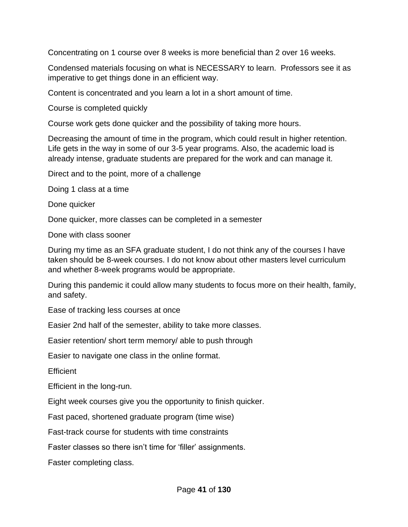Concentrating on 1 course over 8 weeks is more beneficial than 2 over 16 weeks.

Condensed materials focusing on what is NECESSARY to learn. Professors see it as imperative to get things done in an efficient way.

Content is concentrated and you learn a lot in a short amount of time.

Course is completed quickly

Course work gets done quicker and the possibility of taking more hours.

Decreasing the amount of time in the program, which could result in higher retention. Life gets in the way in some of our 3-5 year programs. Also, the academic load is already intense, graduate students are prepared for the work and can manage it.

Direct and to the point, more of a challenge

Doing 1 class at a time

Done quicker

Done quicker, more classes can be completed in a semester

Done with class sooner

During my time as an SFA graduate student, I do not think any of the courses I have taken should be 8-week courses. I do not know about other masters level curriculum and whether 8-week programs would be appropriate.

During this pandemic it could allow many students to focus more on their health, family, and safety.

Ease of tracking less courses at once

Easier 2nd half of the semester, ability to take more classes.

Easier retention/ short term memory/ able to push through

Easier to navigate one class in the online format.

**Efficient** 

Efficient in the long-run.

Eight week courses give you the opportunity to finish quicker.

Fast paced, shortened graduate program (time wise)

Fast-track course for students with time constraints

Faster classes so there isn't time for 'filler' assignments.

Faster completing class.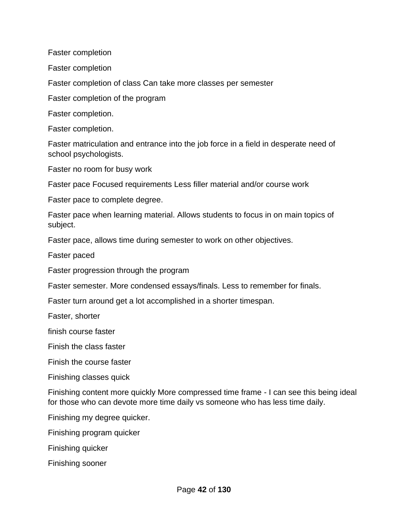Faster completion

Faster completion

Faster completion of class Can take more classes per semester

Faster completion of the program

Faster completion.

Faster completion.

Faster matriculation and entrance into the job force in a field in desperate need of school psychologists.

Faster no room for busy work

Faster pace Focused requirements Less filler material and/or course work

Faster pace to complete degree.

Faster pace when learning material. Allows students to focus in on main topics of subject.

Faster pace, allows time during semester to work on other objectives.

Faster paced

Faster progression through the program

Faster semester. More condensed essays/finals. Less to remember for finals.

Faster turn around get a lot accomplished in a shorter timespan.

Faster, shorter

finish course faster

Finish the class faster

Finish the course faster

Finishing classes quick

Finishing content more quickly More compressed time frame - I can see this being ideal for those who can devote more time daily vs someone who has less time daily.

Finishing my degree quicker.

Finishing program quicker

Finishing quicker

Finishing sooner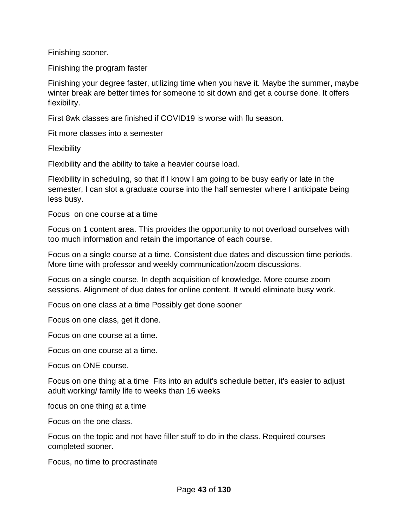Finishing sooner.

Finishing the program faster

Finishing your degree faster, utilizing time when you have it. Maybe the summer, maybe winter break are better times for someone to sit down and get a course done. It offers flexibility.

First 8wk classes are finished if COVID19 is worse with flu season.

Fit more classes into a semester

Flexibility

Flexibility and the ability to take a heavier course load.

Flexibility in scheduling, so that if I know I am going to be busy early or late in the semester, I can slot a graduate course into the half semester where I anticipate being less busy.

Focus on one course at a time

Focus on 1 content area. This provides the opportunity to not overload ourselves with too much information and retain the importance of each course.

Focus on a single course at a time. Consistent due dates and discussion time periods. More time with professor and weekly communication/zoom discussions.

Focus on a single course. In depth acquisition of knowledge. More course zoom sessions. Alignment of due dates for online content. It would eliminate busy work.

Focus on one class at a time Possibly get done sooner

Focus on one class, get it done.

Focus on one course at a time.

Focus on one course at a time.

Focus on ONE course.

Focus on one thing at a time Fits into an adult's schedule better, it's easier to adjust adult working/ family life to weeks than 16 weeks

focus on one thing at a time

Focus on the one class.

Focus on the topic and not have filler stuff to do in the class. Required courses completed sooner.

Focus, no time to procrastinate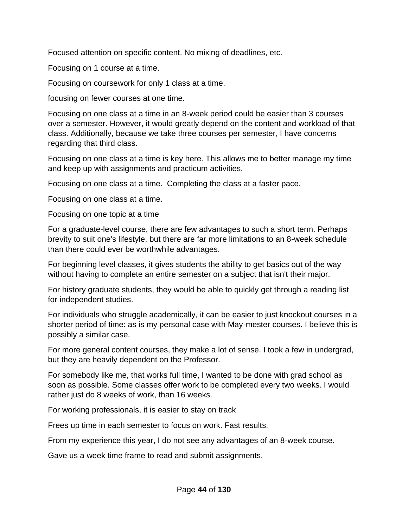Focused attention on specific content. No mixing of deadlines, etc.

Focusing on 1 course at a time.

Focusing on coursework for only 1 class at a time.

focusing on fewer courses at one time.

Focusing on one class at a time in an 8-week period could be easier than 3 courses over a semester. However, it would greatly depend on the content and workload of that class. Additionally, because we take three courses per semester, I have concerns regarding that third class.

Focusing on one class at a time is key here. This allows me to better manage my time and keep up with assignments and practicum activities.

Focusing on one class at a time. Completing the class at a faster pace.

Focusing on one class at a time.

Focusing on one topic at a time

For a graduate-level course, there are few advantages to such a short term. Perhaps brevity to suit one's lifestyle, but there are far more limitations to an 8-week schedule than there could ever be worthwhile advantages.

For beginning level classes, it gives students the ability to get basics out of the way without having to complete an entire semester on a subject that isn't their major.

For history graduate students, they would be able to quickly get through a reading list for independent studies.

For individuals who struggle academically, it can be easier to just knockout courses in a shorter period of time: as is my personal case with May-mester courses. I believe this is possibly a similar case.

For more general content courses, they make a lot of sense. I took a few in undergrad, but they are heavily dependent on the Professor.

For somebody like me, that works full time, I wanted to be done with grad school as soon as possible. Some classes offer work to be completed every two weeks. I would rather just do 8 weeks of work, than 16 weeks.

For working professionals, it is easier to stay on track

Frees up time in each semester to focus on work. Fast results.

From my experience this year, I do not see any advantages of an 8-week course.

Gave us a week time frame to read and submit assignments.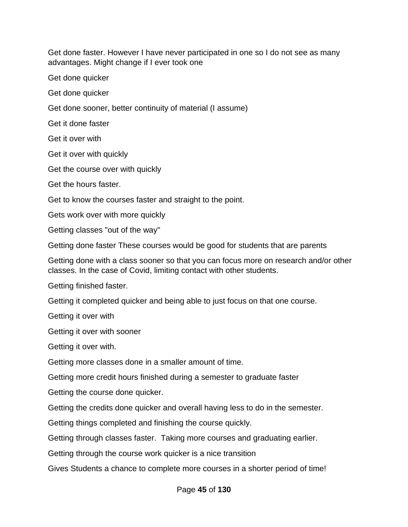Get done faster. However I have never participated in one so I do not see as many advantages. Might change if I ever took one

Get done quicker

Get done quicker

Get done sooner, better continuity of material (I assume)

Get it done faster

Get it over with

Get it over with quickly

Get the course over with quickly

Get the hours faster.

Get to know the courses faster and straight to the point.

Gets work over with more quickly

Getting classes "out of the way"

Getting done faster These courses would be good for students that are parents

Getting done with a class sooner so that you can focus more on research and/or other classes. In the case of Covid, limiting contact with other students.

Getting finished faster.

Getting it completed quicker and being able to just focus on that one course.

Getting it over with

Getting it over with sooner

Getting it over with.

Getting more classes done in a smaller amount of time.

Getting more credit hours finished during a semester to graduate faster

Getting the course done quicker.

Getting the credits done quicker and overall having less to do in the semester.

Getting things completed and finishing the course quickly.

Getting through classes faster. Taking more courses and graduating earlier.

Getting through the course work quicker is a nice transition

Gives Students a chance to complete more courses in a shorter period of time!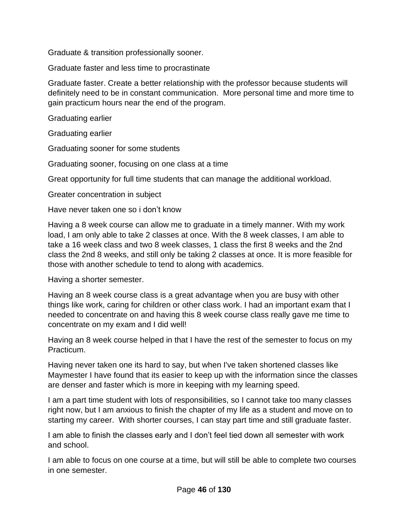Graduate & transition professionally sooner.

Graduate faster and less time to procrastinate

Graduate faster. Create a better relationship with the professor because students will definitely need to be in constant communication. More personal time and more time to gain practicum hours near the end of the program.

Graduating earlier

Graduating earlier

Graduating sooner for some students

Graduating sooner, focusing on one class at a time

Great opportunity for full time students that can manage the additional workload.

Greater concentration in subject

Have never taken one so i don't know

Having a 8 week course can allow me to graduate in a timely manner. With my work load, I am only able to take 2 classes at once. With the 8 week classes, I am able to take a 16 week class and two 8 week classes, 1 class the first 8 weeks and the 2nd class the 2nd 8 weeks, and still only be taking 2 classes at once. It is more feasible for those with another schedule to tend to along with academics.

Having a shorter semester.

Having an 8 week course class is a great advantage when you are busy with other things like work, caring for children or other class work. I had an important exam that I needed to concentrate on and having this 8 week course class really gave me time to concentrate on my exam and I did well!

Having an 8 week course helped in that I have the rest of the semester to focus on my Practicum.

Having never taken one its hard to say, but when I've taken shortened classes like Maymester I have found that its easier to keep up with the information since the classes are denser and faster which is more in keeping with my learning speed.

I am a part time student with lots of responsibilities, so I cannot take too many classes right now, but I am anxious to finish the chapter of my life as a student and move on to starting my career. With shorter courses, I can stay part time and still graduate faster.

I am able to finish the classes early and I don't feel tied down all semester with work and school.

I am able to focus on one course at a time, but will still be able to complete two courses in one semester.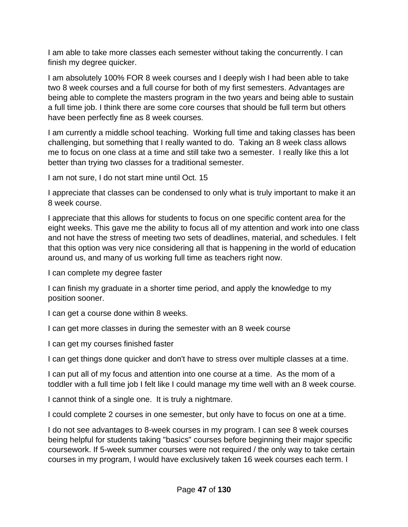I am able to take more classes each semester without taking the concurrently. I can finish my degree quicker.

I am absolutely 100% FOR 8 week courses and I deeply wish I had been able to take two 8 week courses and a full course for both of my first semesters. Advantages are being able to complete the masters program in the two years and being able to sustain a full time job. I think there are some core courses that should be full term but others have been perfectly fine as 8 week courses.

I am currently a middle school teaching. Working full time and taking classes has been challenging, but something that I really wanted to do. Taking an 8 week class allows me to focus on one class at a time and still take two a semester. I really like this a lot better than trying two classes for a traditional semester.

I am not sure, I do not start mine until Oct. 15

I appreciate that classes can be condensed to only what is truly important to make it an 8 week course.

I appreciate that this allows for students to focus on one specific content area for the eight weeks. This gave me the ability to focus all of my attention and work into one class and not have the stress of meeting two sets of deadlines, material, and schedules. I felt that this option was very nice considering all that is happening in the world of education around us, and many of us working full time as teachers right now.

I can complete my degree faster

I can finish my graduate in a shorter time period, and apply the knowledge to my position sooner.

I can get a course done within 8 weeks.

I can get more classes in during the semester with an 8 week course

I can get my courses finished faster

I can get things done quicker and don't have to stress over multiple classes at a time.

I can put all of my focus and attention into one course at a time. As the mom of a toddler with a full time job I felt like I could manage my time well with an 8 week course.

I cannot think of a single one. It is truly a nightmare.

I could complete 2 courses in one semester, but only have to focus on one at a time.

I do not see advantages to 8-week courses in my program. I can see 8 week courses being helpful for students taking "basics" courses before beginning their major specific coursework. If 5-week summer courses were not required / the only way to take certain courses in my program, I would have exclusively taken 16 week courses each term. I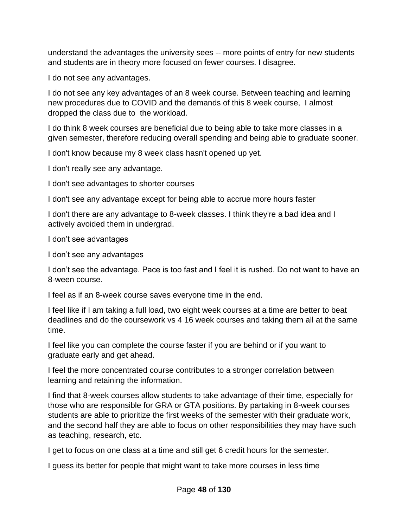understand the advantages the university sees -- more points of entry for new students and students are in theory more focused on fewer courses. I disagree.

I do not see any advantages.

I do not see any key advantages of an 8 week course. Between teaching and learning new procedures due to COVID and the demands of this 8 week course, I almost dropped the class due to the workload.

I do think 8 week courses are beneficial due to being able to take more classes in a given semester, therefore reducing overall spending and being able to graduate sooner.

I don't know because my 8 week class hasn't opened up yet.

I don't really see any advantage.

I don't see advantages to shorter courses

I don't see any advantage except for being able to accrue more hours faster

I don't there are any advantage to 8-week classes. I think they're a bad idea and I actively avoided them in undergrad.

I don't see advantages

I don't see any advantages

I don't see the advantage. Pace is too fast and I feel it is rushed. Do not want to have an 8-ween course.

I feel as if an 8-week course saves everyone time in the end.

I feel like if I am taking a full load, two eight week courses at a time are better to beat deadlines and do the coursework vs 4 16 week courses and taking them all at the same time.

I feel like you can complete the course faster if you are behind or if you want to graduate early and get ahead.

I feel the more concentrated course contributes to a stronger correlation between learning and retaining the information.

I find that 8-week courses allow students to take advantage of their time, especially for those who are responsible for GRA or GTA positions. By partaking in 8-week courses students are able to prioritize the first weeks of the semester with their graduate work, and the second half they are able to focus on other responsibilities they may have such as teaching, research, etc.

I get to focus on one class at a time and still get 6 credit hours for the semester.

I guess its better for people that might want to take more courses in less time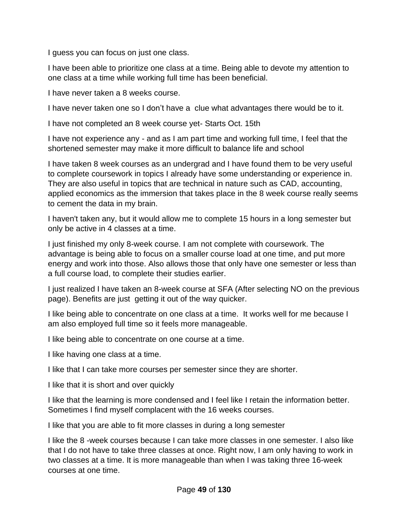I guess you can focus on just one class.

I have been able to prioritize one class at a time. Being able to devote my attention to one class at a time while working full time has been beneficial.

I have never taken a 8 weeks course.

I have never taken one so I don't have a clue what advantages there would be to it.

I have not completed an 8 week course yet- Starts Oct. 15th

I have not experience any - and as I am part time and working full time, I feel that the shortened semester may make it more difficult to balance life and school

I have taken 8 week courses as an undergrad and I have found them to be very useful to complete coursework in topics I already have some understanding or experience in. They are also useful in topics that are technical in nature such as CAD, accounting, applied economics as the immersion that takes place in the 8 week course really seems to cement the data in my brain.

I haven't taken any, but it would allow me to complete 15 hours in a long semester but only be active in 4 classes at a time.

I just finished my only 8-week course. I am not complete with coursework. The advantage is being able to focus on a smaller course load at one time, and put more energy and work into those. Also allows those that only have one semester or less than a full course load, to complete their studies earlier.

I just realized I have taken an 8-week course at SFA (After selecting NO on the previous page). Benefits are just getting it out of the way quicker.

I like being able to concentrate on one class at a time. It works well for me because I am also employed full time so it feels more manageable.

I like being able to concentrate on one course at a time.

I like having one class at a time.

I like that I can take more courses per semester since they are shorter.

I like that it is short and over quickly

I like that the learning is more condensed and I feel like I retain the information better. Sometimes I find myself complacent with the 16 weeks courses.

I like that you are able to fit more classes in during a long semester

I like the 8 -week courses because I can take more classes in one semester. I also like that I do not have to take three classes at once. Right now, I am only having to work in two classes at a time. It is more manageable than when I was taking three 16-week courses at one time.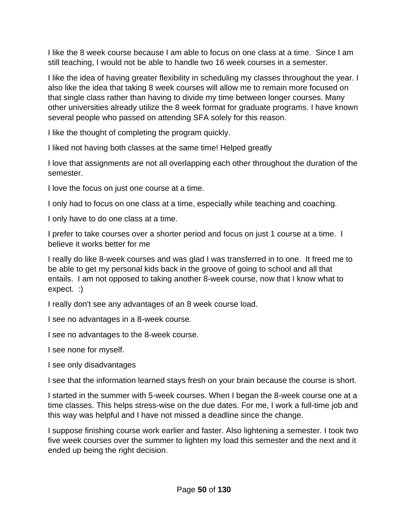I like the 8 week course because I am able to focus on one class at a time. Since I am still teaching, I would not be able to handle two 16 week courses in a semester.

I like the idea of having greater flexibility in scheduling my classes throughout the year. I also like the idea that taking 8 week courses will allow me to remain more focused on that single class rather than having to divide my time between longer courses. Many other universities already utilize the 8 week format for graduate programs. I have known several people who passed on attending SFA solely for this reason.

I like the thought of completing the program quickly.

I liked not having both classes at the same time! Helped greatly

I love that assignments are not all overlapping each other throughout the duration of the semester.

I love the focus on just one course at a time.

I only had to focus on one class at a time, especially while teaching and coaching.

I only have to do one class at a time.

I prefer to take courses over a shorter period and focus on just 1 course at a time. I believe it works better for me

I really do like 8-week courses and was glad I was transferred in to one. It freed me to be able to get my personal kids back in the groove of going to school and all that entails. I am not opposed to taking another 8-week course, now that I know what to expect. :)

I really don't see any advantages of an 8 week course load.

I see no advantages in a 8-week course.

I see no advantages to the 8-week course.

I see none for myself.

I see only disadvantages

I see that the information learned stays fresh on your brain because the course is short.

I started in the summer with 5-week courses. When I began the 8-week course one at a time classes. This helps stress-wise on the due dates. For me, I work a full-time job and this way was helpful and I have not missed a deadline since the change.

I suppose finishing course work earlier and faster. Also lightening a semester. I took two five week courses over the summer to lighten my load this semester and the next and it ended up being the right decision.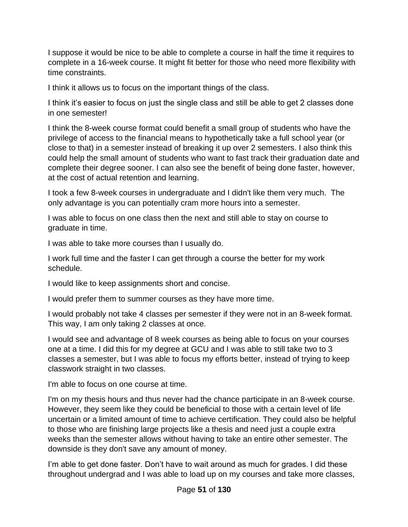I suppose it would be nice to be able to complete a course in half the time it requires to complete in a 16-week course. It might fit better for those who need more flexibility with time constraints.

I think it allows us to focus on the important things of the class.

I think it's easier to focus on just the single class and still be able to get 2 classes done in one semester!

I think the 8-week course format could benefit a small group of students who have the privilege of access to the financial means to hypothetically take a full school year (or close to that) in a semester instead of breaking it up over 2 semesters. I also think this could help the small amount of students who want to fast track their graduation date and complete their degree sooner. I can also see the benefit of being done faster, however, at the cost of actual retention and learning.

I took a few 8-week courses in undergraduate and I didn't like them very much. The only advantage is you can potentially cram more hours into a semester.

I was able to focus on one class then the next and still able to stay on course to graduate in time.

I was able to take more courses than I usually do.

I work full time and the faster I can get through a course the better for my work schedule.

I would like to keep assignments short and concise.

I would prefer them to summer courses as they have more time.

I would probably not take 4 classes per semester if they were not in an 8-week format. This way, I am only taking 2 classes at once.

I would see and advantage of 8 week courses as being able to focus on your courses one at a time. I did this for my degree at GCU and I was able to still take two to 3 classes a semester, but I was able to focus my efforts better, instead of trying to keep classwork straight in two classes.

I'm able to focus on one course at time.

I'm on my thesis hours and thus never had the chance participate in an 8-week course. However, they seem like they could be beneficial to those with a certain level of life uncertain or a limited amount of time to achieve certification. They could also be helpful to those who are finishing large projects like a thesis and need just a couple extra weeks than the semester allows without having to take an entire other semester. The downside is they don't save any amount of money.

I'm able to get done faster. Don't have to wait around as much for grades. I did these throughout undergrad and I was able to load up on my courses and take more classes,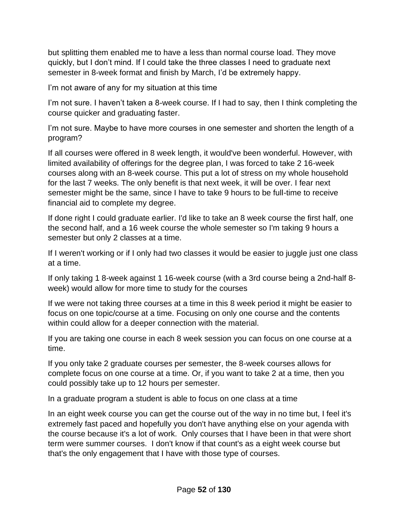but splitting them enabled me to have a less than normal course load. They move quickly, but I don't mind. If I could take the three classes I need to graduate next semester in 8-week format and finish by March, I'd be extremely happy.

I'm not aware of any for my situation at this time

I'm not sure. I haven't taken a 8-week course. If I had to say, then I think completing the course quicker and graduating faster.

I'm not sure. Maybe to have more courses in one semester and shorten the length of a program?

If all courses were offered in 8 week length, it would've been wonderful. However, with limited availability of offerings for the degree plan, I was forced to take 2 16-week courses along with an 8-week course. This put a lot of stress on my whole household for the last 7 weeks. The only benefit is that next week, it will be over. I fear next semester might be the same, since I have to take 9 hours to be full-time to receive financial aid to complete my degree.

If done right I could graduate earlier. I'd like to take an 8 week course the first half, one the second half, and a 16 week course the whole semester so I'm taking 9 hours a semester but only 2 classes at a time.

If I weren't working or if I only had two classes it would be easier to juggle just one class at a time.

If only taking 1 8-week against 1 16-week course (with a 3rd course being a 2nd-half 8 week) would allow for more time to study for the courses

If we were not taking three courses at a time in this 8 week period it might be easier to focus on one topic/course at a time. Focusing on only one course and the contents within could allow for a deeper connection with the material.

If you are taking one course in each 8 week session you can focus on one course at a time.

If you only take 2 graduate courses per semester, the 8-week courses allows for complete focus on one course at a time. Or, if you want to take 2 at a time, then you could possibly take up to 12 hours per semester.

In a graduate program a student is able to focus on one class at a time

In an eight week course you can get the course out of the way in no time but, I feel it's extremely fast paced and hopefully you don't have anything else on your agenda with the course because it's a lot of work. Only courses that I have been in that were short term were summer courses. I don't know if that count's as a eight week course but that's the only engagement that I have with those type of courses.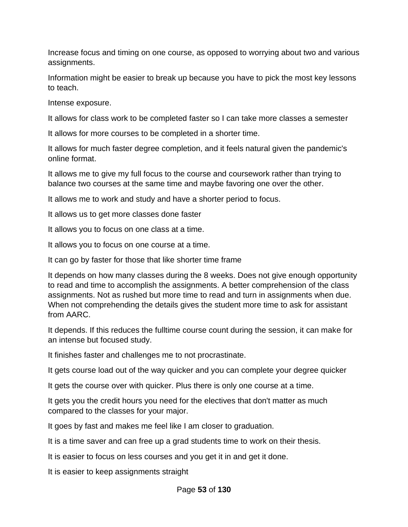Increase focus and timing on one course, as opposed to worrying about two and various assignments.

Information might be easier to break up because you have to pick the most key lessons to teach.

Intense exposure.

It allows for class work to be completed faster so I can take more classes a semester

It allows for more courses to be completed in a shorter time.

It allows for much faster degree completion, and it feels natural given the pandemic's online format.

It allows me to give my full focus to the course and coursework rather than trying to balance two courses at the same time and maybe favoring one over the other.

It allows me to work and study and have a shorter period to focus.

It allows us to get more classes done faster

It allows you to focus on one class at a time.

It allows you to focus on one course at a time.

It can go by faster for those that like shorter time frame

It depends on how many classes during the 8 weeks. Does not give enough opportunity to read and time to accomplish the assignments. A better comprehension of the class assignments. Not as rushed but more time to read and turn in assignments when due. When not comprehending the details gives the student more time to ask for assistant from AARC.

It depends. If this reduces the fulltime course count during the session, it can make for an intense but focused study.

It finishes faster and challenges me to not procrastinate.

It gets course load out of the way quicker and you can complete your degree quicker

It gets the course over with quicker. Plus there is only one course at a time.

It gets you the credit hours you need for the electives that don't matter as much compared to the classes for your major.

It goes by fast and makes me feel like I am closer to graduation.

It is a time saver and can free up a grad students time to work on their thesis.

It is easier to focus on less courses and you get it in and get it done.

It is easier to keep assignments straight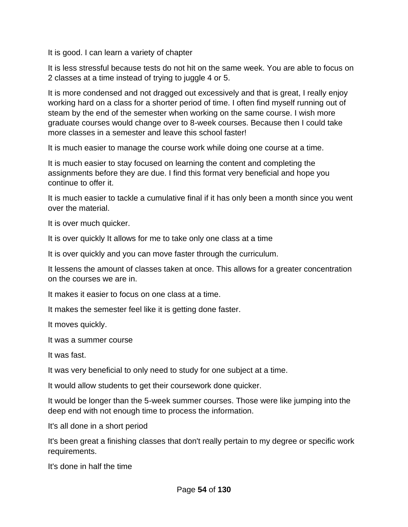It is good. I can learn a variety of chapter

It is less stressful because tests do not hit on the same week. You are able to focus on 2 classes at a time instead of trying to juggle 4 or 5.

It is more condensed and not dragged out excessively and that is great, I really enjoy working hard on a class for a shorter period of time. I often find myself running out of steam by the end of the semester when working on the same course. I wish more graduate courses would change over to 8-week courses. Because then I could take more classes in a semester and leave this school faster!

It is much easier to manage the course work while doing one course at a time.

It is much easier to stay focused on learning the content and completing the assignments before they are due. I find this format very beneficial and hope you continue to offer it.

It is much easier to tackle a cumulative final if it has only been a month since you went over the material.

It is over much quicker.

It is over quickly It allows for me to take only one class at a time

It is over quickly and you can move faster through the curriculum.

It lessens the amount of classes taken at once. This allows for a greater concentration on the courses we are in.

It makes it easier to focus on one class at a time.

It makes the semester feel like it is getting done faster.

It moves quickly.

It was a summer course

It was fast.

It was very beneficial to only need to study for one subject at a time.

It would allow students to get their coursework done quicker.

It would be longer than the 5-week summer courses. Those were like jumping into the deep end with not enough time to process the information.

It's all done in a short period

It's been great a finishing classes that don't really pertain to my degree or specific work requirements.

It's done in half the time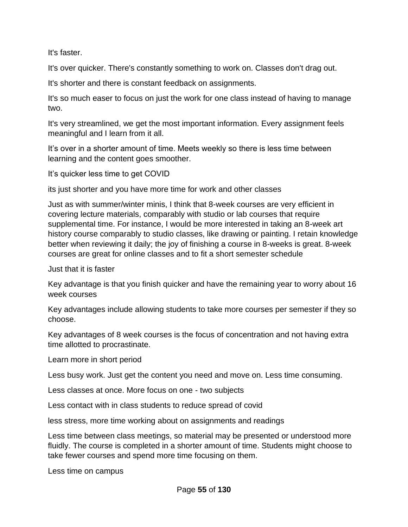It's faster.

It's over quicker. There's constantly something to work on. Classes don't drag out.

It's shorter and there is constant feedback on assignments.

It's so much easer to focus on just the work for one class instead of having to manage two.

It's very streamlined, we get the most important information. Every assignment feels meaningful and I learn from it all.

It's over in a shorter amount of time. Meets weekly so there is less time between learning and the content goes smoother.

It's quicker less time to get COVID

its just shorter and you have more time for work and other classes

Just as with summer/winter minis, I think that 8-week courses are very efficient in covering lecture materials, comparably with studio or lab courses that require supplemental time. For instance, I would be more interested in taking an 8-week art history course comparably to studio classes, like drawing or painting. I retain knowledge better when reviewing it daily; the joy of finishing a course in 8-weeks is great. 8-week courses are great for online classes and to fit a short semester schedule

Just that it is faster

Key advantage is that you finish quicker and have the remaining year to worry about 16 week courses

Key advantages include allowing students to take more courses per semester if they so choose.

Key advantages of 8 week courses is the focus of concentration and not having extra time allotted to procrastinate.

Learn more in short period

Less busy work. Just get the content you need and move on. Less time consuming.

Less classes at once. More focus on one - two subjects

Less contact with in class students to reduce spread of covid

less stress, more time working about on assignments and readings

Less time between class meetings, so material may be presented or understood more fluidly. The course is completed in a shorter amount of time. Students might choose to take fewer courses and spend more time focusing on them.

Less time on campus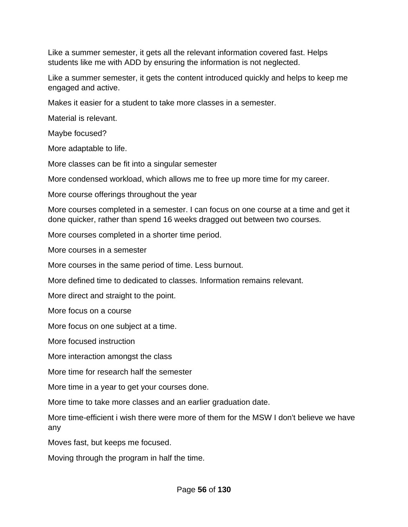Like a summer semester, it gets all the relevant information covered fast. Helps students like me with ADD by ensuring the information is not neglected.

Like a summer semester, it gets the content introduced quickly and helps to keep me engaged and active.

Makes it easier for a student to take more classes in a semester.

Material is relevant.

Maybe focused?

More adaptable to life.

More classes can be fit into a singular semester

More condensed workload, which allows me to free up more time for my career.

More course offerings throughout the year

More courses completed in a semester. I can focus on one course at a time and get it done quicker, rather than spend 16 weeks dragged out between two courses.

More courses completed in a shorter time period.

More courses in a semester

More courses in the same period of time. Less burnout.

More defined time to dedicated to classes. Information remains relevant.

More direct and straight to the point.

More focus on a course

More focus on one subject at a time.

More focused instruction

More interaction amongst the class

More time for research half the semester

More time in a year to get your courses done.

More time to take more classes and an earlier graduation date.

More time-efficient i wish there were more of them for the MSW I don't believe we have any

Moves fast, but keeps me focused.

Moving through the program in half the time.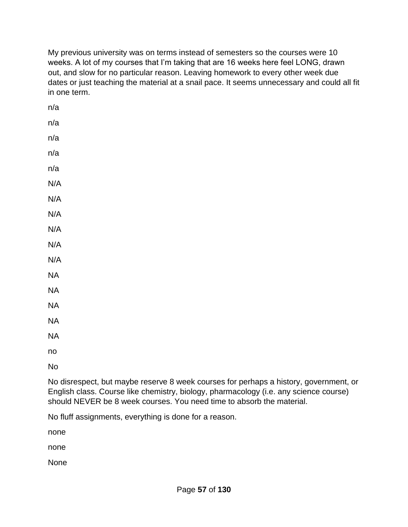My previous university was on terms instead of semesters so the courses were 10 weeks. A lot of my courses that I'm taking that are 16 weeks here feel LONG, drawn out, and slow for no particular reason. Leaving homework to every other week due dates or just teaching the material at a snail pace. It seems unnecessary and could all fit in one term.

| n/a      |  |  |  |
|----------|--|--|--|
| n/a      |  |  |  |
| n/a      |  |  |  |
| n/a      |  |  |  |
| n/a      |  |  |  |
| N/A      |  |  |  |
| N/A      |  |  |  |
| N/A      |  |  |  |
| N/A      |  |  |  |
| N/A      |  |  |  |
| N/A      |  |  |  |
| $\sf NA$ |  |  |  |
| $\sf NA$ |  |  |  |
| $\sf NA$ |  |  |  |
| $\sf NA$ |  |  |  |
| $\sf NA$ |  |  |  |
| no       |  |  |  |
|          |  |  |  |

No

No disrespect, but maybe reserve 8 week courses for perhaps a history, government, or English class. Course like chemistry, biology, pharmacology (i.e. any science course) should NEVER be 8 week courses. You need time to absorb the material.

No fluff assignments, everything is done for a reason.

none

none

None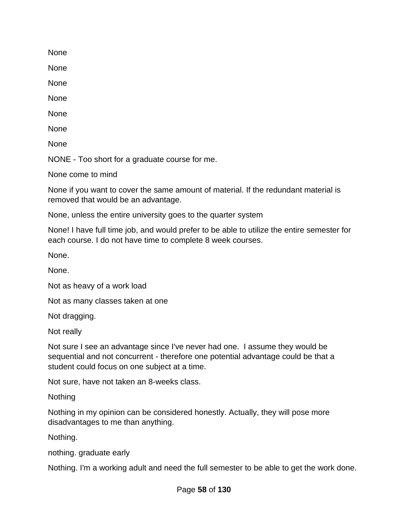None

None

None

None

None

None

None

NONE - Too short for a graduate course for me.

None come to mind

None if you want to cover the same amount of material. If the redundant material is removed that would be an advantage.

None, unless the entire university goes to the quarter system

None! I have full time job, and would prefer to be able to utilize the entire semester for each course. I do not have time to complete 8 week courses.

None.

None.

Not as heavy of a work load

Not as many classes taken at one

Not dragging.

Not really

Not sure I see an advantage since I've never had one. I assume they would be sequential and not concurrent - therefore one potential advantage could be that a student could focus on one subject at a time.

Not sure, have not taken an 8-weeks class.

**Nothing** 

Nothing in my opinion can be considered honestly. Actually, they will pose more disadvantages to me than anything.

Nothing.

nothing. graduate early

Nothing. I'm a working adult and need the full semester to be able to get the work done.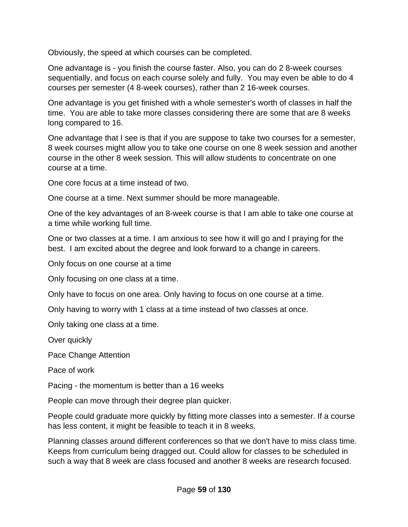Obviously, the speed at which courses can be completed.

One advantage is - you finish the course faster. Also, you can do 2 8-week courses sequentially, and focus on each course solely and fully. You may even be able to do 4 courses per semester (4 8-week courses), rather than 2 16-week courses.

One advantage is you get finished with a whole semester's worth of classes in half the time. You are able to take more classes considering there are some that are 8 weeks long compared to 16.

One advantage that I see is that if you are suppose to take two courses for a semester, 8 week courses might allow you to take one course on one 8 week session and another course in the other 8 week session. This will allow students to concentrate on one course at a time.

One core focus at a time instead of two.

One course at a time. Next summer should be more manageable.

One of the key advantages of an 8-week course is that I am able to take one course at a time while working full time.

One or two classes at a time. I am anxious to see how it will go and I praying for the best. I am excited about the degree and look forward to a change in careers.

Only focus on one course at a time

Only focusing on one class at a time.

Only have to focus on one area. Only having to focus on one course at a time.

Only having to worry with 1 class at a time instead of two classes at once.

Only taking one class at a time.

Over quickly

Pace Change Attention

Pace of work

Pacing - the momentum is better than a 16 weeks

People can move through their degree plan quicker.

People could graduate more quickly by fitting more classes into a semester. If a course has less content, it might be feasible to teach it in 8 weeks.

Planning classes around different conferences so that we don't have to miss class time. Keeps from curriculum being dragged out. Could allow for classes to be scheduled in such a way that 8 week are class focused and another 8 weeks are research focused.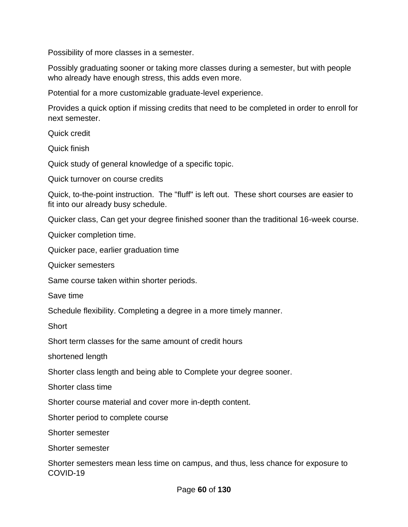Possibility of more classes in a semester.

Possibly graduating sooner or taking more classes during a semester, but with people who already have enough stress, this adds even more.

Potential for a more customizable graduate-level experience.

Provides a quick option if missing credits that need to be completed in order to enroll for next semester.

Quick credit

Quick finish

Quick study of general knowledge of a specific topic.

Quick turnover on course credits

Quick, to-the-point instruction. The "fluff" is left out. These short courses are easier to fit into our already busy schedule.

Quicker class, Can get your degree finished sooner than the traditional 16-week course.

Quicker completion time.

Quicker pace, earlier graduation time

Quicker semesters

Same course taken within shorter periods.

Save time

Schedule flexibility. Completing a degree in a more timely manner.

**Short** 

Short term classes for the same amount of credit hours

shortened length

Shorter class length and being able to Complete your degree sooner.

Shorter class time

Shorter course material and cover more in-depth content.

Shorter period to complete course

Shorter semester

Shorter semester

Shorter semesters mean less time on campus, and thus, less chance for exposure to COVID-19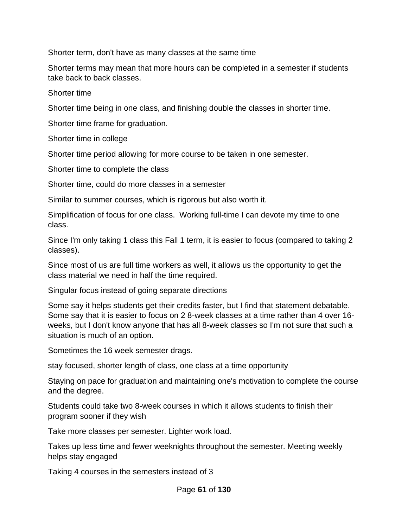Shorter term, don't have as many classes at the same time

Shorter terms may mean that more hours can be completed in a semester if students take back to back classes.

Shorter time

Shorter time being in one class, and finishing double the classes in shorter time.

Shorter time frame for graduation.

Shorter time in college

Shorter time period allowing for more course to be taken in one semester.

Shorter time to complete the class

Shorter time, could do more classes in a semester

Similar to summer courses, which is rigorous but also worth it.

Simplification of focus for one class. Working full-time I can devote my time to one class.

Since I'm only taking 1 class this Fall 1 term, it is easier to focus (compared to taking 2 classes).

Since most of us are full time workers as well, it allows us the opportunity to get the class material we need in half the time required.

Singular focus instead of going separate directions

Some say it helps students get their credits faster, but I find that statement debatable. Some say that it is easier to focus on 2 8-week classes at a time rather than 4 over 16 weeks, but I don't know anyone that has all 8-week classes so I'm not sure that such a situation is much of an option.

Sometimes the 16 week semester drags.

stay focused, shorter length of class, one class at a time opportunity

Staying on pace for graduation and maintaining one's motivation to complete the course and the degree.

Students could take two 8-week courses in which it allows students to finish their program sooner if they wish

Take more classes per semester. Lighter work load.

Takes up less time and fewer weeknights throughout the semester. Meeting weekly helps stay engaged

Taking 4 courses in the semesters instead of 3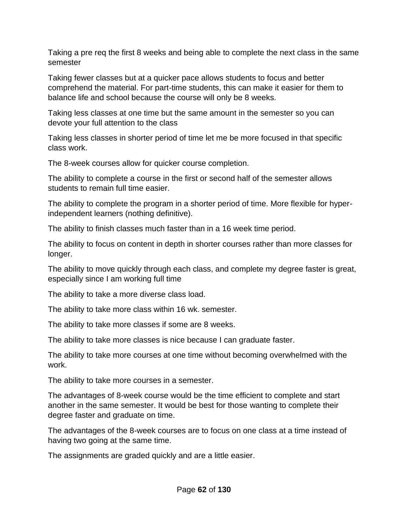Taking a pre req the first 8 weeks and being able to complete the next class in the same semester

Taking fewer classes but at a quicker pace allows students to focus and better comprehend the material. For part-time students, this can make it easier for them to balance life and school because the course will only be 8 weeks.

Taking less classes at one time but the same amount in the semester so you can devote your full attention to the class

Taking less classes in shorter period of time let me be more focused in that specific class work.

The 8-week courses allow for quicker course completion.

The ability to complete a course in the first or second half of the semester allows students to remain full time easier.

The ability to complete the program in a shorter period of time. More flexible for hyperindependent learners (nothing definitive).

The ability to finish classes much faster than in a 16 week time period.

The ability to focus on content in depth in shorter courses rather than more classes for longer.

The ability to move quickly through each class, and complete my degree faster is great, especially since I am working full time

The ability to take a more diverse class load.

The ability to take more class within 16 wk. semester.

The ability to take more classes if some are 8 weeks.

The ability to take more classes is nice because I can graduate faster.

The ability to take more courses at one time without becoming overwhelmed with the work.

The ability to take more courses in a semester.

The advantages of 8-week course would be the time efficient to complete and start another in the same semester. It would be best for those wanting to complete their degree faster and graduate on time.

The advantages of the 8-week courses are to focus on one class at a time instead of having two going at the same time.

The assignments are graded quickly and are a little easier.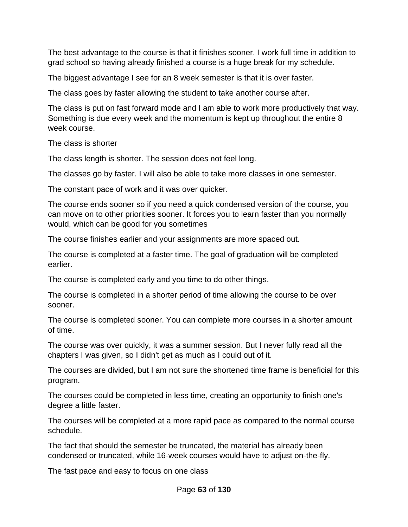The best advantage to the course is that it finishes sooner. I work full time in addition to grad school so having already finished a course is a huge break for my schedule.

The biggest advantage I see for an 8 week semester is that it is over faster.

The class goes by faster allowing the student to take another course after.

The class is put on fast forward mode and I am able to work more productively that way. Something is due every week and the momentum is kept up throughout the entire 8 week course.

The class is shorter

The class length is shorter. The session does not feel long.

The classes go by faster. I will also be able to take more classes in one semester.

The constant pace of work and it was over quicker.

The course ends sooner so if you need a quick condensed version of the course, you can move on to other priorities sooner. It forces you to learn faster than you normally would, which can be good for you sometimes

The course finishes earlier and your assignments are more spaced out.

The course is completed at a faster time. The goal of graduation will be completed earlier.

The course is completed early and you time to do other things.

The course is completed in a shorter period of time allowing the course to be over sooner.

The course is completed sooner. You can complete more courses in a shorter amount of time.

The course was over quickly, it was a summer session. But I never fully read all the chapters I was given, so I didn't get as much as I could out of it.

The courses are divided, but I am not sure the shortened time frame is beneficial for this program.

The courses could be completed in less time, creating an opportunity to finish one's degree a little faster.

The courses will be completed at a more rapid pace as compared to the normal course schedule.

The fact that should the semester be truncated, the material has already been condensed or truncated, while 16-week courses would have to adjust on-the-fly.

The fast pace and easy to focus on one class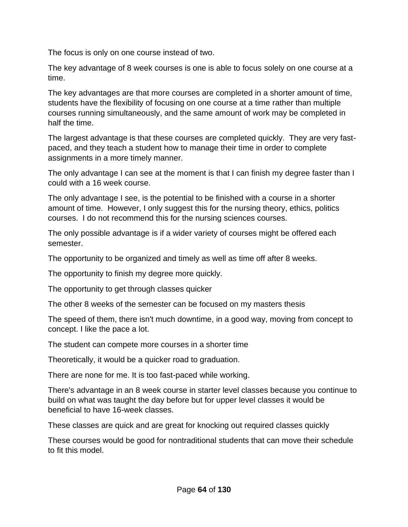The focus is only on one course instead of two.

The key advantage of 8 week courses is one is able to focus solely on one course at a time.

The key advantages are that more courses are completed in a shorter amount of time, students have the flexibility of focusing on one course at a time rather than multiple courses running simultaneously, and the same amount of work may be completed in half the time.

The largest advantage is that these courses are completed quickly. They are very fastpaced, and they teach a student how to manage their time in order to complete assignments in a more timely manner.

The only advantage I can see at the moment is that I can finish my degree faster than I could with a 16 week course.

The only advantage I see, is the potential to be finished with a course in a shorter amount of time. However, I only suggest this for the nursing theory, ethics, politics courses. I do not recommend this for the nursing sciences courses.

The only possible advantage is if a wider variety of courses might be offered each semester.

The opportunity to be organized and timely as well as time off after 8 weeks.

The opportunity to finish my degree more quickly.

The opportunity to get through classes quicker

The other 8 weeks of the semester can be focused on my masters thesis

The speed of them, there isn't much downtime, in a good way, moving from concept to concept. I like the pace a lot.

The student can compete more courses in a shorter time

Theoretically, it would be a quicker road to graduation.

There are none for me. It is too fast-paced while working.

There's advantage in an 8 week course in starter level classes because you continue to build on what was taught the day before but for upper level classes it would be beneficial to have 16-week classes.

These classes are quick and are great for knocking out required classes quickly

These courses would be good for nontraditional students that can move their schedule to fit this model.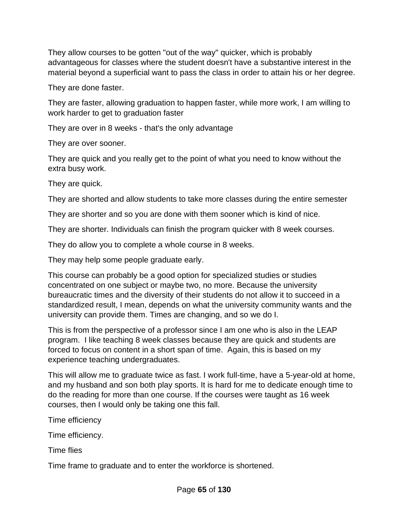They allow courses to be gotten "out of the way" quicker, which is probably advantageous for classes where the student doesn't have a substantive interest in the material beyond a superficial want to pass the class in order to attain his or her degree.

They are done faster.

They are faster, allowing graduation to happen faster, while more work, I am willing to work harder to get to graduation faster

They are over in 8 weeks - that's the only advantage

They are over sooner.

They are quick and you really get to the point of what you need to know without the extra busy work.

They are quick.

They are shorted and allow students to take more classes during the entire semester

They are shorter and so you are done with them sooner which is kind of nice.

They are shorter. Individuals can finish the program quicker with 8 week courses.

They do allow you to complete a whole course in 8 weeks.

They may help some people graduate early.

This course can probably be a good option for specialized studies or studies concentrated on one subject or maybe two, no more. Because the university bureaucratic times and the diversity of their students do not allow it to succeed in a standardized result, I mean, depends on what the university community wants and the university can provide them. Times are changing, and so we do I.

This is from the perspective of a professor since I am one who is also in the LEAP program. I like teaching 8 week classes because they are quick and students are forced to focus on content in a short span of time. Again, this is based on my experience teaching undergraduates.

This will allow me to graduate twice as fast. I work full-time, have a 5-year-old at home, and my husband and son both play sports. It is hard for me to dedicate enough time to do the reading for more than one course. If the courses were taught as 16 week courses, then I would only be taking one this fall.

Time efficiency

Time efficiency.

Time flies

Time frame to graduate and to enter the workforce is shortened.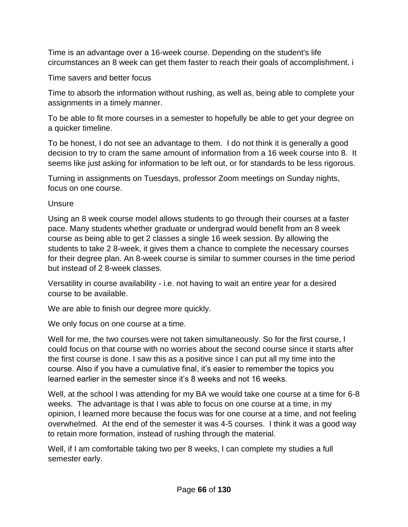Time is an advantage over a 16-week course. Depending on the student's life circumstances an 8 week can get them faster to reach their goals of accomplishment. i

Time savers and better focus

Time to absorb the information without rushing, as well as, being able to complete your assignments in a timely manner.

To be able to fit more courses in a semester to hopefully be able to get your degree on a quicker timeline.

To be honest, I do not see an advantage to them. I do not think it is generally a good decision to try to cram the same amount of information from a 16 week course into 8. It seems like just asking for information to be left out, or for standards to be less rigorous.

Turning in assignments on Tuesdays, professor Zoom meetings on Sunday nights, focus on one course.

**Unsure** 

Using an 8 week course model allows students to go through their courses at a faster pace. Many students whether graduate or undergrad would benefit from an 8 week course as being able to get 2 classes a single 16 week session. By allowing the students to take 2 8-week, it gives them a chance to complete the necessary courses for their degree plan. An 8-week course is similar to summer courses in the time period but instead of 2 8-week classes.

Versatility in course availability - i.e. not having to wait an entire year for a desired course to be available.

We are able to finish our degree more quickly.

We only focus on one course at a time.

Well for me, the two courses were not taken simultaneously. So for the first course, I could focus on that course with no worries about the second course since it starts after the first course is done. I saw this as a positive since I can put all my time into the course. Also if you have a cumulative final, it's easier to remember the topics you learned earlier in the semester since it's 8 weeks and not 16 weeks.

Well, at the school I was attending for my BA we would take one course at a time for 6-8 weeks. The advantage is that I was able to focus on one course at a time, in my opinion, I learned more because the focus was for one course at a time, and not feeling overwhelmed. At the end of the semester it was 4-5 courses. I think it was a good way to retain more formation, instead of rushing through the material.

Well, if I am comfortable taking two per 8 weeks, I can complete my studies a full semester early.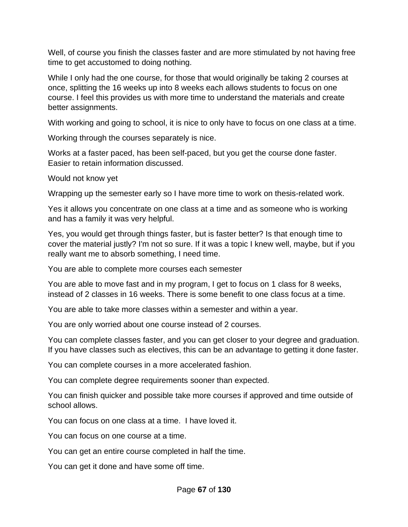Well, of course you finish the classes faster and are more stimulated by not having free time to get accustomed to doing nothing.

While I only had the one course, for those that would originally be taking 2 courses at once, splitting the 16 weeks up into 8 weeks each allows students to focus on one course. I feel this provides us with more time to understand the materials and create better assignments.

With working and going to school, it is nice to only have to focus on one class at a time.

Working through the courses separately is nice.

Works at a faster paced, has been self-paced, but you get the course done faster. Easier to retain information discussed.

Would not know yet

Wrapping up the semester early so I have more time to work on thesis-related work.

Yes it allows you concentrate on one class at a time and as someone who is working and has a family it was very helpful.

Yes, you would get through things faster, but is faster better? Is that enough time to cover the material justly? I'm not so sure. If it was a topic I knew well, maybe, but if you really want me to absorb something, I need time.

You are able to complete more courses each semester

You are able to move fast and in my program, I get to focus on 1 class for 8 weeks, instead of 2 classes in 16 weeks. There is some benefit to one class focus at a time.

You are able to take more classes within a semester and within a year.

You are only worried about one course instead of 2 courses.

You can complete classes faster, and you can get closer to your degree and graduation. If you have classes such as electives, this can be an advantage to getting it done faster.

You can complete courses in a more accelerated fashion.

You can complete degree requirements sooner than expected.

You can finish quicker and possible take more courses if approved and time outside of school allows.

You can focus on one class at a time. I have loved it.

You can focus on one course at a time.

You can get an entire course completed in half the time.

You can get it done and have some off time.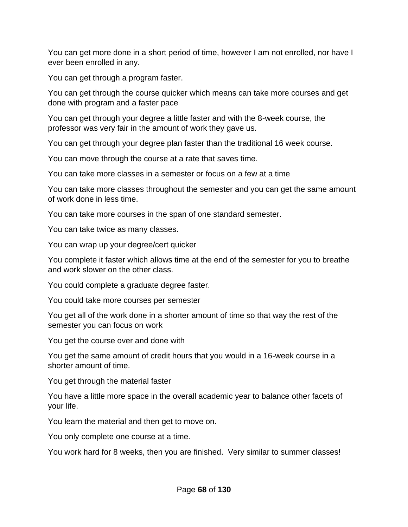You can get more done in a short period of time, however I am not enrolled, nor have I ever been enrolled in any.

You can get through a program faster.

You can get through the course quicker which means can take more courses and get done with program and a faster pace

You can get through your degree a little faster and with the 8-week course, the professor was very fair in the amount of work they gave us.

You can get through your degree plan faster than the traditional 16 week course.

You can move through the course at a rate that saves time.

You can take more classes in a semester or focus on a few at a time

You can take more classes throughout the semester and you can get the same amount of work done in less time.

You can take more courses in the span of one standard semester.

You can take twice as many classes.

You can wrap up your degree/cert quicker

You complete it faster which allows time at the end of the semester for you to breathe and work slower on the other class.

You could complete a graduate degree faster.

You could take more courses per semester

You get all of the work done in a shorter amount of time so that way the rest of the semester you can focus on work

You get the course over and done with

You get the same amount of credit hours that you would in a 16-week course in a shorter amount of time.

You get through the material faster

You have a little more space in the overall academic year to balance other facets of your life.

You learn the material and then get to move on.

You only complete one course at a time.

You work hard for 8 weeks, then you are finished. Very similar to summer classes!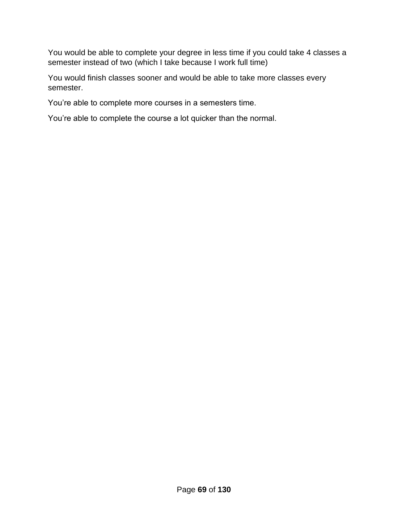You would be able to complete your degree in less time if you could take 4 classes a semester instead of two (which I take because I work full time)

You would finish classes sooner and would be able to take more classes every semester.

You're able to complete more courses in a semesters time.

You're able to complete the course a lot quicker than the normal.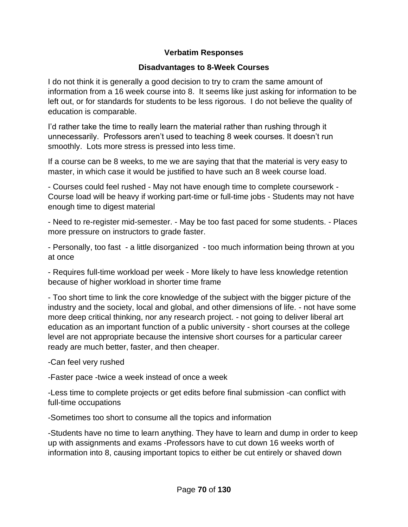## **Verbatim Responses**

## **Disadvantages to 8-Week Courses**

I do not think it is generally a good decision to try to cram the same amount of information from a 16 week course into 8. It seems like just asking for information to be left out, or for standards for students to be less rigorous. I do not believe the quality of education is comparable.

I'd rather take the time to really learn the material rather than rushing through it unnecessarily. Professors aren't used to teaching 8 week courses. It doesn't run smoothly. Lots more stress is pressed into less time.

If a course can be 8 weeks, to me we are saying that that the material is very easy to master, in which case it would be justified to have such an 8 week course load.

- Courses could feel rushed - May not have enough time to complete coursework - Course load will be heavy if working part-time or full-time jobs - Students may not have enough time to digest material

- Need to re-register mid-semester. - May be too fast paced for some students. - Places more pressure on instructors to grade faster.

- Personally, too fast - a little disorganized - too much information being thrown at you at once

- Requires full-time workload per week - More likely to have less knowledge retention because of higher workload in shorter time frame

- Too short time to link the core knowledge of the subject with the bigger picture of the industry and the society, local and global, and other dimensions of life. - not have some more deep critical thinking, nor any research project. - not going to deliver liberal art education as an important function of a public university - short courses at the college level are not appropriate because the intensive short courses for a particular career ready are much better, faster, and then cheaper.

-Can feel very rushed

-Faster pace -twice a week instead of once a week

-Less time to complete projects or get edits before final submission -can conflict with full-time occupations

-Sometimes too short to consume all the topics and information

-Students have no time to learn anything. They have to learn and dump in order to keep up with assignments and exams -Professors have to cut down 16 weeks worth of information into 8, causing important topics to either be cut entirely or shaved down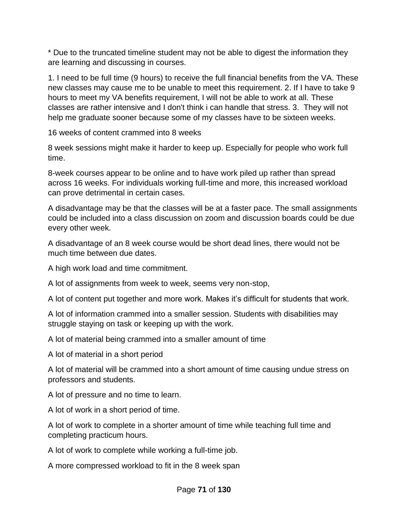\* Due to the truncated timeline student may not be able to digest the information they are learning and discussing in courses.

1. I need to be full time (9 hours) to receive the full financial benefits from the VA. These new classes may cause me to be unable to meet this requirement. 2. If I have to take 9 hours to meet my VA benefits requirement, I will not be able to work at all. These classes are rather intensive and I don't think i can handle that stress. 3. They will not help me graduate sooner because some of my classes have to be sixteen weeks.

16 weeks of content crammed into 8 weeks

8 week sessions might make it harder to keep up. Especially for people who work full time.

8-week courses appear to be online and to have work piled up rather than spread across 16 weeks. For individuals working full-time and more, this increased workload can prove detrimental in certain cases.

A disadvantage may be that the classes will be at a faster pace. The small assignments could be included into a class discussion on zoom and discussion boards could be due every other week.

A disadvantage of an 8 week course would be short dead lines, there would not be much time between due dates.

A high work load and time commitment.

A lot of assignments from week to week, seems very non-stop,

A lot of content put together and more work. Makes it's difficult for students that work.

A lot of information crammed into a smaller session. Students with disabilities may struggle staying on task or keeping up with the work.

A lot of material being crammed into a smaller amount of time

A lot of material in a short period

A lot of material will be crammed into a short amount of time causing undue stress on professors and students.

A lot of pressure and no time to learn.

A lot of work in a short period of time.

A lot of work to complete in a shorter amount of time while teaching full time and completing practicum hours.

A lot of work to complete while working a full-time job.

A more compressed workload to fit in the 8 week span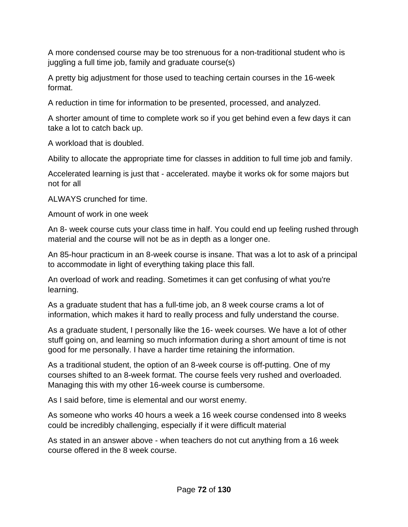A more condensed course may be too strenuous for a non-traditional student who is juggling a full time job, family and graduate course(s)

A pretty big adjustment for those used to teaching certain courses in the 16-week format.

A reduction in time for information to be presented, processed, and analyzed.

A shorter amount of time to complete work so if you get behind even a few days it can take a lot to catch back up.

A workload that is doubled.

Ability to allocate the appropriate time for classes in addition to full time job and family.

Accelerated learning is just that - accelerated. maybe it works ok for some majors but not for all

ALWAYS crunched for time.

Amount of work in one week

An 8- week course cuts your class time in half. You could end up feeling rushed through material and the course will not be as in depth as a longer one.

An 85-hour practicum in an 8-week course is insane. That was a lot to ask of a principal to accommodate in light of everything taking place this fall.

An overload of work and reading. Sometimes it can get confusing of what you're learning.

As a graduate student that has a full-time job, an 8 week course crams a lot of information, which makes it hard to really process and fully understand the course.

As a graduate student, I personally like the 16- week courses. We have a lot of other stuff going on, and learning so much information during a short amount of time is not good for me personally. I have a harder time retaining the information.

As a traditional student, the option of an 8-week course is off-putting. One of my courses shifted to an 8-week format. The course feels very rushed and overloaded. Managing this with my other 16-week course is cumbersome.

As I said before, time is elemental and our worst enemy.

As someone who works 40 hours a week a 16 week course condensed into 8 weeks could be incredibly challenging, especially if it were difficult material

As stated in an answer above - when teachers do not cut anything from a 16 week course offered in the 8 week course.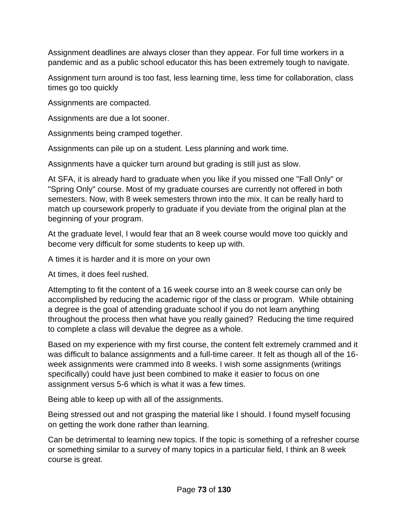Assignment deadlines are always closer than they appear. For full time workers in a pandemic and as a public school educator this has been extremely tough to navigate.

Assignment turn around is too fast, less learning time, less time for collaboration, class times go too quickly

Assignments are compacted.

Assignments are due a lot sooner.

Assignments being cramped together.

Assignments can pile up on a student. Less planning and work time.

Assignments have a quicker turn around but grading is still just as slow.

At SFA, it is already hard to graduate when you like if you missed one "Fall Only" or "Spring Only" course. Most of my graduate courses are currently not offered in both semesters. Now, with 8 week semesters thrown into the mix. It can be really hard to match up coursework properly to graduate if you deviate from the original plan at the beginning of your program.

At the graduate level, I would fear that an 8 week course would move too quickly and become very difficult for some students to keep up with.

A times it is harder and it is more on your own

At times, it does feel rushed.

Attempting to fit the content of a 16 week course into an 8 week course can only be accomplished by reducing the academic rigor of the class or program. While obtaining a degree is the goal of attending graduate school if you do not learn anything throughout the process then what have you really gained? Reducing the time required to complete a class will devalue the degree as a whole.

Based on my experience with my first course, the content felt extremely crammed and it was difficult to balance assignments and a full-time career. It felt as though all of the 16 week assignments were crammed into 8 weeks. I wish some assignments (writings specifically) could have just been combined to make it easier to focus on one assignment versus 5-6 which is what it was a few times.

Being able to keep up with all of the assignments.

Being stressed out and not grasping the material like I should. I found myself focusing on getting the work done rather than learning.

Can be detrimental to learning new topics. If the topic is something of a refresher course or something similar to a survey of many topics in a particular field, I think an 8 week course is great.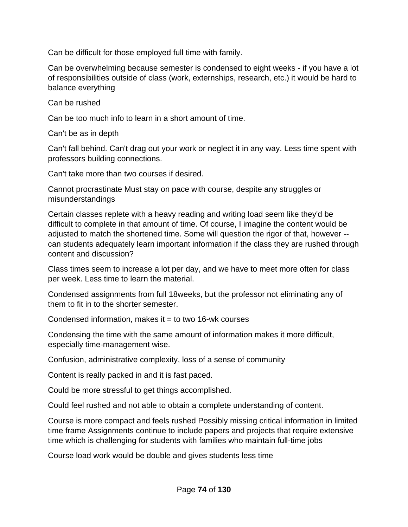Can be difficult for those employed full time with family.

Can be overwhelming because semester is condensed to eight weeks - if you have a lot of responsibilities outside of class (work, externships, research, etc.) it would be hard to balance everything

Can be rushed

Can be too much info to learn in a short amount of time.

Can't be as in depth

Can't fall behind. Can't drag out your work or neglect it in any way. Less time spent with professors building connections.

Can't take more than two courses if desired.

Cannot procrastinate Must stay on pace with course, despite any struggles or misunderstandings

Certain classes replete with a heavy reading and writing load seem like they'd be difficult to complete in that amount of time. Of course, I imagine the content would be adjusted to match the shortened time. Some will question the rigor of that, however - can students adequately learn important information if the class they are rushed through content and discussion?

Class times seem to increase a lot per day, and we have to meet more often for class per week. Less time to learn the material.

Condensed assignments from full 18weeks, but the professor not eliminating any of them to fit in to the shorter semester.

Condensed information, makes it  $=$  to two 16-wk courses

Condensing the time with the same amount of information makes it more difficult, especially time-management wise.

Confusion, administrative complexity, loss of a sense of community

Content is really packed in and it is fast paced.

Could be more stressful to get things accomplished.

Could feel rushed and not able to obtain a complete understanding of content.

Course is more compact and feels rushed Possibly missing critical information in limited time frame Assignments continue to include papers and projects that require extensive time which is challenging for students with families who maintain full-time jobs

Course load work would be double and gives students less time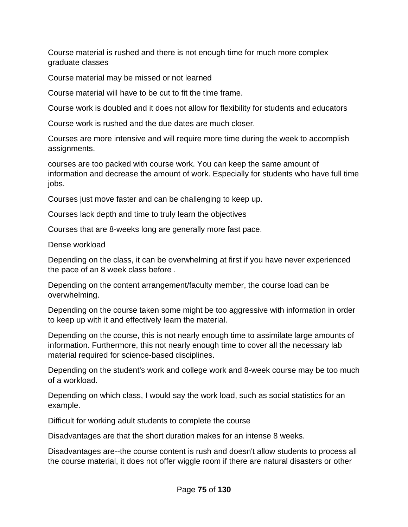Course material is rushed and there is not enough time for much more complex graduate classes

Course material may be missed or not learned

Course material will have to be cut to fit the time frame.

Course work is doubled and it does not allow for flexibility for students and educators

Course work is rushed and the due dates are much closer.

Courses are more intensive and will require more time during the week to accomplish assignments.

courses are too packed with course work. You can keep the same amount of information and decrease the amount of work. Especially for students who have full time jobs.

Courses just move faster and can be challenging to keep up.

Courses lack depth and time to truly learn the objectives

Courses that are 8-weeks long are generally more fast pace.

Dense workload

Depending on the class, it can be overwhelming at first if you have never experienced the pace of an 8 week class before .

Depending on the content arrangement/faculty member, the course load can be overwhelming.

Depending on the course taken some might be too aggressive with information in order to keep up with it and effectively learn the material.

Depending on the course, this is not nearly enough time to assimilate large amounts of information. Furthermore, this not nearly enough time to cover all the necessary lab material required for science-based disciplines.

Depending on the student's work and college work and 8-week course may be too much of a workload.

Depending on which class, I would say the work load, such as social statistics for an example.

Difficult for working adult students to complete the course

Disadvantages are that the short duration makes for an intense 8 weeks.

Disadvantages are--the course content is rush and doesn't allow students to process all the course material, it does not offer wiggle room if there are natural disasters or other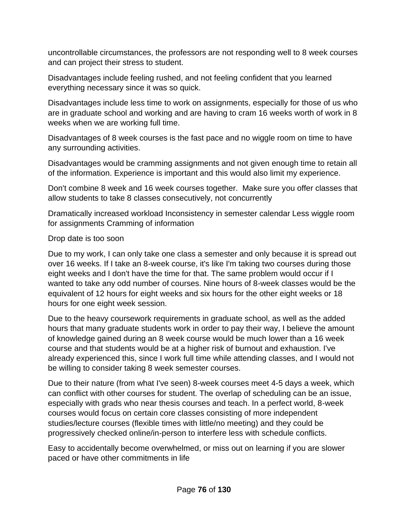uncontrollable circumstances, the professors are not responding well to 8 week courses and can project their stress to student.

Disadvantages include feeling rushed, and not feeling confident that you learned everything necessary since it was so quick.

Disadvantages include less time to work on assignments, especially for those of us who are in graduate school and working and are having to cram 16 weeks worth of work in 8 weeks when we are working full time.

Disadvantages of 8 week courses is the fast pace and no wiggle room on time to have any surrounding activities.

Disadvantages would be cramming assignments and not given enough time to retain all of the information. Experience is important and this would also limit my experience.

Don't combine 8 week and 16 week courses together. Make sure you offer classes that allow students to take 8 classes consecutively, not concurrently

Dramatically increased workload Inconsistency in semester calendar Less wiggle room for assignments Cramming of information

## Drop date is too soon

Due to my work, I can only take one class a semester and only because it is spread out over 16 weeks. If I take an 8-week course, it's like I'm taking two courses during those eight weeks and I don't have the time for that. The same problem would occur if I wanted to take any odd number of courses. Nine hours of 8-week classes would be the equivalent of 12 hours for eight weeks and six hours for the other eight weeks or 18 hours for one eight week session.

Due to the heavy coursework requirements in graduate school, as well as the added hours that many graduate students work in order to pay their way, I believe the amount of knowledge gained during an 8 week course would be much lower than a 16 week course and that students would be at a higher risk of burnout and exhaustion. I've already experienced this, since I work full time while attending classes, and I would not be willing to consider taking 8 week semester courses.

Due to their nature (from what I've seen) 8-week courses meet 4-5 days a week, which can conflict with other courses for student. The overlap of scheduling can be an issue, especially with grads who near thesis courses and teach. In a perfect world, 8-week courses would focus on certain core classes consisting of more independent studies/lecture courses (flexible times with little/no meeting) and they could be progressively checked online/in-person to interfere less with schedule conflicts.

Easy to accidentally become overwhelmed, or miss out on learning if you are slower paced or have other commitments in life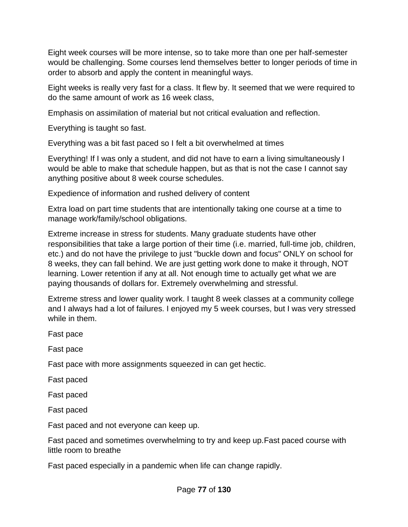Eight week courses will be more intense, so to take more than one per half-semester would be challenging. Some courses lend themselves better to longer periods of time in order to absorb and apply the content in meaningful ways.

Eight weeks is really very fast for a class. It flew by. It seemed that we were required to do the same amount of work as 16 week class,

Emphasis on assimilation of material but not critical evaluation and reflection.

Everything is taught so fast.

Everything was a bit fast paced so I felt a bit overwhelmed at times

Everything! If I was only a student, and did not have to earn a living simultaneously I would be able to make that schedule happen, but as that is not the case I cannot say anything positive about 8 week course schedules.

Expedience of information and rushed delivery of content

Extra load on part time students that are intentionally taking one course at a time to manage work/family/school obligations.

Extreme increase in stress for students. Many graduate students have other responsibilities that take a large portion of their time (i.e. married, full-time job, children, etc.) and do not have the privilege to just "buckle down and focus" ONLY on school for 8 weeks, they can fall behind. We are just getting work done to make it through, NOT learning. Lower retention if any at all. Not enough time to actually get what we are paying thousands of dollars for. Extremely overwhelming and stressful.

Extreme stress and lower quality work. I taught 8 week classes at a community college and I always had a lot of failures. I enjoyed my 5 week courses, but I was very stressed while in them.

Fast pace

Fast pace

Fast pace with more assignments squeezed in can get hectic.

Fast paced

Fast paced

Fast paced

Fast paced and not everyone can keep up.

Fast paced and sometimes overwhelming to try and keep up.Fast paced course with little room to breathe

Fast paced especially in a pandemic when life can change rapidly.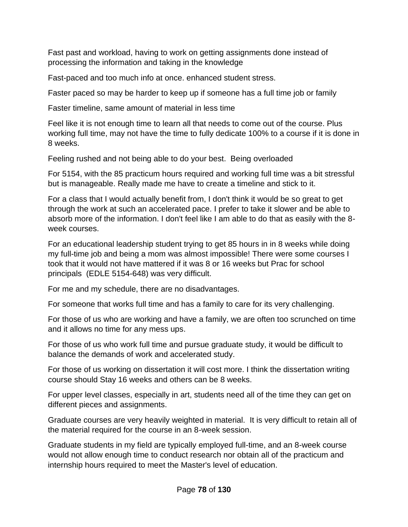Fast past and workload, having to work on getting assignments done instead of processing the information and taking in the knowledge

Fast-paced and too much info at once. enhanced student stress.

Faster paced so may be harder to keep up if someone has a full time job or family

Faster timeline, same amount of material in less time

Feel like it is not enough time to learn all that needs to come out of the course. Plus working full time, may not have the time to fully dedicate 100% to a course if it is done in 8 weeks.

Feeling rushed and not being able to do your best. Being overloaded

For 5154, with the 85 practicum hours required and working full time was a bit stressful but is manageable. Really made me have to create a timeline and stick to it.

For a class that I would actually benefit from, I don't think it would be so great to get through the work at such an accelerated pace. I prefer to take it slower and be able to absorb more of the information. I don't feel like I am able to do that as easily with the 8 week courses.

For an educational leadership student trying to get 85 hours in in 8 weeks while doing my full-time job and being a mom was almost impossible! There were some courses I took that it would not have mattered if it was 8 or 16 weeks but Prac for school principals (EDLE 5154-648) was very difficult.

For me and my schedule, there are no disadvantages.

For someone that works full time and has a family to care for its very challenging.

For those of us who are working and have a family, we are often too scrunched on time and it allows no time for any mess ups.

For those of us who work full time and pursue graduate study, it would be difficult to balance the demands of work and accelerated study.

For those of us working on dissertation it will cost more. I think the dissertation writing course should Stay 16 weeks and others can be 8 weeks.

For upper level classes, especially in art, students need all of the time they can get on different pieces and assignments.

Graduate courses are very heavily weighted in material. It is very difficult to retain all of the material required for the course in an 8-week session.

Graduate students in my field are typically employed full-time, and an 8-week course would not allow enough time to conduct research nor obtain all of the practicum and internship hours required to meet the Master's level of education.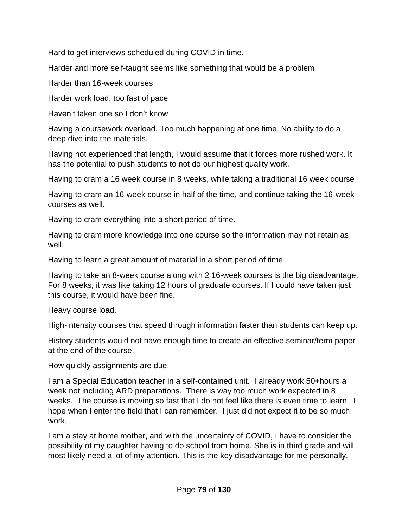Hard to get interviews scheduled during COVID in time.

Harder and more self-taught seems like something that would be a problem

Harder than 16-week courses

Harder work load, too fast of pace

Haven't taken one so I don't know

Having a coursework overload. Too much happening at one time. No ability to do a deep dive into the materials.

Having not experienced that length, I would assume that it forces more rushed work. It has the potential to push students to not do our highest quality work.

Having to cram a 16 week course in 8 weeks, while taking a traditional 16 week course

Having to cram an 16-week course in half of the time, and continue taking the 16-week courses as well.

Having to cram everything into a short period of time.

Having to cram more knowledge into one course so the information may not retain as well.

Having to learn a great amount of material in a short period of time

Having to take an 8-week course along with 2 16-week courses is the big disadvantage. For 8 weeks, it was like taking 12 hours of graduate courses. If I could have taken just this course, it would have been fine.

Heavy course load.

High-intensity courses that speed through information faster than students can keep up.

History students would not have enough time to create an effective seminar/term paper at the end of the course.

How quickly assignments are due.

I am a Special Education teacher in a self-contained unit. I already work 50+hours a week not including ARD preparations. There is way too much work expected in 8 weeks. The course is moving so fast that I do not feel like there is even time to learn. I hope when I enter the field that I can remember. I just did not expect it to be so much work.

I am a stay at home mother, and with the uncertainty of COVID, I have to consider the possibility of my daughter having to do school from home. She is in third grade and will most likely need a lot of my attention. This is the key disadvantage for me personally.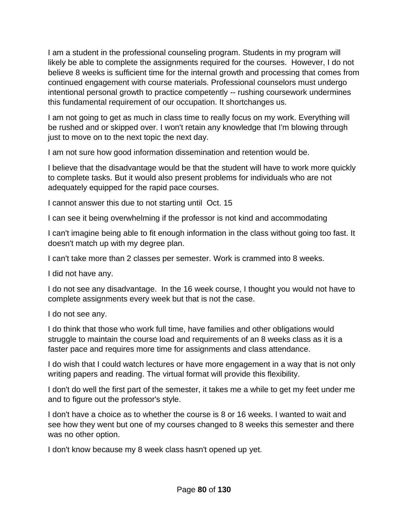I am a student in the professional counseling program. Students in my program will likely be able to complete the assignments required for the courses. However, I do not believe 8 weeks is sufficient time for the internal growth and processing that comes from continued engagement with course materials. Professional counselors must undergo intentional personal growth to practice competently -- rushing coursework undermines this fundamental requirement of our occupation. It shortchanges us.

I am not going to get as much in class time to really focus on my work. Everything will be rushed and or skipped over. I won't retain any knowledge that I'm blowing through just to move on to the next topic the next day.

I am not sure how good information dissemination and retention would be.

I believe that the disadvantage would be that the student will have to work more quickly to complete tasks. But it would also present problems for individuals who are not adequately equipped for the rapid pace courses.

I cannot answer this due to not starting until Oct. 15

I can see it being overwhelming if the professor is not kind and accommodating

I can't imagine being able to fit enough information in the class without going too fast. It doesn't match up with my degree plan.

I can't take more than 2 classes per semester. Work is crammed into 8 weeks.

I did not have any.

I do not see any disadvantage. In the 16 week course, I thought you would not have to complete assignments every week but that is not the case.

I do not see any.

I do think that those who work full time, have families and other obligations would struggle to maintain the course load and requirements of an 8 weeks class as it is a faster pace and requires more time for assignments and class attendance.

I do wish that I could watch lectures or have more engagement in a way that is not only writing papers and reading. The virtual format will provide this flexibility.

I don't do well the first part of the semester, it takes me a while to get my feet under me and to figure out the professor's style.

I don't have a choice as to whether the course is 8 or 16 weeks. I wanted to wait and see how they went but one of my courses changed to 8 weeks this semester and there was no other option.

I don't know because my 8 week class hasn't opened up yet.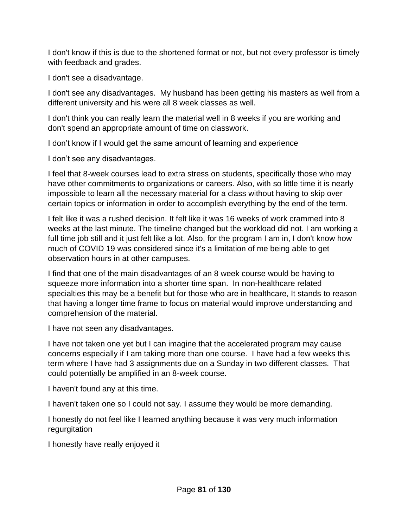I don't know if this is due to the shortened format or not, but not every professor is timely with feedback and grades.

I don't see a disadvantage.

I don't see any disadvantages. My husband has been getting his masters as well from a different university and his were all 8 week classes as well.

I don't think you can really learn the material well in 8 weeks if you are working and don't spend an appropriate amount of time on classwork.

I don't know if I would get the same amount of learning and experience

I don't see any disadvantages.

I feel that 8-week courses lead to extra stress on students, specifically those who may have other commitments to organizations or careers. Also, with so little time it is nearly impossible to learn all the necessary material for a class without having to skip over certain topics or information in order to accomplish everything by the end of the term.

I felt like it was a rushed decision. It felt like it was 16 weeks of work crammed into 8 weeks at the last minute. The timeline changed but the workload did not. I am working a full time job still and it just felt like a lot. Also, for the program I am in, I don't know how much of COVID 19 was considered since it's a limitation of me being able to get observation hours in at other campuses.

I find that one of the main disadvantages of an 8 week course would be having to squeeze more information into a shorter time span. In non-healthcare related specialties this may be a benefit but for those who are in healthcare, It stands to reason that having a longer time frame to focus on material would improve understanding and comprehension of the material.

I have not seen any disadvantages.

I have not taken one yet but I can imagine that the accelerated program may cause concerns especially if I am taking more than one course. I have had a few weeks this term where I have had 3 assignments due on a Sunday in two different classes. That could potentially be amplified in an 8-week course.

I haven't found any at this time.

I haven't taken one so I could not say. I assume they would be more demanding.

I honestly do not feel like I learned anything because it was very much information regurgitation

I honestly have really enjoyed it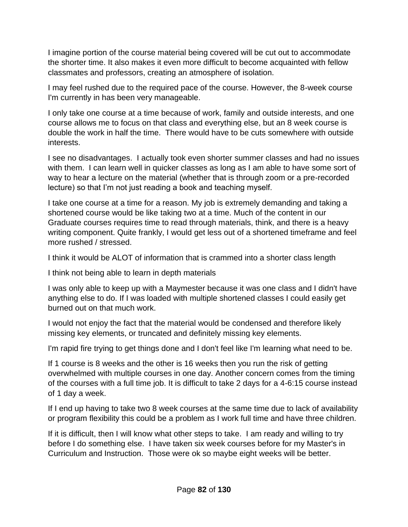I imagine portion of the course material being covered will be cut out to accommodate the shorter time. It also makes it even more difficult to become acquainted with fellow classmates and professors, creating an atmosphere of isolation.

I may feel rushed due to the required pace of the course. However, the 8-week course I'm currently in has been very manageable.

I only take one course at a time because of work, family and outside interests, and one course allows me to focus on that class and everything else, but an 8 week course is double the work in half the time. There would have to be cuts somewhere with outside interests.

I see no disadvantages. I actually took even shorter summer classes and had no issues with them. I can learn well in quicker classes as long as I am able to have some sort of way to hear a lecture on the material (whether that is through zoom or a pre-recorded lecture) so that I'm not just reading a book and teaching myself.

I take one course at a time for a reason. My job is extremely demanding and taking a shortened course would be like taking two at a time. Much of the content in our Graduate courses requires time to read through materials, think, and there is a heavy writing component. Quite frankly, I would get less out of a shortened timeframe and feel more rushed / stressed.

I think it would be ALOT of information that is crammed into a shorter class length

I think not being able to learn in depth materials

I was only able to keep up with a Maymester because it was one class and I didn't have anything else to do. If I was loaded with multiple shortened classes I could easily get burned out on that much work.

I would not enjoy the fact that the material would be condensed and therefore likely missing key elements, or truncated and definitely missing key elements.

I'm rapid fire trying to get things done and I don't feel like I'm learning what need to be.

If 1 course is 8 weeks and the other is 16 weeks then you run the risk of getting overwhelmed with multiple courses in one day. Another concern comes from the timing of the courses with a full time job. It is difficult to take 2 days for a 4-6:15 course instead of 1 day a week.

If I end up having to take two 8 week courses at the same time due to lack of availability or program flexibility this could be a problem as I work full time and have three children.

If it is difficult, then I will know what other steps to take. I am ready and willing to try before I do something else. I have taken six week courses before for my Master's in Curriculum and Instruction. Those were ok so maybe eight weeks will be better.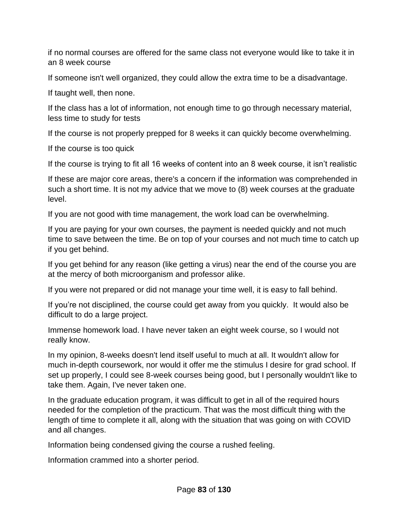if no normal courses are offered for the same class not everyone would like to take it in an 8 week course

If someone isn't well organized, they could allow the extra time to be a disadvantage.

If taught well, then none.

If the class has a lot of information, not enough time to go through necessary material, less time to study for tests

If the course is not properly prepped for 8 weeks it can quickly become overwhelming.

If the course is too quick

If the course is trying to fit all 16 weeks of content into an 8 week course, it isn't realistic

If these are major core areas, there's a concern if the information was comprehended in such a short time. It is not my advice that we move to (8) week courses at the graduate level.

If you are not good with time management, the work load can be overwhelming.

If you are paying for your own courses, the payment is needed quickly and not much time to save between the time. Be on top of your courses and not much time to catch up if you get behind.

If you get behind for any reason (like getting a virus) near the end of the course you are at the mercy of both microorganism and professor alike.

If you were not prepared or did not manage your time well, it is easy to fall behind.

If you're not disciplined, the course could get away from you quickly. It would also be difficult to do a large project.

Immense homework load. I have never taken an eight week course, so I would not really know.

In my opinion, 8-weeks doesn't lend itself useful to much at all. It wouldn't allow for much in-depth coursework, nor would it offer me the stimulus I desire for grad school. If set up properly, I could see 8-week courses being good, but I personally wouldn't like to take them. Again, I've never taken one.

In the graduate education program, it was difficult to get in all of the required hours needed for the completion of the practicum. That was the most difficult thing with the length of time to complete it all, along with the situation that was going on with COVID and all changes.

Information being condensed giving the course a rushed feeling.

Information crammed into a shorter period.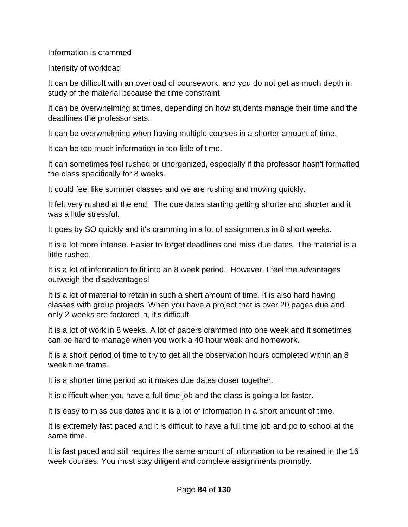Information is crammed

Intensity of workload

It can be difficult with an overload of coursework, and you do not get as much depth in study of the material because the time constraint.

It can be overwhelming at times, depending on how students manage their time and the deadlines the professor sets.

It can be overwhelming when having multiple courses in a shorter amount of time.

It can be too much information in too little of time.

It can sometimes feel rushed or unorganized, especially if the professor hasn't formatted the class specifically for 8 weeks.

It could feel like summer classes and we are rushing and moving quickly.

It felt very rushed at the end. The due dates starting getting shorter and shorter and it was a little stressful.

It goes by SO quickly and it's cramming in a lot of assignments in 8 short weeks.

It is a lot more intense. Easier to forget deadlines and miss due dates. The material is a little rushed.

It is a lot of information to fit into an 8 week period. However, I feel the advantages outweigh the disadvantages!

It is a lot of material to retain in such a short amount of time. It is also hard having classes with group projects. When you have a project that is over 20 pages due and only 2 weeks are factored in, it's difficult.

It is a lot of work in 8 weeks. A lot of papers crammed into one week and it sometimes can be hard to manage when you work a 40 hour week and homework.

It is a short period of time to try to get all the observation hours completed within an 8 week time frame.

It is a shorter time period so it makes due dates closer together.

It is difficult when you have a full time job and the class is going a lot faster.

It is easy to miss due dates and it is a lot of information in a short amount of time.

It is extremely fast paced and it is difficult to have a full time job and go to school at the same time.

It is fast paced and still requires the same amount of information to be retained in the 16 week courses. You must stay diligent and complete assignments promptly.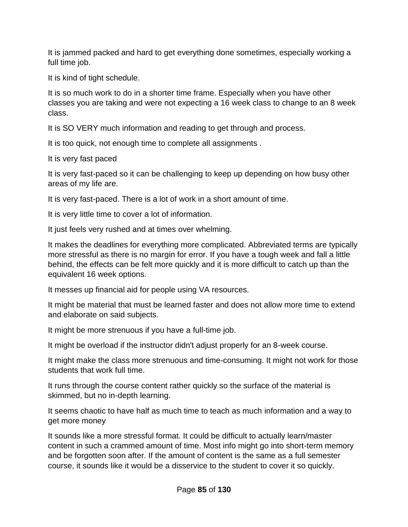It is jammed packed and hard to get everything done sometimes, especially working a full time job.

It is kind of tight schedule.

It is so much work to do in a shorter time frame. Especially when you have other classes you are taking and were not expecting a 16 week class to change to an 8 week class.

It is SO VERY much information and reading to get through and process.

It is too quick, not enough time to complete all assignments .

It is very fast paced

It is very fast-paced so it can be challenging to keep up depending on how busy other areas of my life are.

It is very fast-paced. There is a lot of work in a short amount of time.

It is very little time to cover a lot of information.

It just feels very rushed and at times over whelming.

It makes the deadlines for everything more complicated. Abbreviated terms are typically more stressful as there is no margin for error. If you have a tough week and fall a little behind, the effects can be felt more quickly and it is more difficult to catch up than the equivalent 16 week options.

It messes up financial aid for people using VA resources.

It might be material that must be learned faster and does not allow more time to extend and elaborate on said subjects.

It might be more strenuous if you have a full-time job.

It might be overload if the instructor didn't adjust properly for an 8-week course.

It might make the class more strenuous and time-consuming. It might not work for those students that work full time.

It runs through the course content rather quickly so the surface of the material is skimmed, but no in-depth learning.

It seems chaotic to have half as much time to teach as much information and a way to get more money

It sounds like a more stressful format. It could be difficult to actually learn/master content in such a crammed amount of time. Most info might go into short-term memory and be forgotten soon after. If the amount of content is the same as a full semester course, it sounds like it would be a disservice to the student to cover it so quickly.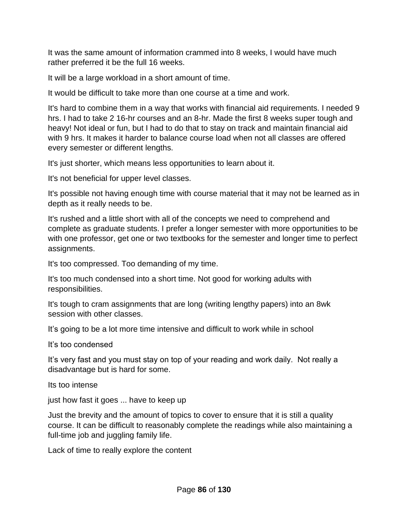It was the same amount of information crammed into 8 weeks, I would have much rather preferred it be the full 16 weeks.

It will be a large workload in a short amount of time.

It would be difficult to take more than one course at a time and work.

It's hard to combine them in a way that works with financial aid requirements. I needed 9 hrs. I had to take 2 16-hr courses and an 8-hr. Made the first 8 weeks super tough and heavy! Not ideal or fun, but I had to do that to stay on track and maintain financial aid with 9 hrs. It makes it harder to balance course load when not all classes are offered every semester or different lengths.

It's just shorter, which means less opportunities to learn about it.

It's not beneficial for upper level classes.

It's possible not having enough time with course material that it may not be learned as in depth as it really needs to be.

It's rushed and a little short with all of the concepts we need to comprehend and complete as graduate students. I prefer a longer semester with more opportunities to be with one professor, get one or two textbooks for the semester and longer time to perfect assignments.

It's too compressed. Too demanding of my time.

It's too much condensed into a short time. Not good for working adults with responsibilities.

It's tough to cram assignments that are long (writing lengthy papers) into an 8wk session with other classes.

It's going to be a lot more time intensive and difficult to work while in school

It's too condensed

It's very fast and you must stay on top of your reading and work daily. Not really a disadvantage but is hard for some.

Its too intense

just how fast it goes ... have to keep up

Just the brevity and the amount of topics to cover to ensure that it is still a quality course. It can be difficult to reasonably complete the readings while also maintaining a full-time job and juggling family life.

Lack of time to really explore the content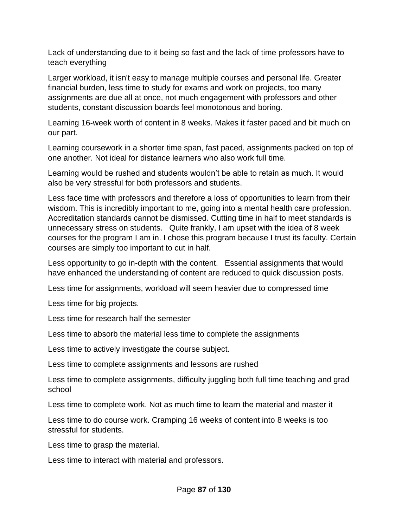Lack of understanding due to it being so fast and the lack of time professors have to teach everything

Larger workload, it isn't easy to manage multiple courses and personal life. Greater financial burden, less time to study for exams and work on projects, too many assignments are due all at once, not much engagement with professors and other students, constant discussion boards feel monotonous and boring.

Learning 16-week worth of content in 8 weeks. Makes it faster paced and bit much on our part.

Learning coursework in a shorter time span, fast paced, assignments packed on top of one another. Not ideal for distance learners who also work full time.

Learning would be rushed and students wouldn't be able to retain as much. It would also be very stressful for both professors and students.

Less face time with professors and therefore a loss of opportunities to learn from their wisdom. This is incredibly important to me, going into a mental health care profession. Accreditation standards cannot be dismissed. Cutting time in half to meet standards is unnecessary stress on students. Quite frankly, I am upset with the idea of 8 week courses for the program I am in. I chose this program because I trust its faculty. Certain courses are simply too important to cut in half.

Less opportunity to go in-depth with the content. Essential assignments that would have enhanced the understanding of content are reduced to quick discussion posts.

Less time for assignments, workload will seem heavier due to compressed time

Less time for big projects.

Less time for research half the semester

Less time to absorb the material less time to complete the assignments

Less time to actively investigate the course subject.

Less time to complete assignments and lessons are rushed

Less time to complete assignments, difficulty juggling both full time teaching and grad school

Less time to complete work. Not as much time to learn the material and master it

Less time to do course work. Cramping 16 weeks of content into 8 weeks is too stressful for students.

Less time to grasp the material.

Less time to interact with material and professors.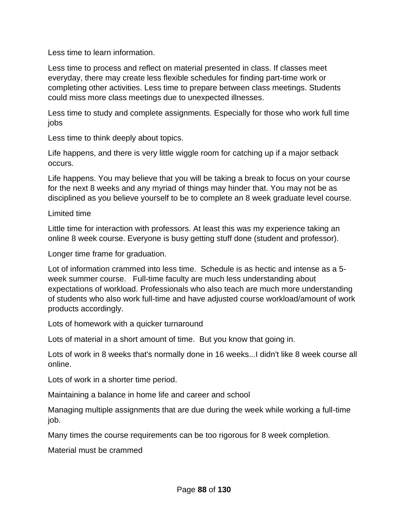Less time to learn information.

Less time to process and reflect on material presented in class. If classes meet everyday, there may create less flexible schedules for finding part-time work or completing other activities. Less time to prepare between class meetings. Students could miss more class meetings due to unexpected illnesses.

Less time to study and complete assignments. Especially for those who work full time jobs

Less time to think deeply about topics.

Life happens, and there is very little wiggle room for catching up if a major setback occurs.

Life happens. You may believe that you will be taking a break to focus on your course for the next 8 weeks and any myriad of things may hinder that. You may not be as disciplined as you believe yourself to be to complete an 8 week graduate level course.

Limited time

Little time for interaction with professors. At least this was my experience taking an online 8 week course. Everyone is busy getting stuff done (student and professor).

Longer time frame for graduation.

Lot of information crammed into less time. Schedule is as hectic and intense as a 5 week summer course. Full-time faculty are much less understanding about expectations of workload. Professionals who also teach are much more understanding of students who also work full-time and have adjusted course workload/amount of work products accordingly.

Lots of homework with a quicker turnaround

Lots of material in a short amount of time. But you know that going in.

Lots of work in 8 weeks that's normally done in 16 weeks...I didn't like 8 week course all online.

Lots of work in a shorter time period.

Maintaining a balance in home life and career and school

Managing multiple assignments that are due during the week while working a full-time job.

Many times the course requirements can be too rigorous for 8 week completion.

Material must be crammed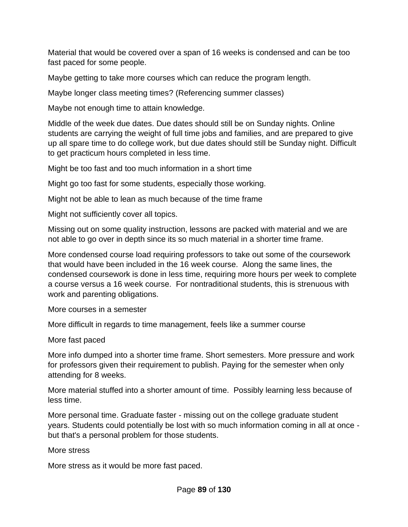Material that would be covered over a span of 16 weeks is condensed and can be too fast paced for some people.

Maybe getting to take more courses which can reduce the program length.

Maybe longer class meeting times? (Referencing summer classes)

Maybe not enough time to attain knowledge.

Middle of the week due dates. Due dates should still be on Sunday nights. Online students are carrying the weight of full time jobs and families, and are prepared to give up all spare time to do college work, but due dates should still be Sunday night. Difficult to get practicum hours completed in less time.

Might be too fast and too much information in a short time

Might go too fast for some students, especially those working.

Might not be able to lean as much because of the time frame

Might not sufficiently cover all topics.

Missing out on some quality instruction, lessons are packed with material and we are not able to go over in depth since its so much material in a shorter time frame.

More condensed course load requiring professors to take out some of the coursework that would have been included in the 16 week course. Along the same lines, the condensed coursework is done in less time, requiring more hours per week to complete a course versus a 16 week course. For nontraditional students, this is strenuous with work and parenting obligations.

More courses in a semester

More difficult in regards to time management, feels like a summer course

More fast paced

More info dumped into a shorter time frame. Short semesters. More pressure and work for professors given their requirement to publish. Paying for the semester when only attending for 8 weeks.

More material stuffed into a shorter amount of time. Possibly learning less because of less time.

More personal time. Graduate faster - missing out on the college graduate student years. Students could potentially be lost with so much information coming in all at once but that's a personal problem for those students.

More stress

More stress as it would be more fast paced.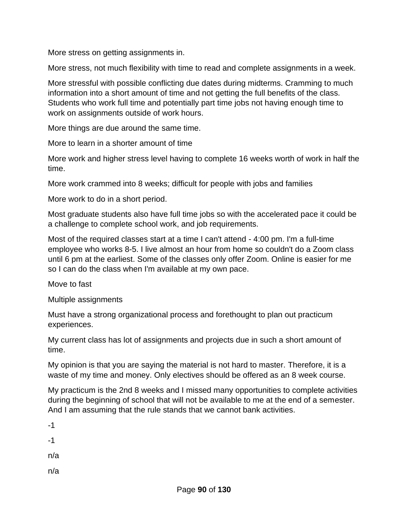More stress on getting assignments in.

More stress, not much flexibility with time to read and complete assignments in a week.

More stressful with possible conflicting due dates during midterms. Cramming to much information into a short amount of time and not getting the full benefits of the class. Students who work full time and potentially part time jobs not having enough time to work on assignments outside of work hours.

More things are due around the same time.

More to learn in a shorter amount of time

More work and higher stress level having to complete 16 weeks worth of work in half the time.

More work crammed into 8 weeks; difficult for people with jobs and families

More work to do in a short period.

Most graduate students also have full time jobs so with the accelerated pace it could be a challenge to complete school work, and job requirements.

Most of the required classes start at a time I can't attend - 4:00 pm. I'm a full-time employee who works 8-5. I live almost an hour from home so couldn't do a Zoom class until 6 pm at the earliest. Some of the classes only offer Zoom. Online is easier for me so I can do the class when I'm available at my own pace.

Move to fast

Multiple assignments

Must have a strong organizational process and forethought to plan out practicum experiences.

My current class has lot of assignments and projects due in such a short amount of time.

My opinion is that you are saying the material is not hard to master. Therefore, it is a waste of my time and money. Only electives should be offered as an 8 week course.

My practicum is the 2nd 8 weeks and I missed many opportunities to complete activities during the beginning of school that will not be available to me at the end of a semester. And I am assuming that the rule stands that we cannot bank activities.

-1 -1

n/a

n/a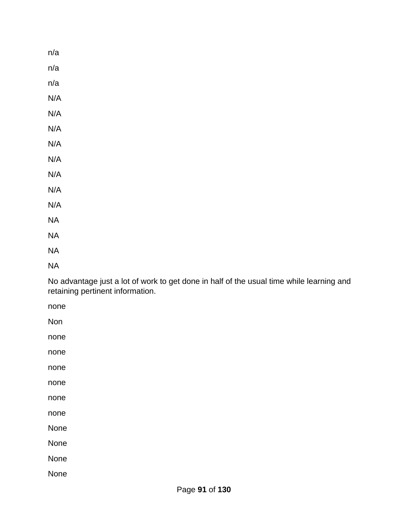n/a n/a n/a N/A N/A N/A N/A N/A N/A N/A N/A NA NA NA

NA

No advantage just a lot of work to get done in half of the usual time while learning and retaining pertinent information.

none

Non

none

none

none

none

none

none

None

None

None

None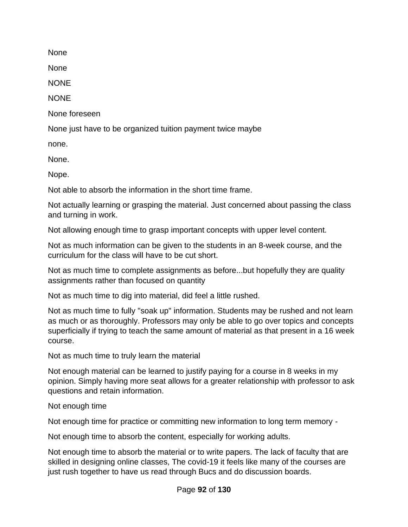None

None

**NONE** 

**NONE** 

None foreseen

None just have to be organized tuition payment twice maybe

none.

None.

Nope.

Not able to absorb the information in the short time frame.

Not actually learning or grasping the material. Just concerned about passing the class and turning in work.

Not allowing enough time to grasp important concepts with upper level content.

Not as much information can be given to the students in an 8-week course, and the curriculum for the class will have to be cut short.

Not as much time to complete assignments as before...but hopefully they are quality assignments rather than focused on quantity

Not as much time to dig into material, did feel a little rushed.

Not as much time to fully "soak up" information. Students may be rushed and not learn as much or as thoroughly. Professors may only be able to go over topics and concepts superficially if trying to teach the same amount of material as that present in a 16 week course.

Not as much time to truly learn the material

Not enough material can be learned to justify paying for a course in 8 weeks in my opinion. Simply having more seat allows for a greater relationship with professor to ask questions and retain information.

Not enough time

Not enough time for practice or committing new information to long term memory -

Not enough time to absorb the content, especially for working adults.

Not enough time to absorb the material or to write papers. The lack of faculty that are skilled in designing online classes, The covid-19 it feels like many of the courses are just rush together to have us read through Bucs and do discussion boards.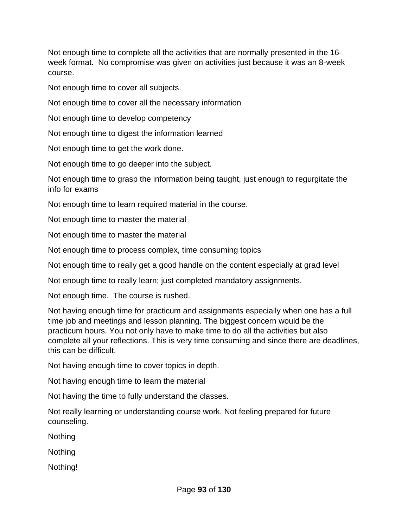Not enough time to complete all the activities that are normally presented in the 16 week format. No compromise was given on activities just because it was an 8-week course.

Not enough time to cover all subjects.

Not enough time to cover all the necessary information

Not enough time to develop competency

Not enough time to digest the information learned

Not enough time to get the work done.

Not enough time to go deeper into the subject.

Not enough time to grasp the information being taught, just enough to regurgitate the info for exams

Not enough time to learn required material in the course.

Not enough time to master the material

Not enough time to master the material

Not enough time to process complex, time consuming topics

Not enough time to really get a good handle on the content especially at grad level

Not enough time to really learn; just completed mandatory assignments.

Not enough time. The course is rushed.

Not having enough time for practicum and assignments especially when one has a full time job and meetings and lesson planning. The biggest concern would be the practicum hours. You not only have to make time to do all the activities but also complete all your reflections. This is very time consuming and since there are deadlines, this can be difficult.

Not having enough time to cover topics in depth.

Not having enough time to learn the material

Not having the time to fully understand the classes.

Not really learning or understanding course work. Not feeling prepared for future counseling.

**Nothing** 

**Nothing** 

Nothing!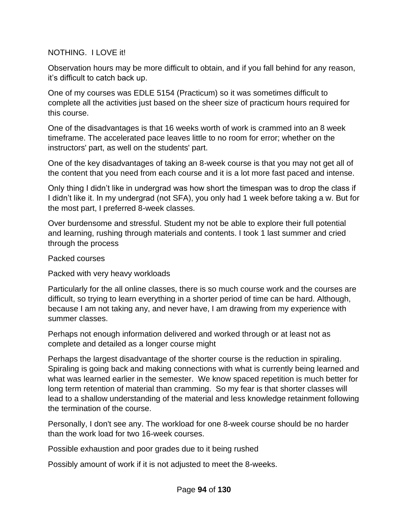## NOTHING. I LOVE it!

Observation hours may be more difficult to obtain, and if you fall behind for any reason, it's difficult to catch back up.

One of my courses was EDLE 5154 (Practicum) so it was sometimes difficult to complete all the activities just based on the sheer size of practicum hours required for this course.

One of the disadvantages is that 16 weeks worth of work is crammed into an 8 week timeframe. The accelerated pace leaves little to no room for error; whether on the instructors' part, as well on the students' part.

One of the key disadvantages of taking an 8-week course is that you may not get all of the content that you need from each course and it is a lot more fast paced and intense.

Only thing I didn't like in undergrad was how short the timespan was to drop the class if I didn't like it. In my undergrad (not SFA), you only had 1 week before taking a w. But for the most part, I preferred 8-week classes.

Over burdensome and stressful. Student my not be able to explore their full potential and learning, rushing through materials and contents. I took 1 last summer and cried through the process

Packed courses

Packed with very heavy workloads

Particularly for the all online classes, there is so much course work and the courses are difficult, so trying to learn everything in a shorter period of time can be hard. Although, because I am not taking any, and never have, I am drawing from my experience with summer classes.

Perhaps not enough information delivered and worked through or at least not as complete and detailed as a longer course might

Perhaps the largest disadvantage of the shorter course is the reduction in spiraling. Spiraling is going back and making connections with what is currently being learned and what was learned earlier in the semester. We know spaced repetition is much better for long term retention of material than cramming. So my fear is that shorter classes will lead to a shallow understanding of the material and less knowledge retainment following the termination of the course.

Personally, I don't see any. The workload for one 8-week course should be no harder than the work load for two 16-week courses.

Possible exhaustion and poor grades due to it being rushed

Possibly amount of work if it is not adjusted to meet the 8-weeks.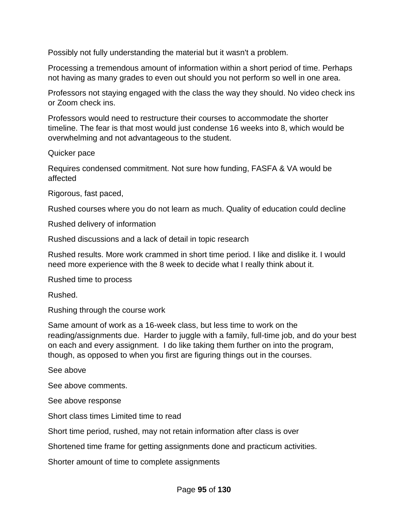Possibly not fully understanding the material but it wasn't a problem.

Processing a tremendous amount of information within a short period of time. Perhaps not having as many grades to even out should you not perform so well in one area.

Professors not staying engaged with the class the way they should. No video check ins or Zoom check ins.

Professors would need to restructure their courses to accommodate the shorter timeline. The fear is that most would just condense 16 weeks into 8, which would be overwhelming and not advantageous to the student.

Quicker pace

Requires condensed commitment. Not sure how funding, FASFA & VA would be affected

Rigorous, fast paced,

Rushed courses where you do not learn as much. Quality of education could decline

Rushed delivery of information

Rushed discussions and a lack of detail in topic research

Rushed results. More work crammed in short time period. I like and dislike it. I would need more experience with the 8 week to decide what I really think about it.

Rushed time to process

Rushed.

Rushing through the course work

Same amount of work as a 16-week class, but less time to work on the reading/assignments due. Harder to juggle with a family, full-time job, and do your best on each and every assignment. I do like taking them further on into the program, though, as opposed to when you first are figuring things out in the courses.

See above

See above comments.

See above response

Short class times Limited time to read

Short time period, rushed, may not retain information after class is over

Shortened time frame for getting assignments done and practicum activities.

Shorter amount of time to complete assignments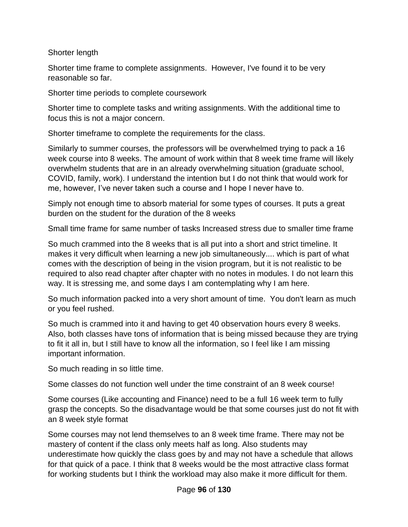Shorter length

Shorter time frame to complete assignments. However, I've found it to be very reasonable so far.

Shorter time periods to complete coursework

Shorter time to complete tasks and writing assignments. With the additional time to focus this is not a major concern.

Shorter timeframe to complete the requirements for the class.

Similarly to summer courses, the professors will be overwhelmed trying to pack a 16 week course into 8 weeks. The amount of work within that 8 week time frame will likely overwhelm students that are in an already overwhelming situation (graduate school, COVID, family, work). I understand the intention but I do not think that would work for me, however, I've never taken such a course and I hope I never have to.

Simply not enough time to absorb material for some types of courses. It puts a great burden on the student for the duration of the 8 weeks

Small time frame for same number of tasks Increased stress due to smaller time frame

So much crammed into the 8 weeks that is all put into a short and strict timeline. It makes it very difficult when learning a new job simultaneously.... which is part of what comes with the description of being in the vision program, but it is not realistic to be required to also read chapter after chapter with no notes in modules. I do not learn this way. It is stressing me, and some days I am contemplating why I am here.

So much information packed into a very short amount of time. You don't learn as much or you feel rushed.

So much is crammed into it and having to get 40 observation hours every 8 weeks. Also, both classes have tons of information that is being missed because they are trying to fit it all in, but I still have to know all the information, so I feel like I am missing important information.

So much reading in so little time.

Some classes do not function well under the time constraint of an 8 week course!

Some courses (Like accounting and Finance) need to be a full 16 week term to fully grasp the concepts. So the disadvantage would be that some courses just do not fit with an 8 week style format

Some courses may not lend themselves to an 8 week time frame. There may not be mastery of content if the class only meets half as long. Also students may underestimate how quickly the class goes by and may not have a schedule that allows for that quick of a pace. I think that 8 weeks would be the most attractive class format for working students but I think the workload may also make it more difficult for them.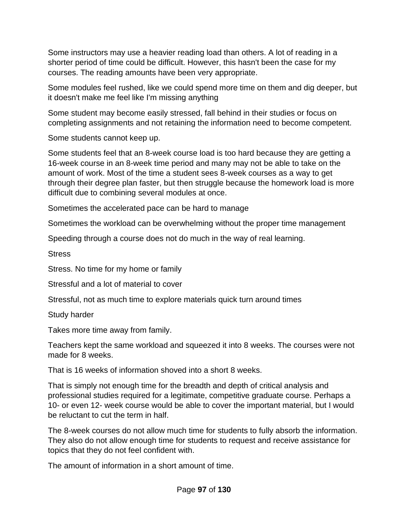Some instructors may use a heavier reading load than others. A lot of reading in a shorter period of time could be difficult. However, this hasn't been the case for my courses. The reading amounts have been very appropriate.

Some modules feel rushed, like we could spend more time on them and dig deeper, but it doesn't make me feel like I'm missing anything

Some student may become easily stressed, fall behind in their studies or focus on completing assignments and not retaining the information need to become competent.

Some students cannot keep up.

Some students feel that an 8-week course load is too hard because they are getting a 16-week course in an 8-week time period and many may not be able to take on the amount of work. Most of the time a student sees 8-week courses as a way to get through their degree plan faster, but then struggle because the homework load is more difficult due to combining several modules at once.

Sometimes the accelerated pace can be hard to manage

Sometimes the workload can be overwhelming without the proper time management

Speeding through a course does not do much in the way of real learning.

**Stress** 

Stress. No time for my home or family

Stressful and a lot of material to cover

Stressful, not as much time to explore materials quick turn around times

Study harder

Takes more time away from family.

Teachers kept the same workload and squeezed it into 8 weeks. The courses were not made for 8 weeks.

That is 16 weeks of information shoved into a short 8 weeks.

That is simply not enough time for the breadth and depth of critical analysis and professional studies required for a legitimate, competitive graduate course. Perhaps a 10- or even 12- week course would be able to cover the important material, but I would be reluctant to cut the term in half.

The 8-week courses do not allow much time for students to fully absorb the information. They also do not allow enough time for students to request and receive assistance for topics that they do not feel confident with.

The amount of information in a short amount of time.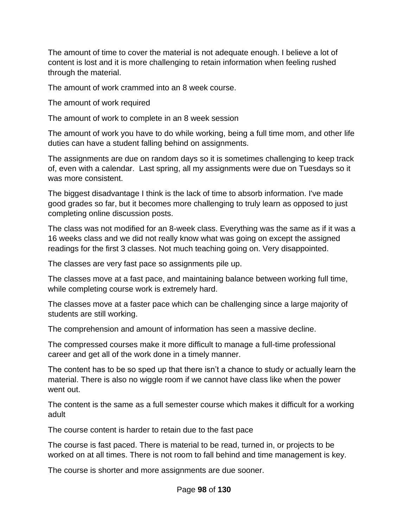The amount of time to cover the material is not adequate enough. I believe a lot of content is lost and it is more challenging to retain information when feeling rushed through the material.

The amount of work crammed into an 8 week course.

The amount of work required

The amount of work to complete in an 8 week session

The amount of work you have to do while working, being a full time mom, and other life duties can have a student falling behind on assignments.

The assignments are due on random days so it is sometimes challenging to keep track of, even with a calendar. Last spring, all my assignments were due on Tuesdays so it was more consistent.

The biggest disadvantage I think is the lack of time to absorb information. I've made good grades so far, but it becomes more challenging to truly learn as opposed to just completing online discussion posts.

The class was not modified for an 8-week class. Everything was the same as if it was a 16 weeks class and we did not really know what was going on except the assigned readings for the first 3 classes. Not much teaching going on. Very disappointed.

The classes are very fast pace so assignments pile up.

The classes move at a fast pace, and maintaining balance between working full time, while completing course work is extremely hard.

The classes move at a faster pace which can be challenging since a large majority of students are still working.

The comprehension and amount of information has seen a massive decline.

The compressed courses make it more difficult to manage a full-time professional career and get all of the work done in a timely manner.

The content has to be so sped up that there isn't a chance to study or actually learn the material. There is also no wiggle room if we cannot have class like when the power went out.

The content is the same as a full semester course which makes it difficult for a working adult

The course content is harder to retain due to the fast pace

The course is fast paced. There is material to be read, turned in, or projects to be worked on at all times. There is not room to fall behind and time management is key.

The course is shorter and more assignments are due sooner.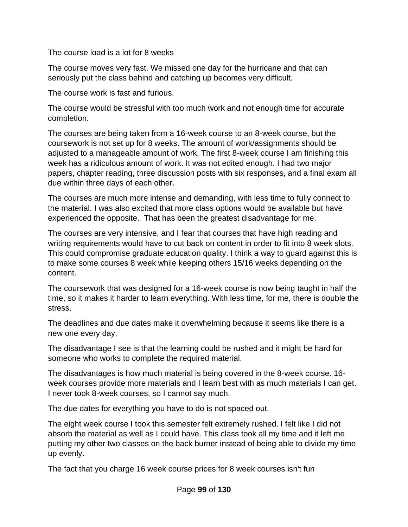The course load is a lot for 8 weeks

The course moves very fast. We missed one day for the hurricane and that can seriously put the class behind and catching up becomes very difficult.

The course work is fast and furious.

The course would be stressful with too much work and not enough time for accurate completion.

The courses are being taken from a 16-week course to an 8-week course, but the coursework is not set up for 8 weeks. The amount of work/assignments should be adjusted to a manageable amount of work. The first 8-week course I am finishing this week has a ridiculous amount of work. It was not edited enough. I had two major papers, chapter reading, three discussion posts with six responses, and a final exam all due within three days of each other.

The courses are much more intense and demanding, with less time to fully connect to the material. I was also excited that more class options would be available but have experienced the opposite. That has been the greatest disadvantage for me.

The courses are very intensive, and I fear that courses that have high reading and writing requirements would have to cut back on content in order to fit into 8 week slots. This could compromise graduate education quality. I think a way to guard against this is to make some courses 8 week while keeping others 15/16 weeks depending on the content.

The coursework that was designed for a 16-week course is now being taught in half the time, so it makes it harder to learn everything. With less time, for me, there is double the stress.

The deadlines and due dates make it overwhelming because it seems like there is a new one every day.

The disadvantage I see is that the learning could be rushed and it might be hard for someone who works to complete the required material.

The disadvantages is how much material is being covered in the 8-week course. 16 week courses provide more materials and I learn best with as much materials I can get. I never took 8-week courses, so I cannot say much.

The due dates for everything you have to do is not spaced out.

The eight week course I took this semester felt extremely rushed. I felt like I did not absorb the material as well as I could have. This class took all my time and it left me putting my other two classes on the back burner instead of being able to divide my time up evenly.

The fact that you charge 16 week course prices for 8 week courses isn't fun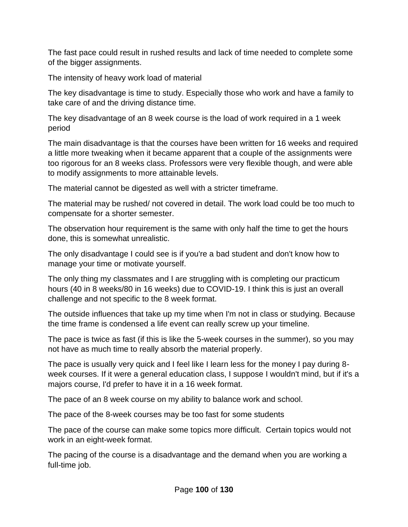The fast pace could result in rushed results and lack of time needed to complete some of the bigger assignments.

The intensity of heavy work load of material

The key disadvantage is time to study. Especially those who work and have a family to take care of and the driving distance time.

The key disadvantage of an 8 week course is the load of work required in a 1 week period

The main disadvantage is that the courses have been written for 16 weeks and required a little more tweaking when it became apparent that a couple of the assignments were too rigorous for an 8 weeks class. Professors were very flexible though, and were able to modify assignments to more attainable levels.

The material cannot be digested as well with a stricter timeframe.

The material may be rushed/ not covered in detail. The work load could be too much to compensate for a shorter semester.

The observation hour requirement is the same with only half the time to get the hours done, this is somewhat unrealistic.

The only disadvantage I could see is if you're a bad student and don't know how to manage your time or motivate yourself.

The only thing my classmates and I are struggling with is completing our practicum hours (40 in 8 weeks/80 in 16 weeks) due to COVID-19. I think this is just an overall challenge and not specific to the 8 week format.

The outside influences that take up my time when I'm not in class or studying. Because the time frame is condensed a life event can really screw up your timeline.

The pace is twice as fast (if this is like the 5-week courses in the summer), so you may not have as much time to really absorb the material properly.

The pace is usually very quick and I feel like I learn less for the money I pay during 8 week courses. If it were a general education class, I suppose I wouldn't mind, but if it's a majors course, I'd prefer to have it in a 16 week format.

The pace of an 8 week course on my ability to balance work and school.

The pace of the 8-week courses may be too fast for some students

The pace of the course can make some topics more difficult. Certain topics would not work in an eight-week format.

The pacing of the course is a disadvantage and the demand when you are working a full-time job.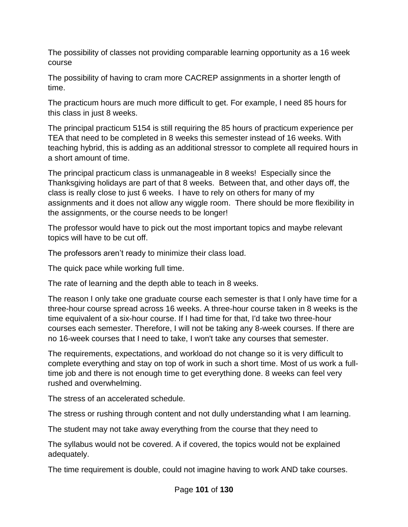The possibility of classes not providing comparable learning opportunity as a 16 week course

The possibility of having to cram more CACREP assignments in a shorter length of time.

The practicum hours are much more difficult to get. For example, I need 85 hours for this class in just 8 weeks.

The principal practicum 5154 is still requiring the 85 hours of practicum experience per TEA that need to be completed in 8 weeks this semester instead of 16 weeks. With teaching hybrid, this is adding as an additional stressor to complete all required hours in a short amount of time.

The principal practicum class is unmanageable in 8 weeks! Especially since the Thanksgiving holidays are part of that 8 weeks. Between that, and other days off, the class is really close to just 6 weeks. I have to rely on others for many of my assignments and it does not allow any wiggle room. There should be more flexibility in the assignments, or the course needs to be longer!

The professor would have to pick out the most important topics and maybe relevant topics will have to be cut off.

The professors aren't ready to minimize their class load.

The quick pace while working full time.

The rate of learning and the depth able to teach in 8 weeks.

The reason I only take one graduate course each semester is that I only have time for a three-hour course spread across 16 weeks. A three-hour course taken in 8 weeks is the time equivalent of a six-hour course. If I had time for that, I'd take two three-hour courses each semester. Therefore, I will not be taking any 8-week courses. If there are no 16-week courses that I need to take, I won't take any courses that semester.

The requirements, expectations, and workload do not change so it is very difficult to complete everything and stay on top of work in such a short time. Most of us work a fulltime job and there is not enough time to get everything done. 8 weeks can feel very rushed and overwhelming.

The stress of an accelerated schedule.

The stress or rushing through content and not dully understanding what I am learning.

The student may not take away everything from the course that they need to

The syllabus would not be covered. A if covered, the topics would not be explained adequately.

The time requirement is double, could not imagine having to work AND take courses.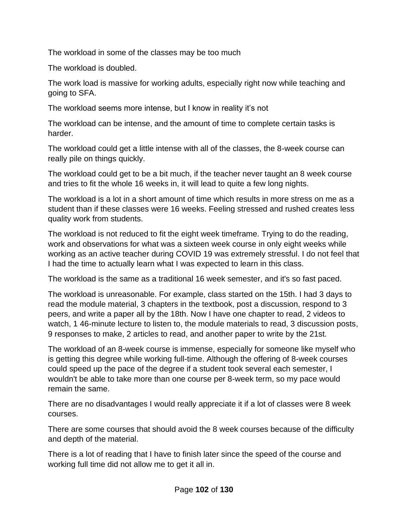The workload in some of the classes may be too much

The workload is doubled.

The work load is massive for working adults, especially right now while teaching and going to SFA.

The workload seems more intense, but I know in reality it's not

The workload can be intense, and the amount of time to complete certain tasks is harder.

The workload could get a little intense with all of the classes, the 8-week course can really pile on things quickly.

The workload could get to be a bit much, if the teacher never taught an 8 week course and tries to fit the whole 16 weeks in, it will lead to quite a few long nights.

The workload is a lot in a short amount of time which results in more stress on me as a student than if these classes were 16 weeks. Feeling stressed and rushed creates less quality work from students.

The workload is not reduced to fit the eight week timeframe. Trying to do the reading, work and observations for what was a sixteen week course in only eight weeks while working as an active teacher during COVID 19 was extremely stressful. I do not feel that I had the time to actually learn what I was expected to learn in this class.

The workload is the same as a traditional 16 week semester, and it's so fast paced.

The workload is unreasonable. For example, class started on the 15th. I had 3 days to read the module material, 3 chapters in the textbook, post a discussion, respond to 3 peers, and write a paper all by the 18th. Now I have one chapter to read, 2 videos to watch, 1 46-minute lecture to listen to, the module materials to read, 3 discussion posts, 9 responses to make, 2 articles to read, and another paper to write by the 21st.

The workload of an 8-week course is immense, especially for someone like myself who is getting this degree while working full-time. Although the offering of 8-week courses could speed up the pace of the degree if a student took several each semester, I wouldn't be able to take more than one course per 8-week term, so my pace would remain the same.

There are no disadvantages I would really appreciate it if a lot of classes were 8 week courses.

There are some courses that should avoid the 8 week courses because of the difficulty and depth of the material.

There is a lot of reading that I have to finish later since the speed of the course and working full time did not allow me to get it all in.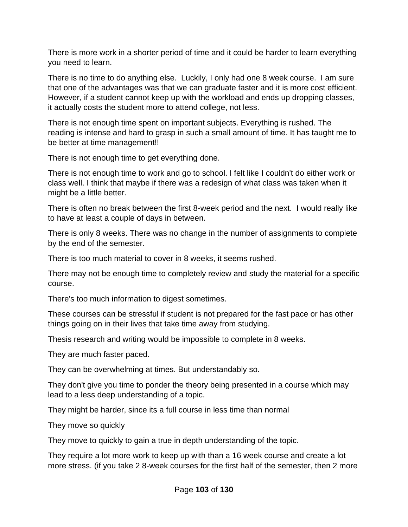There is more work in a shorter period of time and it could be harder to learn everything you need to learn.

There is no time to do anything else. Luckily, I only had one 8 week course. I am sure that one of the advantages was that we can graduate faster and it is more cost efficient. However, if a student cannot keep up with the workload and ends up dropping classes, it actually costs the student more to attend college, not less.

There is not enough time spent on important subjects. Everything is rushed. The reading is intense and hard to grasp in such a small amount of time. It has taught me to be better at time management!!

There is not enough time to get everything done.

There is not enough time to work and go to school. I felt like I couldn't do either work or class well. I think that maybe if there was a redesign of what class was taken when it might be a little better.

There is often no break between the first 8-week period and the next. I would really like to have at least a couple of days in between.

There is only 8 weeks. There was no change in the number of assignments to complete by the end of the semester.

There is too much material to cover in 8 weeks, it seems rushed.

There may not be enough time to completely review and study the material for a specific course.

There's too much information to digest sometimes.

These courses can be stressful if student is not prepared for the fast pace or has other things going on in their lives that take time away from studying.

Thesis research and writing would be impossible to complete in 8 weeks.

They are much faster paced.

They can be overwhelming at times. But understandably so.

They don't give you time to ponder the theory being presented in a course which may lead to a less deep understanding of a topic.

They might be harder, since its a full course in less time than normal

They move so quickly

They move to quickly to gain a true in depth understanding of the topic.

They require a lot more work to keep up with than a 16 week course and create a lot more stress. (if you take 2 8-week courses for the first half of the semester, then 2 more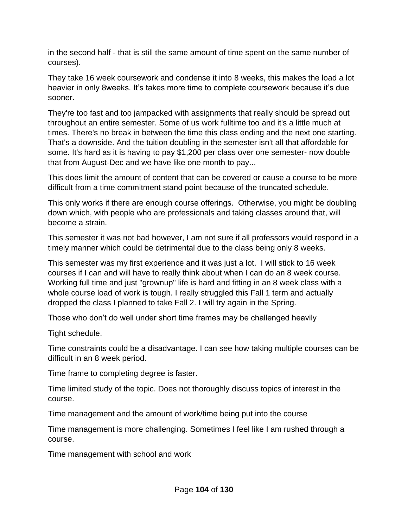in the second half - that is still the same amount of time spent on the same number of courses).

They take 16 week coursework and condense it into 8 weeks, this makes the load a lot heavier in only 8weeks. It's takes more time to complete coursework because it's due sooner.

They're too fast and too jampacked with assignments that really should be spread out throughout an entire semester. Some of us work fulltime too and it's a little much at times. There's no break in between the time this class ending and the next one starting. That's a downside. And the tuition doubling in the semester isn't all that affordable for some. It's hard as it is having to pay \$1,200 per class over one semester- now double that from August-Dec and we have like one month to pay...

This does limit the amount of content that can be covered or cause a course to be more difficult from a time commitment stand point because of the truncated schedule.

This only works if there are enough course offerings. Otherwise, you might be doubling down which, with people who are professionals and taking classes around that, will become a strain.

This semester it was not bad however, I am not sure if all professors would respond in a timely manner which could be detrimental due to the class being only 8 weeks.

This semester was my first experience and it was just a lot. I will stick to 16 week courses if I can and will have to really think about when I can do an 8 week course. Working full time and just "grownup" life is hard and fitting in an 8 week class with a whole course load of work is tough. I really struggled this Fall 1 term and actually dropped the class I planned to take Fall 2. I will try again in the Spring.

Those who don't do well under short time frames may be challenged heavily

Tight schedule.

Time constraints could be a disadvantage. I can see how taking multiple courses can be difficult in an 8 week period.

Time frame to completing degree is faster.

Time limited study of the topic. Does not thoroughly discuss topics of interest in the course.

Time management and the amount of work/time being put into the course

Time management is more challenging. Sometimes I feel like I am rushed through a course.

Time management with school and work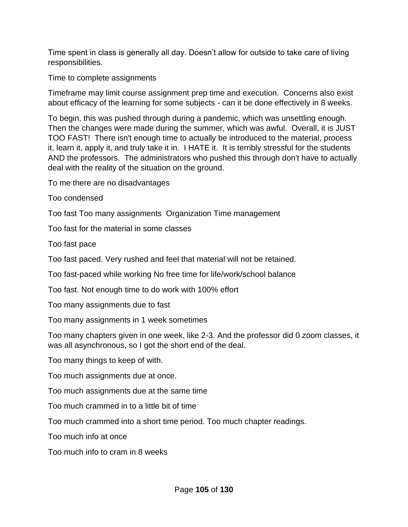Time spent in class is generally all day. Doesn't allow for outside to take care of living responsibilities.

Time to complete assignments

Timeframe may limit course assignment prep time and execution. Concerns also exist about efficacy of the learning for some subjects - can it be done effectively in 8 weeks.

To begin, this was pushed through during a pandemic, which was unsettling enough. Then the changes were made during the summer, which was awful. Overall, it is JUST TOO FAST! There isn't enough time to actually be introduced to the material, process it, learn it, apply it, and truly take it in. I HATE it. It is terribly stressful for the students AND the professors. The administrators who pushed this through don't have to actually deal with the reality of the situation on the ground.

To me there are no disadvantages

Too condensed

Too fast Too many assignments Organization Time management

Too fast for the material in some classes

Too fast pace

Too fast paced. Very rushed and feel that material will not be retained.

Too fast-paced while working No free time for life/work/school balance

Too fast. Not enough time to do work with 100% effort

Too many assignments due to fast

Too many assignments in 1 week sometimes

Too many chapters given in one week, like 2-3. And the professor did 0 zoom classes, it was all asynchronous, so I got the short end of the deal.

Too many things to keep of with.

Too much assignments due at once.

Too much assignments due at the same time

Too much crammed in to a little bit of time

Too much crammed into a short time period. Too much chapter readings.

Too much info at once

Too much info to cram in 8 weeks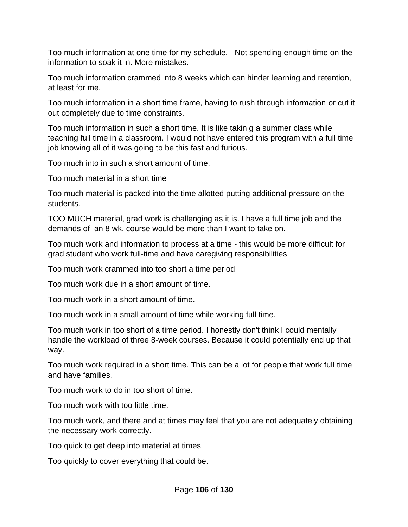Too much information at one time for my schedule. Not spending enough time on the information to soak it in. More mistakes.

Too much information crammed into 8 weeks which can hinder learning and retention, at least for me.

Too much information in a short time frame, having to rush through information or cut it out completely due to time constraints.

Too much information in such a short time. It is like takin g a summer class while teaching full time in a classroom. I would not have entered this program with a full time job knowing all of it was going to be this fast and furious.

Too much into in such a short amount of time.

Too much material in a short time

Too much material is packed into the time allotted putting additional pressure on the students.

TOO MUCH material, grad work is challenging as it is. I have a full time job and the demands of an 8 wk. course would be more than I want to take on.

Too much work and information to process at a time - this would be more difficult for grad student who work full-time and have caregiving responsibilities

Too much work crammed into too short a time period

Too much work due in a short amount of time.

Too much work in a short amount of time.

Too much work in a small amount of time while working full time.

Too much work in too short of a time period. I honestly don't think I could mentally handle the workload of three 8-week courses. Because it could potentially end up that way.

Too much work required in a short time. This can be a lot for people that work full time and have families.

Too much work to do in too short of time.

Too much work with too little time.

Too much work, and there and at times may feel that you are not adequately obtaining the necessary work correctly.

Too quick to get deep into material at times

Too quickly to cover everything that could be.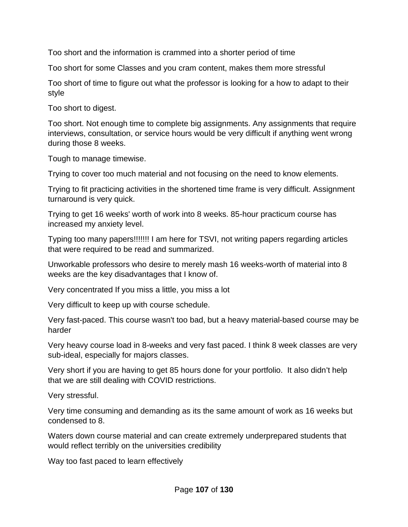Too short and the information is crammed into a shorter period of time

Too short for some Classes and you cram content, makes them more stressful

Too short of time to figure out what the professor is looking for a how to adapt to their style

Too short to digest.

Too short. Not enough time to complete big assignments. Any assignments that require interviews, consultation, or service hours would be very difficult if anything went wrong during those 8 weeks.

Tough to manage timewise.

Trying to cover too much material and not focusing on the need to know elements.

Trying to fit practicing activities in the shortened time frame is very difficult. Assignment turnaround is very quick.

Trying to get 16 weeks' worth of work into 8 weeks. 85-hour practicum course has increased my anxiety level.

Typing too many papers!!!!!!! I am here for TSVI, not writing papers regarding articles that were required to be read and summarized.

Unworkable professors who desire to merely mash 16 weeks-worth of material into 8 weeks are the key disadvantages that I know of.

Very concentrated If you miss a little, you miss a lot

Very difficult to keep up with course schedule.

Very fast-paced. This course wasn't too bad, but a heavy material-based course may be harder

Very heavy course load in 8-weeks and very fast paced. I think 8 week classes are very sub-ideal, especially for majors classes.

Very short if you are having to get 85 hours done for your portfolio. It also didn't help that we are still dealing with COVID restrictions.

Very stressful.

Very time consuming and demanding as its the same amount of work as 16 weeks but condensed to 8.

Waters down course material and can create extremely underprepared students that would reflect terribly on the universities credibility

Way too fast paced to learn effectively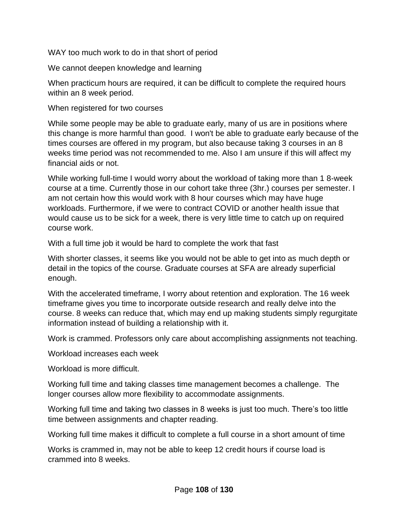WAY too much work to do in that short of period

We cannot deepen knowledge and learning

When practicum hours are required, it can be difficult to complete the required hours within an 8 week period.

When registered for two courses

While some people may be able to graduate early, many of us are in positions where this change is more harmful than good. I won't be able to graduate early because of the times courses are offered in my program, but also because taking 3 courses in an 8 weeks time period was not recommended to me. Also I am unsure if this will affect my financial aids or not.

While working full-time I would worry about the workload of taking more than 1 8-week course at a time. Currently those in our cohort take three (3hr.) courses per semester. I am not certain how this would work with 8 hour courses which may have huge workloads. Furthermore, if we were to contract COVID or another health issue that would cause us to be sick for a week, there is very little time to catch up on required course work.

With a full time job it would be hard to complete the work that fast

With shorter classes, it seems like you would not be able to get into as much depth or detail in the topics of the course. Graduate courses at SFA are already superficial enough.

With the accelerated timeframe, I worry about retention and exploration. The 16 week timeframe gives you time to incorporate outside research and really delve into the course. 8 weeks can reduce that, which may end up making students simply regurgitate information instead of building a relationship with it.

Work is crammed. Professors only care about accomplishing assignments not teaching.

Workload increases each week

Workload is more difficult.

Working full time and taking classes time management becomes a challenge. The longer courses allow more flexibility to accommodate assignments.

Working full time and taking two classes in 8 weeks is just too much. There's too little time between assignments and chapter reading.

Working full time makes it difficult to complete a full course in a short amount of time

Works is crammed in, may not be able to keep 12 credit hours if course load is crammed into 8 weeks.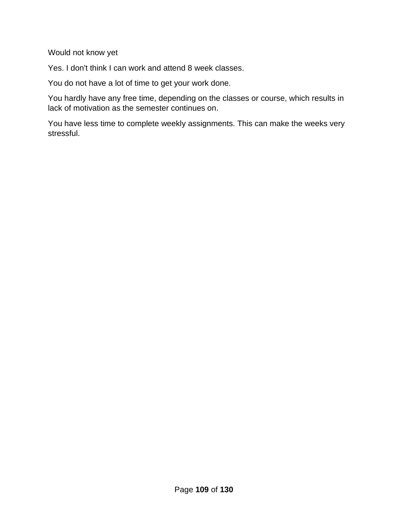Would not know yet

Yes. I don't think I can work and attend 8 week classes.

You do not have a lot of time to get your work done.

You hardly have any free time, depending on the classes or course, which results in lack of motivation as the semester continues on.

You have less time to complete weekly assignments. This can make the weeks very stressful.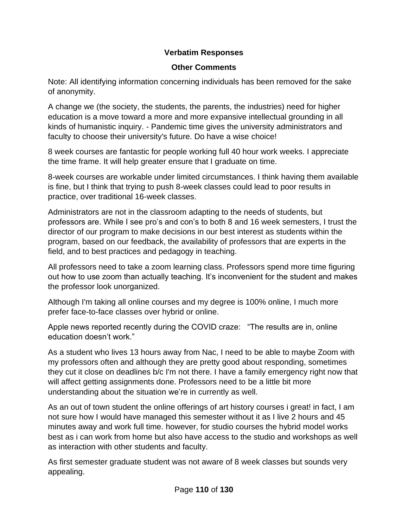## **Verbatim Responses**

## **Other Comments**

Note: All identifying information concerning individuals has been removed for the sake of anonymity.

A change we (the society, the students, the parents, the industries) need for higher education is a move toward a more and more expansive intellectual grounding in all kinds of humanistic inquiry. - Pandemic time gives the university administrators and faculty to choose their university's future. Do have a wise choice!

8 week courses are fantastic for people working full 40 hour work weeks. I appreciate the time frame. It will help greater ensure that I graduate on time.

8-week courses are workable under limited circumstances. I think having them available is fine, but I think that trying to push 8-week classes could lead to poor results in practice, over traditional 16-week classes.

Administrators are not in the classroom adapting to the needs of students, but professors are. While I see pro's and con's to both 8 and 16 week semesters, I trust the director of our program to make decisions in our best interest as students within the program, based on our feedback, the availability of professors that are experts in the field, and to best practices and pedagogy in teaching.

All professors need to take a zoom learning class. Professors spend more time figuring out how to use zoom than actually teaching. It's inconvenient for the student and makes the professor look unorganized.

Although I'm taking all online courses and my degree is 100% online, I much more prefer face-to-face classes over hybrid or online.

Apple news reported recently during the COVID craze: "The results are in, online education doesn't work."

As a student who lives 13 hours away from Nac, I need to be able to maybe Zoom with my professors often and although they are pretty good about responding, sometimes they cut it close on deadlines b/c I'm not there. I have a family emergency right now that will affect getting assignments done. Professors need to be a little bit more understanding about the situation we're in currently as well.

As an out of town student the online offerings of art history courses i great! in fact, I am not sure how I would have managed this semester without it as I live 2 hours and 45 minutes away and work full time. however, for studio courses the hybrid model works best as i can work from home but also have access to the studio and workshops as well as interaction with other students and faculty.

As first semester graduate student was not aware of 8 week classes but sounds very appealing.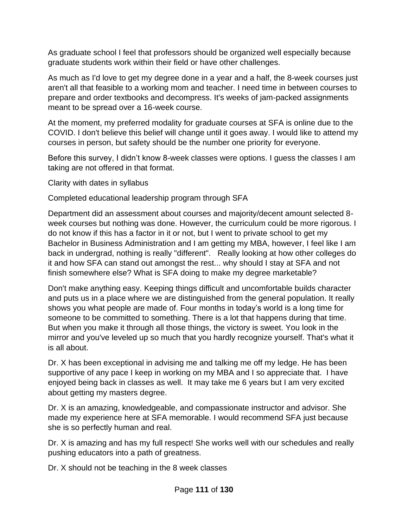As graduate school I feel that professors should be organized well especially because graduate students work within their field or have other challenges.

As much as I'd love to get my degree done in a year and a half, the 8-week courses just aren't all that feasible to a working mom and teacher. I need time in between courses to prepare and order textbooks and decompress. It's weeks of jam-packed assignments meant to be spread over a 16-week course.

At the moment, my preferred modality for graduate courses at SFA is online due to the COVID. I don't believe this belief will change until it goes away. I would like to attend my courses in person, but safety should be the number one priority for everyone.

Before this survey, I didn't know 8-week classes were options. I guess the classes I am taking are not offered in that format.

Clarity with dates in syllabus

Completed educational leadership program through SFA

Department did an assessment about courses and majority/decent amount selected 8 week courses but nothing was done. However, the curriculum could be more rigorous. I do not know if this has a factor in it or not, but I went to private school to get my Bachelor in Business Administration and I am getting my MBA, however, I feel like I am back in undergrad, nothing is really "different". Really looking at how other colleges do it and how SFA can stand out amongst the rest... why should I stay at SFA and not finish somewhere else? What is SFA doing to make my degree marketable?

Don't make anything easy. Keeping things difficult and uncomfortable builds character and puts us in a place where we are distinguished from the general population. It really shows you what people are made of. Four months in today's world is a long time for someone to be committed to something. There is a lot that happens during that time. But when you make it through all those things, the victory is sweet. You look in the mirror and you've leveled up so much that you hardly recognize yourself. That's what it is all about.

Dr. X has been exceptional in advising me and talking me off my ledge. He has been supportive of any pace I keep in working on my MBA and I so appreciate that. I have enjoyed being back in classes as well. It may take me 6 years but I am very excited about getting my masters degree.

Dr. X is an amazing, knowledgeable, and compassionate instructor and advisor. She made my experience here at SFA memorable. I would recommend SFA just because she is so perfectly human and real.

Dr. X is amazing and has my full respect! She works well with our schedules and really pushing educators into a path of greatness.

Dr. X should not be teaching in the 8 week classes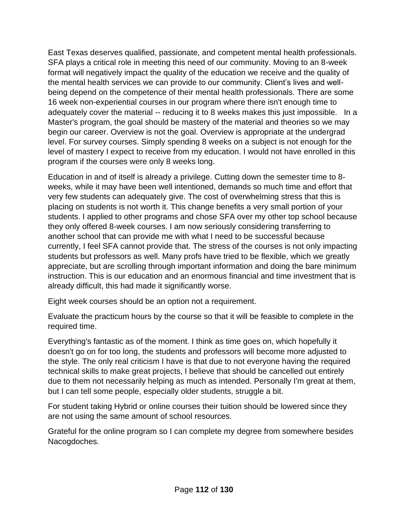East Texas deserves qualified, passionate, and competent mental health professionals. SFA plays a critical role in meeting this need of our community. Moving to an 8-week format will negatively impact the quality of the education we receive and the quality of the mental health services we can provide to our community. Client's lives and wellbeing depend on the competence of their mental health professionals. There are some 16 week non-experiential courses in our program where there isn't enough time to adequately cover the material -- reducing it to 8 weeks makes this just impossible. In a Master's program, the goal should be mastery of the material and theories so we may begin our career. Overview is not the goal. Overview is appropriate at the undergrad level. For survey courses. Simply spending 8 weeks on a subject is not enough for the level of mastery I expect to receive from my education. I would not have enrolled in this program if the courses were only 8 weeks long.

Education in and of itself is already a privilege. Cutting down the semester time to 8 weeks, while it may have been well intentioned, demands so much time and effort that very few students can adequately give. The cost of overwhelming stress that this is placing on students is not worth it. This change benefits a very small portion of your students. I applied to other programs and chose SFA over my other top school because they only offered 8-week courses. I am now seriously considering transferring to another school that can provide me with what I need to be successful because currently, I feel SFA cannot provide that. The stress of the courses is not only impacting students but professors as well. Many profs have tried to be flexible, which we greatly appreciate, but are scrolling through important information and doing the bare minimum instruction. This is our education and an enormous financial and time investment that is already difficult, this had made it significantly worse.

Eight week courses should be an option not a requirement.

Evaluate the practicum hours by the course so that it will be feasible to complete in the required time.

Everything's fantastic as of the moment. I think as time goes on, which hopefully it doesn't go on for too long, the students and professors will become more adjusted to the style. The only real criticism I have is that due to not everyone having the required technical skills to make great projects, I believe that should be cancelled out entirely due to them not necessarily helping as much as intended. Personally I'm great at them, but I can tell some people, especially older students, struggle a bit.

For student taking Hybrid or online courses their tuition should be lowered since they are not using the same amount of school resources.

Grateful for the online program so I can complete my degree from somewhere besides Nacogdoches.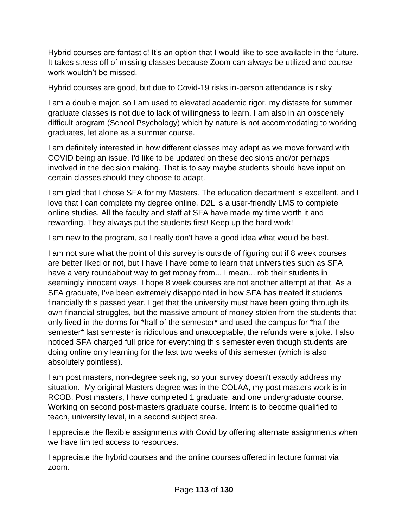Hybrid courses are fantastic! It's an option that I would like to see available in the future. It takes stress off of missing classes because Zoom can always be utilized and course work wouldn't be missed.

Hybrid courses are good, but due to Covid-19 risks in-person attendance is risky

I am a double major, so I am used to elevated academic rigor, my distaste for summer graduate classes is not due to lack of willingness to learn. I am also in an obscenely difficult program (School Psychology) which by nature is not accommodating to working graduates, let alone as a summer course.

I am definitely interested in how different classes may adapt as we move forward with COVID being an issue. I'd like to be updated on these decisions and/or perhaps involved in the decision making. That is to say maybe students should have input on certain classes should they choose to adapt.

I am glad that I chose SFA for my Masters. The education department is excellent, and I love that I can complete my degree online. D2L is a user-friendly LMS to complete online studies. All the faculty and staff at SFA have made my time worth it and rewarding. They always put the students first! Keep up the hard work!

I am new to the program, so I really don't have a good idea what would be best.

I am not sure what the point of this survey is outside of figuring out if 8 week courses are better liked or not, but I have I have come to learn that universities such as SFA have a very roundabout way to get money from... I mean... rob their students in seemingly innocent ways, I hope 8 week courses are not another attempt at that. As a SFA graduate, I've been extremely disappointed in how SFA has treated it students financially this passed year. I get that the university must have been going through its own financial struggles, but the massive amount of money stolen from the students that only lived in the dorms for \*half of the semester\* and used the campus for \*half the semester\* last semester is ridiculous and unacceptable, the refunds were a joke. I also noticed SFA charged full price for everything this semester even though students are doing online only learning for the last two weeks of this semester (which is also absolutely pointless).

I am post masters, non-degree seeking, so your survey doesn't exactly address my situation. My original Masters degree was in the COLAA, my post masters work is in RCOB. Post masters, I have completed 1 graduate, and one undergraduate course. Working on second post-masters graduate course. Intent is to become qualified to teach, university level, in a second subject area.

I appreciate the flexible assignments with Covid by offering alternate assignments when we have limited access to resources.

I appreciate the hybrid courses and the online courses offered in lecture format via zoom.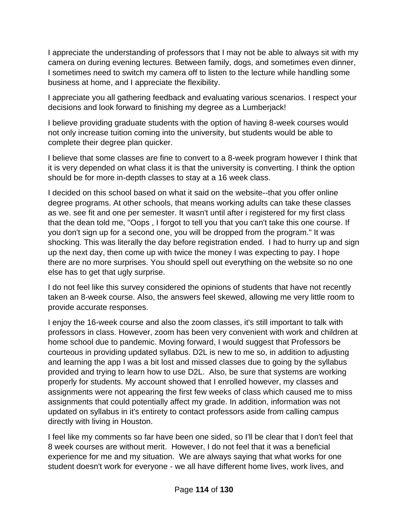I appreciate the understanding of professors that I may not be able to always sit with my camera on during evening lectures. Between family, dogs, and sometimes even dinner, I sometimes need to switch my camera off to listen to the lecture while handling some business at home, and I appreciate the flexibility.

I appreciate you all gathering feedback and evaluating various scenarios. I respect your decisions and look forward to finishing my degree as a Lumberjack!

I believe providing graduate students with the option of having 8-week courses would not only increase tuition coming into the university, but students would be able to complete their degree plan quicker.

I believe that some classes are fine to convert to a 8-week program however I think that it is very depended on what class it is that the university is converting. I think the option should be for more in-depth classes to stay at a 16 week class.

I decided on this school based on what it said on the website--that you offer online degree programs. At other schools, that means working adults can take these classes as we. see fit and one per semester. It wasn't until after i registered for my first class that the dean told me, "Oops , I forgot to tell you that you can't take this one course. If you don't sign up for a second one, you will be dropped from the program." It was shocking. This was literally the day before registration ended. I had to hurry up and sign up the next day, then come up with twice the money I was expecting to pay. I hope there are no more surprises. You should spell out everything on the website so no one else has to get that ugly surprise.

I do not feel like this survey considered the opinions of students that have not recently taken an 8-week course. Also, the answers feel skewed, allowing me very little room to provide accurate responses.

I enjoy the 16-week course and also the zoom classes, it's still important to talk with professors in class. However, zoom has been very convenient with work and children at home school due to pandemic. Moving forward, I would suggest that Professors be courteous in providing updated syllabus. D2L is new to me so, in addition to adjusting and learning the app I was a bit lost and missed classes due to going by the syllabus provided and trying to learn how to use D2L. Also, be sure that systems are working properly for students. My account showed that I enrolled however, my classes and assignments were not appearing the first few weeks of class which caused me to miss assignments that could potentially affect my grade. In addition, information was not updated on syllabus in it's entirety to contact professors aside from calling campus directly with living in Houston.

I feel like my comments so far have been one sided, so I'll be clear that I don't feel that 8 week courses are without merit. However, I do not feel that it was a beneficial experience for me and my situation. We are always saying that what works for one student doesn't work for everyone - we all have different home lives, work lives, and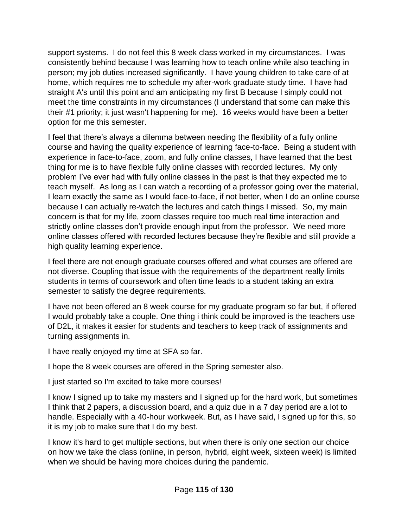support systems. I do not feel this 8 week class worked in my circumstances. I was consistently behind because I was learning how to teach online while also teaching in person; my job duties increased significantly. I have young children to take care of at home, which requires me to schedule my after-work graduate study time. I have had straight A's until this point and am anticipating my first B because I simply could not meet the time constraints in my circumstances (I understand that some can make this their #1 priority; it just wasn't happening for me). 16 weeks would have been a better option for me this semester.

I feel that there's always a dilemma between needing the flexibility of a fully online course and having the quality experience of learning face-to-face. Being a student with experience in face-to-face, zoom, and fully online classes, I have learned that the best thing for me is to have flexible fully online classes with recorded lectures. My only problem I've ever had with fully online classes in the past is that they expected me to teach myself. As long as I can watch a recording of a professor going over the material, I learn exactly the same as I would face-to-face, if not better, when I do an online course because I can actually re-watch the lectures and catch things I missed. So, my main concern is that for my life, zoom classes require too much real time interaction and strictly online classes don't provide enough input from the professor. We need more online classes offered with recorded lectures because they're flexible and still provide a high quality learning experience.

I feel there are not enough graduate courses offered and what courses are offered are not diverse. Coupling that issue with the requirements of the department really limits students in terms of coursework and often time leads to a student taking an extra semester to satisfy the degree requirements.

I have not been offered an 8 week course for my graduate program so far but, if offered I would probably take a couple. One thing i think could be improved is the teachers use of D2L, it makes it easier for students and teachers to keep track of assignments and turning assignments in.

I have really enjoyed my time at SFA so far.

I hope the 8 week courses are offered in the Spring semester also.

I just started so I'm excited to take more courses!

I know I signed up to take my masters and I signed up for the hard work, but sometimes I think that 2 papers, a discussion board, and a quiz due in a 7 day period are a lot to handle. Especially with a 40-hour workweek. But, as I have said, I signed up for this, so it is my job to make sure that I do my best.

I know it's hard to get multiple sections, but when there is only one section our choice on how we take the class (online, in person, hybrid, eight week, sixteen week) is limited when we should be having more choices during the pandemic.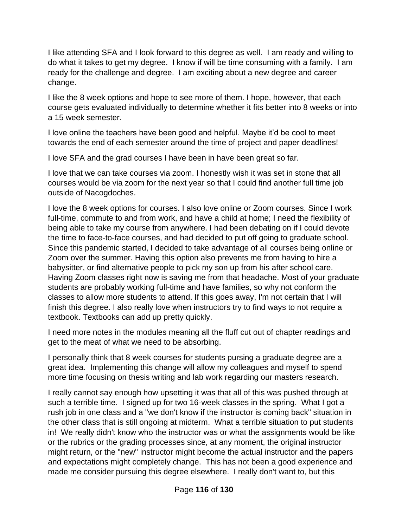I like attending SFA and I look forward to this degree as well. I am ready and willing to do what it takes to get my degree. I know if will be time consuming with a family. I am ready for the challenge and degree. I am exciting about a new degree and career change.

I like the 8 week options and hope to see more of them. I hope, however, that each course gets evaluated individually to determine whether it fits better into 8 weeks or into a 15 week semester.

I love online the teachers have been good and helpful. Maybe it'd be cool to meet towards the end of each semester around the time of project and paper deadlines!

I love SFA and the grad courses I have been in have been great so far.

I love that we can take courses via zoom. I honestly wish it was set in stone that all courses would be via zoom for the next year so that I could find another full time job outside of Nacogdoches.

I love the 8 week options for courses. I also love online or Zoom courses. Since I work full-time, commute to and from work, and have a child at home; I need the flexibility of being able to take my course from anywhere. I had been debating on if I could devote the time to face-to-face courses, and had decided to put off going to graduate school. Since this pandemic started, I decided to take advantage of all courses being online or Zoom over the summer. Having this option also prevents me from having to hire a babysitter, or find alternative people to pick my son up from his after school care. Having Zoom classes right now is saving me from that headache. Most of your graduate students are probably working full-time and have families, so why not conform the classes to allow more students to attend. If this goes away, I'm not certain that I will finish this degree. I also really love when instructors try to find ways to not require a textbook. Textbooks can add up pretty quickly.

I need more notes in the modules meaning all the fluff cut out of chapter readings and get to the meat of what we need to be absorbing.

I personally think that 8 week courses for students pursing a graduate degree are a great idea. Implementing this change will allow my colleagues and myself to spend more time focusing on thesis writing and lab work regarding our masters research.

I really cannot say enough how upsetting it was that all of this was pushed through at such a terrible time. I signed up for two 16-week classes in the spring. What I got a rush job in one class and a "we don't know if the instructor is coming back" situation in the other class that is still ongoing at midterm. What a terrible situation to put students in! We really didn't know who the instructor was or what the assignments would be like or the rubrics or the grading processes since, at any moment, the original instructor might return, or the "new" instructor might become the actual instructor and the papers and expectations might completely change. This has not been a good experience and made me consider pursuing this degree elsewhere. I really don't want to, but this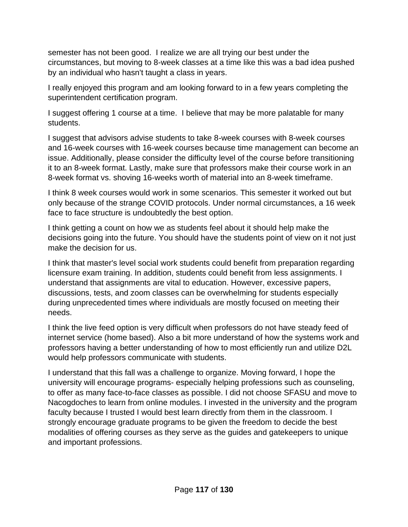semester has not been good. I realize we are all trying our best under the circumstances, but moving to 8-week classes at a time like this was a bad idea pushed by an individual who hasn't taught a class in years.

I really enjoyed this program and am looking forward to in a few years completing the superintendent certification program.

I suggest offering 1 course at a time. I believe that may be more palatable for many students.

I suggest that advisors advise students to take 8-week courses with 8-week courses and 16-week courses with 16-week courses because time management can become an issue. Additionally, please consider the difficulty level of the course before transitioning it to an 8-week format. Lastly, make sure that professors make their course work in an 8-week format vs. shoving 16-weeks worth of material into an 8-week timeframe.

I think 8 week courses would work in some scenarios. This semester it worked out but only because of the strange COVID protocols. Under normal circumstances, a 16 week face to face structure is undoubtedly the best option.

I think getting a count on how we as students feel about it should help make the decisions going into the future. You should have the students point of view on it not just make the decision for us.

I think that master's level social work students could benefit from preparation regarding licensure exam training. In addition, students could benefit from less assignments. I understand that assignments are vital to education. However, excessive papers, discussions, tests, and zoom classes can be overwhelming for students especially during unprecedented times where individuals are mostly focused on meeting their needs.

I think the live feed option is very difficult when professors do not have steady feed of internet service (home based). Also a bit more understand of how the systems work and professors having a better understanding of how to most efficiently run and utilize D2L would help professors communicate with students.

I understand that this fall was a challenge to organize. Moving forward, I hope the university will encourage programs- especially helping professions such as counseling, to offer as many face-to-face classes as possible. I did not choose SFASU and move to Nacogdoches to learn from online modules. I invested in the university and the program faculty because I trusted I would best learn directly from them in the classroom. I strongly encourage graduate programs to be given the freedom to decide the best modalities of offering courses as they serve as the guides and gatekeepers to unique and important professions.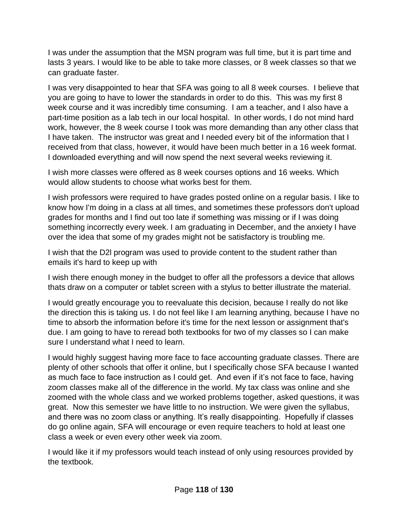I was under the assumption that the MSN program was full time, but it is part time and lasts 3 years. I would like to be able to take more classes, or 8 week classes so that we can graduate faster.

I was very disappointed to hear that SFA was going to all 8 week courses. I believe that you are going to have to lower the standards in order to do this. This was my first 8 week course and it was incredibly time consuming. I am a teacher, and I also have a part-time position as a lab tech in our local hospital. In other words, I do not mind hard work, however, the 8 week course I took was more demanding than any other class that I have taken. The instructor was great and I needed every bit of the information that I received from that class, however, it would have been much better in a 16 week format. I downloaded everything and will now spend the next several weeks reviewing it.

I wish more classes were offered as 8 week courses options and 16 weeks. Which would allow students to choose what works best for them.

I wish professors were required to have grades posted online on a regular basis. I like to know how I'm doing in a class at all times, and sometimes these professors don't upload grades for months and I find out too late if something was missing or if I was doing something incorrectly every week. I am graduating in December, and the anxiety I have over the idea that some of my grades might not be satisfactory is troubling me.

I wish that the D2l program was used to provide content to the student rather than emails it's hard to keep up with

I wish there enough money in the budget to offer all the professors a device that allows thats draw on a computer or tablet screen with a stylus to better illustrate the material.

I would greatly encourage you to reevaluate this decision, because I really do not like the direction this is taking us. I do not feel like I am learning anything, because I have no time to absorb the information before it's time for the next lesson or assignment that's due. I am going to have to reread both textbooks for two of my classes so I can make sure I understand what I need to learn.

I would highly suggest having more face to face accounting graduate classes. There are plenty of other schools that offer it online, but I specifically chose SFA because I wanted as much face to face instruction as I could get. And even if it's not face to face, having zoom classes make all of the difference in the world. My tax class was online and she zoomed with the whole class and we worked problems together, asked questions, it was great. Now this semester we have little to no instruction. We were given the syllabus, and there was no zoom class or anything. It's really disappointing. Hopefully if classes do go online again, SFA will encourage or even require teachers to hold at least one class a week or even every other week via zoom.

I would like it if my professors would teach instead of only using resources provided by the textbook.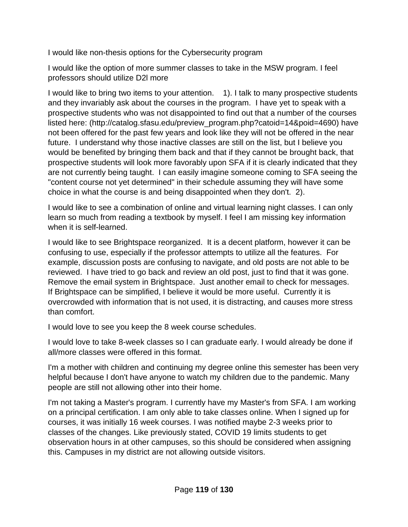I would like non-thesis options for the Cybersecurity program

I would like the option of more summer classes to take in the MSW program. I feel professors should utilize D2l more

I would like to bring two items to your attention. 1). I talk to many prospective students and they invariably ask about the courses in the program. I have yet to speak with a prospective students who was not disappointed to find out that a number of the courses listed here: (http://catalog.sfasu.edu/preview\_program.php?catoid=14&poid=4690) have not been offered for the past few years and look like they will not be offered in the near future. I understand why those inactive classes are still on the list, but I believe you would be benefited by bringing them back and that if they cannot be brought back, that prospective students will look more favorably upon SFA if it is clearly indicated that they are not currently being taught. I can easily imagine someone coming to SFA seeing the "content course not yet determined" in their schedule assuming they will have some choice in what the course is and being disappointed when they don't. 2).

I would like to see a combination of online and virtual learning night classes. I can only learn so much from reading a textbook by myself. I feel I am missing key information when it is self-learned.

I would like to see Brightspace reorganized. It is a decent platform, however it can be confusing to use, especially if the professor attempts to utilize all the features. For example, discussion posts are confusing to navigate, and old posts are not able to be reviewed. I have tried to go back and review an old post, just to find that it was gone. Remove the email system in Brightspace. Just another email to check for messages. If Brightspace can be simplified, I believe it would be more useful. Currently it is overcrowded with information that is not used, it is distracting, and causes more stress than comfort.

I would love to see you keep the 8 week course schedules.

I would love to take 8-week classes so I can graduate early. I would already be done if all/more classes were offered in this format.

I'm a mother with children and continuing my degree online this semester has been very helpful because I don't have anyone to watch my children due to the pandemic. Many people are still not allowing other into their home.

I'm not taking a Master's program. I currently have my Master's from SFA. I am working on a principal certification. I am only able to take classes online. When I signed up for courses, it was initially 16 week courses. I was notified maybe 2-3 weeks prior to classes of the changes. Like previously stated, COVID 19 limits students to get observation hours in at other campuses, so this should be considered when assigning this. Campuses in my district are not allowing outside visitors.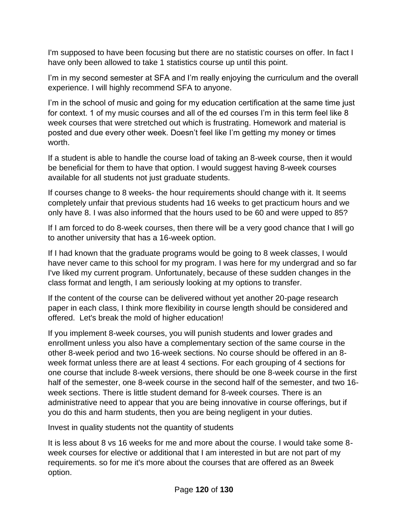I'm supposed to have been focusing but there are no statistic courses on offer. In fact I have only been allowed to take 1 statistics course up until this point.

I'm in my second semester at SFA and I'm really enjoying the curriculum and the overall experience. I will highly recommend SFA to anyone.

I'm in the school of music and going for my education certification at the same time just for context. 1 of my music courses and all of the ed courses I'm in this term feel like 8 week courses that were stretched out which is frustrating. Homework and material is posted and due every other week. Doesn't feel like I'm getting my money or times worth.

If a student is able to handle the course load of taking an 8-week course, then it would be beneficial for them to have that option. I would suggest having 8-week courses available for all students not just graduate students.

If courses change to 8 weeks- the hour requirements should change with it. It seems completely unfair that previous students had 16 weeks to get practicum hours and we only have 8. I was also informed that the hours used to be 60 and were upped to 85?

If I am forced to do 8-week courses, then there will be a very good chance that I will go to another university that has a 16-week option.

If I had known that the graduate programs would be going to 8 week classes, I would have never came to this school for my program. I was here for my undergrad and so far I've liked my current program. Unfortunately, because of these sudden changes in the class format and length, I am seriously looking at my options to transfer.

If the content of the course can be delivered without yet another 20-page research paper in each class, I think more flexibility in course length should be considered and offered. Let's break the mold of higher education!

If you implement 8-week courses, you will punish students and lower grades and enrollment unless you also have a complementary section of the same course in the other 8-week period and two 16-week sections. No course should be offered in an 8 week format unless there are at least 4 sections. For each grouping of 4 sections for one course that include 8-week versions, there should be one 8-week course in the first half of the semester, one 8-week course in the second half of the semester, and two 16 week sections. There is little student demand for 8-week courses. There is an administrative need to appear that you are being innovative in course offerings, but if you do this and harm students, then you are being negligent in your duties.

Invest in quality students not the quantity of students

It is less about 8 vs 16 weeks for me and more about the course. I would take some 8 week courses for elective or additional that I am interested in but are not part of my requirements. so for me it's more about the courses that are offered as an 8week option.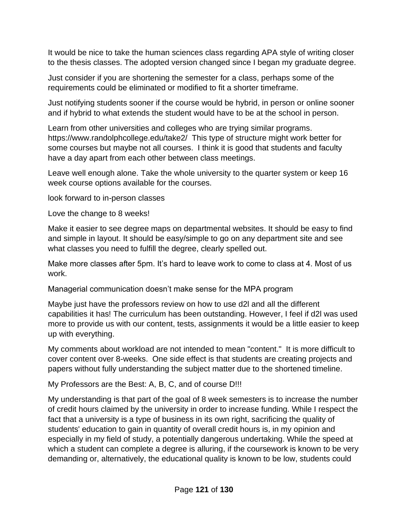It would be nice to take the human sciences class regarding APA style of writing closer to the thesis classes. The adopted version changed since I began my graduate degree.

Just consider if you are shortening the semester for a class, perhaps some of the requirements could be eliminated or modified to fit a shorter timeframe.

Just notifying students sooner if the course would be hybrid, in person or online sooner and if hybrid to what extends the student would have to be at the school in person.

Learn from other universities and colleges who are trying similar programs. https://www.randolphcollege.edu/take2/ This type of structure might work better for some courses but maybe not all courses. I think it is good that students and faculty have a day apart from each other between class meetings.

Leave well enough alone. Take the whole university to the quarter system or keep 16 week course options available for the courses.

look forward to in-person classes

Love the change to 8 weeks!

Make it easier to see degree maps on departmental websites. It should be easy to find and simple in layout. It should be easy/simple to go on any department site and see what classes you need to fulfill the degree, clearly spelled out.

Make more classes after 5pm. It's hard to leave work to come to class at 4. Most of us work.

Managerial communication doesn't make sense for the MPA program

Maybe just have the professors review on how to use d2l and all the different capabilities it has! The curriculum has been outstanding. However, I feel if d2l was used more to provide us with our content, tests, assignments it would be a little easier to keep up with everything.

My comments about workload are not intended to mean "content." It is more difficult to cover content over 8-weeks. One side effect is that students are creating projects and papers without fully understanding the subject matter due to the shortened timeline.

My Professors are the Best: A, B, C, and of course D!!!

My understanding is that part of the goal of 8 week semesters is to increase the number of credit hours claimed by the university in order to increase funding. While I respect the fact that a university is a type of business in its own right, sacrificing the quality of students' education to gain in quantity of overall credit hours is, in my opinion and especially in my field of study, a potentially dangerous undertaking. While the speed at which a student can complete a degree is alluring, if the coursework is known to be very demanding or, alternatively, the educational quality is known to be low, students could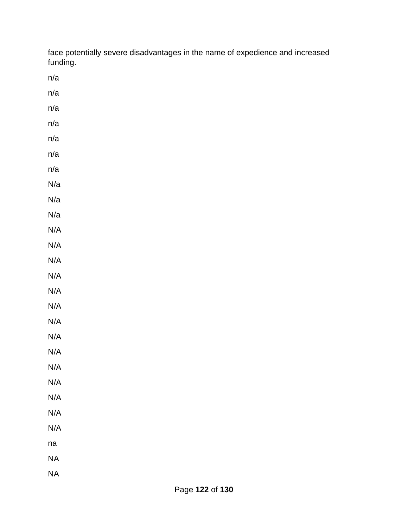face potentially severe disadvantages in the name of expedience and increased funding.

n/a

- n/a
- n/a
- n/a
- n/a
- n/a
- n/a
- N/a
- N/a
- N/a
- N/A
- N/A
- N/A
- N/A
- N/A
- N/A
- N/A
- N/A
- N/A
- N/A
- N/A
- N/A
- N/A
- N/A
- na
- NA
- NA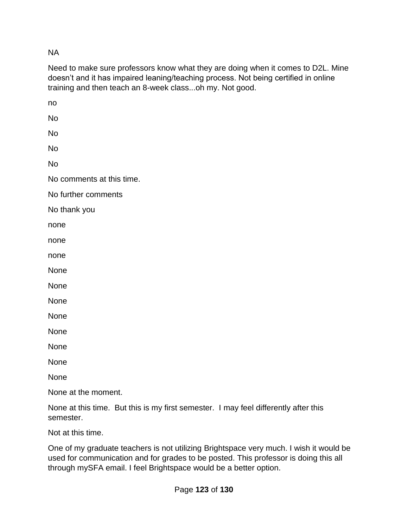NA

Need to make sure professors know what they are doing when it comes to D2L. Mine doesn't and it has impaired leaning/teaching process. Not being certified in online training and then teach an 8-week class...oh my. Not good.

no No No No No No comments at this time. No further comments No thank you none none none None None None None None None None None None at the moment.

None at this time. But this is my first semester. I may feel differently after this semester.

Not at this time.

One of my graduate teachers is not utilizing Brightspace very much. I wish it would be used for communication and for grades to be posted. This professor is doing this all through mySFA email. I feel Brightspace would be a better option.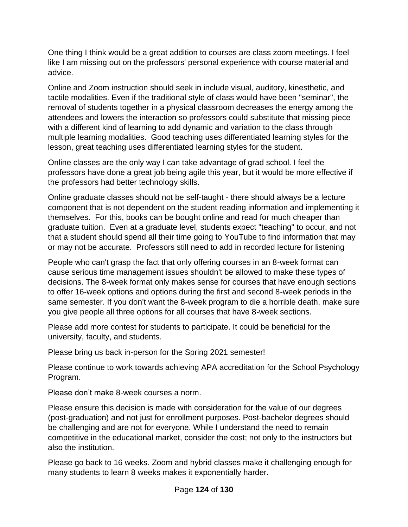One thing I think would be a great addition to courses are class zoom meetings. I feel like I am missing out on the professors' personal experience with course material and advice.

Online and Zoom instruction should seek in include visual, auditory, kinesthetic, and tactile modalities. Even if the traditional style of class would have been "seminar", the removal of students together in a physical classroom decreases the energy among the attendees and lowers the interaction so professors could substitute that missing piece with a different kind of learning to add dynamic and variation to the class through multiple learning modalities. Good teaching uses differentiated learning styles for the lesson, great teaching uses differentiated learning styles for the student.

Online classes are the only way I can take advantage of grad school. I feel the professors have done a great job being agile this year, but it would be more effective if the professors had better technology skills.

Online graduate classes should not be self-taught - there should always be a lecture component that is not dependent on the student reading information and implementing it themselves. For this, books can be bought online and read for much cheaper than graduate tuition. Even at a graduate level, students expect "teaching" to occur, and not that a student should spend all their time going to YouTube to find information that may or may not be accurate. Professors still need to add in recorded lecture for listening

People who can't grasp the fact that only offering courses in an 8-week format can cause serious time management issues shouldn't be allowed to make these types of decisions. The 8-week format only makes sense for courses that have enough sections to offer 16-week options and options during the first and second 8-week periods in the same semester. If you don't want the 8-week program to die a horrible death, make sure you give people all three options for all courses that have 8-week sections.

Please add more contest for students to participate. It could be beneficial for the university, faculty, and students.

Please bring us back in-person for the Spring 2021 semester!

Please continue to work towards achieving APA accreditation for the School Psychology Program.

Please don't make 8-week courses a norm.

Please ensure this decision is made with consideration for the value of our degrees (post-graduation) and not just for enrollment purposes. Post-bachelor degrees should be challenging and are not for everyone. While I understand the need to remain competitive in the educational market, consider the cost; not only to the instructors but also the institution.

Please go back to 16 weeks. Zoom and hybrid classes make it challenging enough for many students to learn 8 weeks makes it exponentially harder.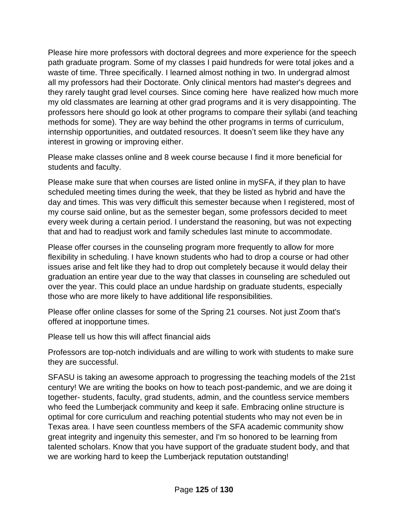Please hire more professors with doctoral degrees and more experience for the speech path graduate program. Some of my classes I paid hundreds for were total jokes and a waste of time. Three specifically. I learned almost nothing in two. In undergrad almost all my professors had their Doctorate. Only clinical mentors had master's degrees and they rarely taught grad level courses. Since coming here have realized how much more my old classmates are learning at other grad programs and it is very disappointing. The professors here should go look at other programs to compare their syllabi (and teaching methods for some). They are way behind the other programs in terms of curriculum, internship opportunities, and outdated resources. It doesn't seem like they have any interest in growing or improving either.

Please make classes online and 8 week course because I find it more beneficial for students and faculty.

Please make sure that when courses are listed online in mySFA, if they plan to have scheduled meeting times during the week, that they be listed as hybrid and have the day and times. This was very difficult this semester because when I registered, most of my course said online, but as the semester began, some professors decided to meet every week during a certain period. I understand the reasoning, but was not expecting that and had to readjust work and family schedules last minute to accommodate.

Please offer courses in the counseling program more frequently to allow for more flexibility in scheduling. I have known students who had to drop a course or had other issues arise and felt like they had to drop out completely because it would delay their graduation an entire year due to the way that classes in counseling are scheduled out over the year. This could place an undue hardship on graduate students, especially those who are more likely to have additional life responsibilities.

Please offer online classes for some of the Spring 21 courses. Not just Zoom that's offered at inopportune times.

Please tell us how this will affect financial aids

Professors are top-notch individuals and are willing to work with students to make sure they are successful.

SFASU is taking an awesome approach to progressing the teaching models of the 21st century! We are writing the books on how to teach post-pandemic, and we are doing it together- students, faculty, grad students, admin, and the countless service members who feed the Lumberjack community and keep it safe. Embracing online structure is optimal for core curriculum and reaching potential students who may not even be in Texas area. I have seen countless members of the SFA academic community show great integrity and ingenuity this semester, and I'm so honored to be learning from talented scholars. Know that you have support of the graduate student body, and that we are working hard to keep the Lumberjack reputation outstanding!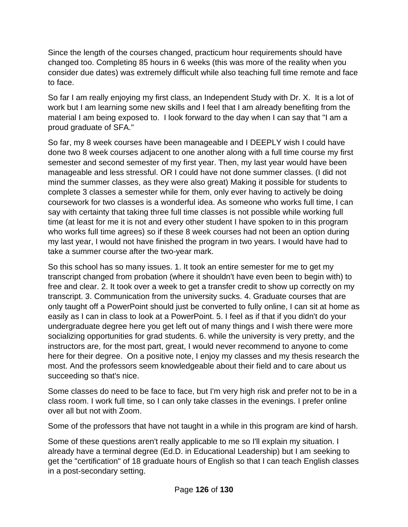Since the length of the courses changed, practicum hour requirements should have changed too. Completing 85 hours in 6 weeks (this was more of the reality when you consider due dates) was extremely difficult while also teaching full time remote and face to face.

So far I am really enjoying my first class, an Independent Study with Dr. X. It is a lot of work but I am learning some new skills and I feel that I am already benefiting from the material I am being exposed to. I look forward to the day when I can say that "I am a proud graduate of SFA."

So far, my 8 week courses have been manageable and I DEEPLY wish I could have done two 8 week courses adjacent to one another along with a full time course my first semester and second semester of my first year. Then, my last year would have been manageable and less stressful. OR I could have not done summer classes. (I did not mind the summer classes, as they were also great) Making it possible for students to complete 3 classes a semester while for them, only ever having to actively be doing coursework for two classes is a wonderful idea. As someone who works full time, I can say with certainty that taking three full time classes is not possible while working full time (at least for me it is not and every other student I have spoken to in this program who works full time agrees) so if these 8 week courses had not been an option during my last year, I would not have finished the program in two years. I would have had to take a summer course after the two-year mark.

So this school has so many issues. 1. It took an entire semester for me to get my transcript changed from probation (where it shouldn't have even been to begin with) to free and clear. 2. It took over a week to get a transfer credit to show up correctly on my transcript. 3. Communication from the university sucks. 4. Graduate courses that are only taught off a PowerPoint should just be converted to fully online, I can sit at home as easily as I can in class to look at a PowerPoint. 5. I feel as if that if you didn't do your undergraduate degree here you get left out of many things and I wish there were more socializing opportunities for grad students. 6. while the university is very pretty, and the instructors are, for the most part, great, I would never recommend to anyone to come here for their degree. On a positive note, I enjoy my classes and my thesis research the most. And the professors seem knowledgeable about their field and to care about us succeeding so that's nice.

Some classes do need to be face to face, but I'm very high risk and prefer not to be in a class room. I work full time, so I can only take classes in the evenings. I prefer online over all but not with Zoom.

Some of the professors that have not taught in a while in this program are kind of harsh.

Some of these questions aren't really applicable to me so I'll explain my situation. I already have a terminal degree (Ed.D. in Educational Leadership) but I am seeking to get the "certification" of 18 graduate hours of English so that I can teach English classes in a post-secondary setting.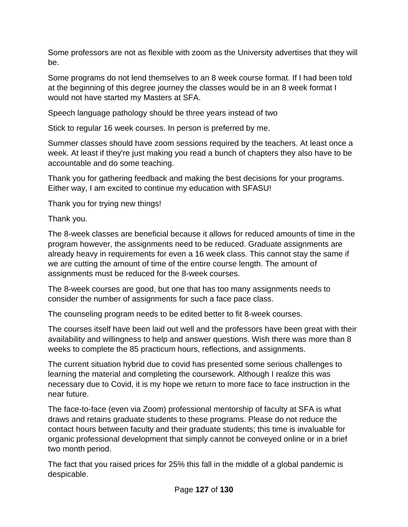Some professors are not as flexible with zoom as the University advertises that they will be.

Some programs do not lend themselves to an 8 week course format. If I had been told at the beginning of this degree journey the classes would be in an 8 week format I would not have started my Masters at SFA.

Speech language pathology should be three years instead of two

Stick to regular 16 week courses. In person is preferred by me.

Summer classes should have zoom sessions required by the teachers. At least once a week. At least if they're just making you read a bunch of chapters they also have to be accountable and do some teaching.

Thank you for gathering feedback and making the best decisions for your programs. Either way, I am excited to continue my education with SFASU!

Thank you for trying new things!

Thank you.

The 8-week classes are beneficial because it allows for reduced amounts of time in the program however, the assignments need to be reduced. Graduate assignments are already heavy in requirements for even a 16 week class. This cannot stay the same if we are cutting the amount of time of the entire course length. The amount of assignments must be reduced for the 8-week courses.

The 8-week courses are good, but one that has too many assignments needs to consider the number of assignments for such a face pace class.

The counseling program needs to be edited better to fit 8-week courses.

The courses itself have been laid out well and the professors have been great with their availability and willingness to help and answer questions. Wish there was more than 8 weeks to complete the 85 practicum hours, reflections, and assignments.

The current situation hybrid due to covid has presented some serious challenges to learning the material and completing the coursework. Although I realize this was necessary due to Covid, it is my hope we return to more face to face instruction in the near future.

The face-to-face (even via Zoom) professional mentorship of faculty at SFA is what draws and retains graduate students to these programs. Please do not reduce the contact hours between faculty and their graduate students; this time is invaluable for organic professional development that simply cannot be conveyed online or in a brief two month period.

The fact that you raised prices for 25% this fall in the middle of a global pandemic is despicable.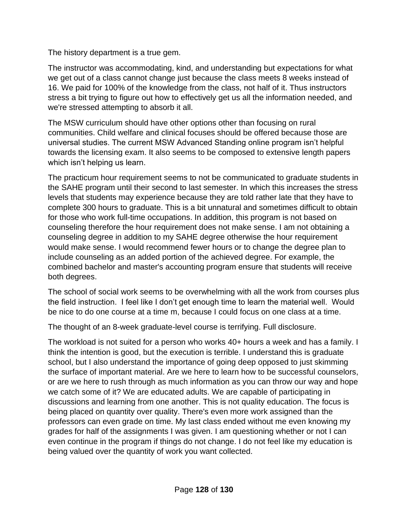The history department is a true gem.

The instructor was accommodating, kind, and understanding but expectations for what we get out of a class cannot change just because the class meets 8 weeks instead of 16. We paid for 100% of the knowledge from the class, not half of it. Thus instructors stress a bit trying to figure out how to effectively get us all the information needed, and we're stressed attempting to absorb it all.

The MSW curriculum should have other options other than focusing on rural communities. Child welfare and clinical focuses should be offered because those are universal studies. The current MSW Advanced Standing online program isn't helpful towards the licensing exam. It also seems to be composed to extensive length papers which isn't helping us learn.

The practicum hour requirement seems to not be communicated to graduate students in the SAHE program until their second to last semester. In which this increases the stress levels that students may experience because they are told rather late that they have to complete 300 hours to graduate. This is a bit unnatural and sometimes difficult to obtain for those who work full-time occupations. In addition, this program is not based on counseling therefore the hour requirement does not make sense. I am not obtaining a counseling degree in addition to my SAHE degree otherwise the hour requirement would make sense. I would recommend fewer hours or to change the degree plan to include counseling as an added portion of the achieved degree. For example, the combined bachelor and master's accounting program ensure that students will receive both degrees.

The school of social work seems to be overwhelming with all the work from courses plus the field instruction. I feel like I don't get enough time to learn the material well. Would be nice to do one course at a time m, because I could focus on one class at a time.

The thought of an 8-week graduate-level course is terrifying. Full disclosure.

The workload is not suited for a person who works 40+ hours a week and has a family. I think the intention is good, but the execution is terrible. I understand this is graduate school, but I also understand the importance of going deep opposed to just skimming the surface of important material. Are we here to learn how to be successful counselors, or are we here to rush through as much information as you can throw our way and hope we catch some of it? We are educated adults. We are capable of participating in discussions and learning from one another. This is not quality education. The focus is being placed on quantity over quality. There's even more work assigned than the professors can even grade on time. My last class ended without me even knowing my grades for half of the assignments I was given. I am questioning whether or not I can even continue in the program if things do not change. I do not feel like my education is being valued over the quantity of work you want collected.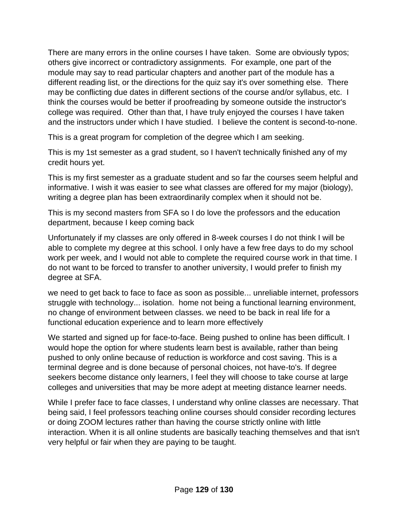There are many errors in the online courses I have taken. Some are obviously typos; others give incorrect or contradictory assignments. For example, one part of the module may say to read particular chapters and another part of the module has a different reading list, or the directions for the quiz say it's over something else. There may be conflicting due dates in different sections of the course and/or syllabus, etc. I think the courses would be better if proofreading by someone outside the instructor's college was required. Other than that, I have truly enjoyed the courses I have taken and the instructors under which I have studied. I believe the content is second-to-none.

This is a great program for completion of the degree which I am seeking.

This is my 1st semester as a grad student, so I haven't technically finished any of my credit hours yet.

This is my first semester as a graduate student and so far the courses seem helpful and informative. I wish it was easier to see what classes are offered for my major (biology), writing a degree plan has been extraordinarily complex when it should not be.

This is my second masters from SFA so I do love the professors and the education department, because I keep coming back

Unfortunately if my classes are only offered in 8-week courses I do not think I will be able to complete my degree at this school. I only have a few free days to do my school work per week, and I would not able to complete the required course work in that time. I do not want to be forced to transfer to another university, I would prefer to finish my degree at SFA.

we need to get back to face to face as soon as possible... unreliable internet, professors struggle with technology... isolation. home not being a functional learning environment, no change of environment between classes. we need to be back in real life for a functional education experience and to learn more effectively

We started and signed up for face-to-face. Being pushed to online has been difficult. I would hope the option for where students learn best is available, rather than being pushed to only online because of reduction is workforce and cost saving. This is a terminal degree and is done because of personal choices, not have-to's. If degree seekers become distance only learners, I feel they will choose to take course at large colleges and universities that may be more adept at meeting distance learner needs.

While I prefer face to face classes, I understand why online classes are necessary. That being said, I feel professors teaching online courses should consider recording lectures or doing ZOOM lectures rather than having the course strictly online with little interaction. When it is all online students are basically teaching themselves and that isn't very helpful or fair when they are paying to be taught.